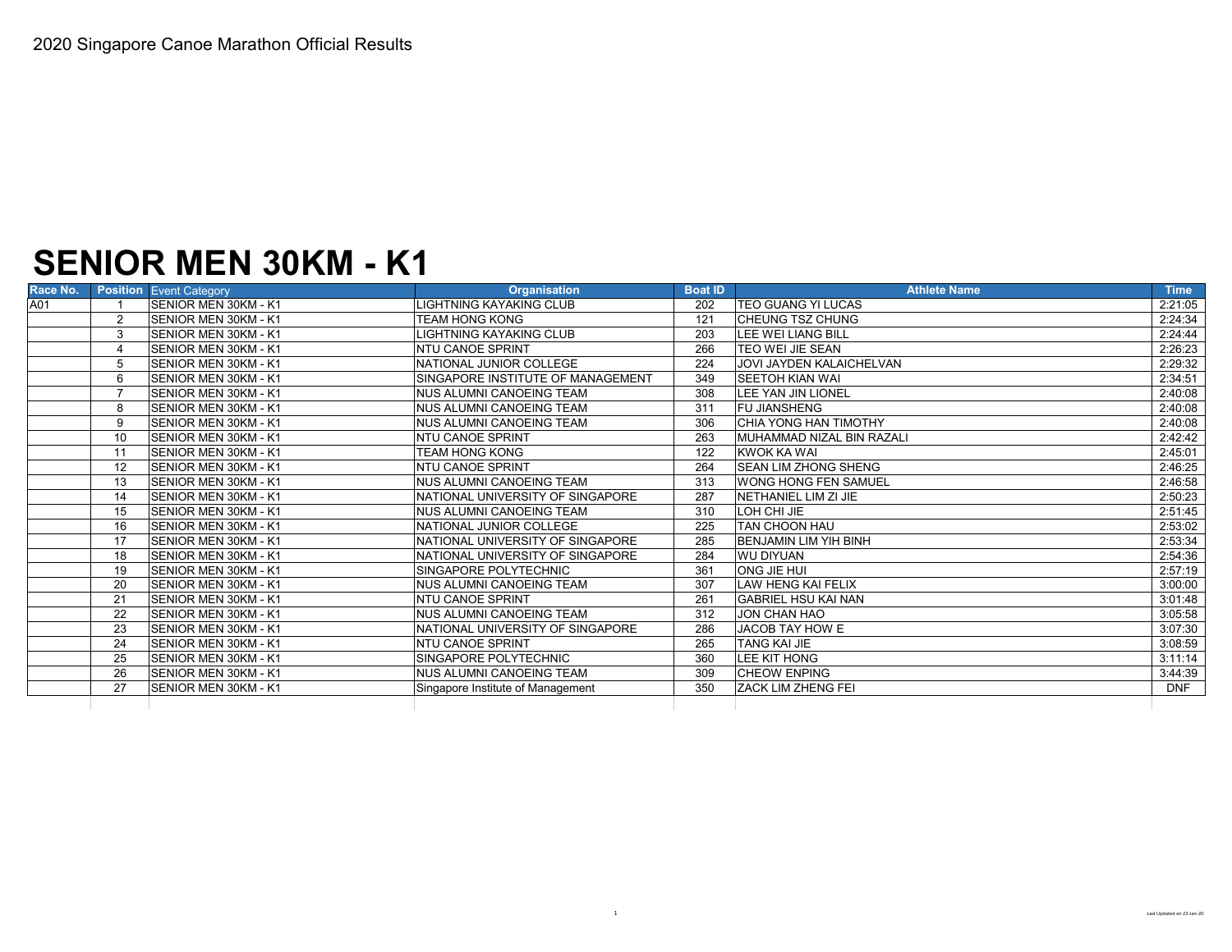# **SENIOR MEN 30KM - K1**

| A01<br><b>ISENIOR MEN 30KM - K1</b><br>LIGHTNING KAYAKING CLUB<br>202<br><b>ITEO GUANG YI LUCAS</b><br><b>SENIOR MEN 30KM - K1</b><br><b>TEAM HONG KONG</b><br><b>CHEUNG TSZ CHUNG</b><br>$\overline{2}$<br>121<br><b>SENIOR MEN 30KM - K1</b><br>LIGHTNING KAYAKING CLUB<br>203<br>LEE WEI LIANG BILL<br>3<br><b>SENIOR MEN 30KM - K1</b><br><b>INTU CANOE SPRINT</b><br><b>ITEO WEI JIE SEAN</b><br>266<br>SENIOR MEN 30KM - K1<br><b>JOVI JAYDEN KALAICHELVAN</b><br>NATIONAL JUNIOR COLLEGE<br>224<br>SINGAPORE INSTITUTE OF MANAGEMENT<br><b>ISENIOR MEN 30KM - K1</b><br>349<br>ISEETOH KIAN WAI<br>6<br>SENIOR MEN 30KM - K1<br><b>NUS ALUMNI CANOEING TEAM</b><br>LEE YAN JIN LIONEL<br>308<br>SENIOR MEN 30KM - K1<br><b>INUS ALUMNI CANOEING TEAM</b><br>311<br><b>FU JIANSHENG</b><br>8<br><b>CHIA YONG HAN TIMOTHY</b><br>SENIOR MEN 30KM - K1<br>INUS ALUMNI CANOEING TEAM<br>306<br>9<br>SENIOR MEN 30KM - K1<br><b>INTU CANOE SPRINT</b><br>10<br>263<br><b>MUHAMMAD NIZAL BIN RAZALI</b><br><b>TEAM HONG KONG</b><br><b>KWOK KA WAI</b><br><b>ISENIOR MEN 30KM - K1</b><br>11<br>122<br><b>SEAN LIM ZHONG SHENG</b><br><b>SENIOR MEN 30KM - K1</b><br><b>NTU CANOE SPRINT</b><br>264<br>12<br>SENIOR MEN 30KM - K1<br><b>NUS ALUMNI CANOEING TEAM</b><br>313<br><b>WONG HONG FEN SAMUEL</b><br>13<br>SENIOR MEN 30KM - K1<br>NATIONAL UNIVERSITY OF SINGAPORE<br>NETHANIEL LIM ZI JIE<br>287<br>14<br>SENIOR MEN 30KM - K1<br>LOH CHI JIE<br><b>NUS ALUMNI CANOEING TEAM</b><br>15<br>310<br>SENIOR MEN 30KM - K1<br><b>TAN CHOON HAU</b><br>NATIONAL JUNIOR COLLEGE<br>16<br>225<br><b>ISENIOR MEN 30KM - K1</b><br>NATIONAL UNIVERSITY OF SINGAPORE<br>BENJAMIN LIM YIH BINH<br>285<br>17<br><b>SENIOR MEN 30KM - K1</b><br>NATIONAL UNIVERSITY OF SINGAPORE<br><b>WU DIYUAN</b><br>284<br>18<br>ONG JIE HUI<br><b>ISENIOR MEN 30KM - K1</b><br><b>ISINGAPORE POLYTECHNIC</b><br>19<br>361<br><b>LAW HENG KAI FELIX</b><br>20<br><b>ISENIOR MEN 30KM - K1</b><br><b>NUS ALUMNI CANOEING TEAM</b><br>307<br><b>NTU CANOE SPRINT</b><br><b>GABRIEL HSU KAI NAN</b><br>21<br><b>ISENIOR MEN 30KM - K1</b><br>261<br>22<br><b>ISENIOR MEN 30KM - K1</b><br><b>NUS ALUMNI CANOEING TEAM</b><br>312<br><b>JON CHAN HAO</b><br>23<br>SENIOR MEN 30KM - K1<br>NATIONAL UNIVERSITY OF SINGAPORE<br><b>JACOB TAY HOW E</b><br>286<br>24<br>SENIOR MEN 30KM - K1<br><b>NTU CANOE SPRINT</b><br><b>TANG KAI JIE</b><br>265<br>25<br><b>LEE KIT HONG</b><br><b>SENIOR MEN 30KM - K1</b><br>SINGAPORE POLYTECHNIC<br>360<br><b>CHEOW ENPING</b><br>26<br>SENIOR MEN 30KM - K1<br><b>NUS ALUMNI CANOEING TEAM</b><br>309 | <b>Time</b> | <b>Athlete Name</b>       | <b>Boat ID</b> | <b>Organisation</b>               | <b>Position</b> Event Category | Race No. |
|-----------------------------------------------------------------------------------------------------------------------------------------------------------------------------------------------------------------------------------------------------------------------------------------------------------------------------------------------------------------------------------------------------------------------------------------------------------------------------------------------------------------------------------------------------------------------------------------------------------------------------------------------------------------------------------------------------------------------------------------------------------------------------------------------------------------------------------------------------------------------------------------------------------------------------------------------------------------------------------------------------------------------------------------------------------------------------------------------------------------------------------------------------------------------------------------------------------------------------------------------------------------------------------------------------------------------------------------------------------------------------------------------------------------------------------------------------------------------------------------------------------------------------------------------------------------------------------------------------------------------------------------------------------------------------------------------------------------------------------------------------------------------------------------------------------------------------------------------------------------------------------------------------------------------------------------------------------------------------------------------------------------------------------------------------------------------------------------------------------------------------------------------------------------------------------------------------------------------------------------------------------------------------------------------------------------------------------------------------------------------------------------------------------------------------------------------------------------------------------------------------------------------------------------------------------------------------------------------------------------------------|-------------|---------------------------|----------------|-----------------------------------|--------------------------------|----------|
|                                                                                                                                                                                                                                                                                                                                                                                                                                                                                                                                                                                                                                                                                                                                                                                                                                                                                                                                                                                                                                                                                                                                                                                                                                                                                                                                                                                                                                                                                                                                                                                                                                                                                                                                                                                                                                                                                                                                                                                                                                                                                                                                                                                                                                                                                                                                                                                                                                                                                                                                                                                                                             | 2:21:05     |                           |                |                                   |                                |          |
|                                                                                                                                                                                                                                                                                                                                                                                                                                                                                                                                                                                                                                                                                                                                                                                                                                                                                                                                                                                                                                                                                                                                                                                                                                                                                                                                                                                                                                                                                                                                                                                                                                                                                                                                                                                                                                                                                                                                                                                                                                                                                                                                                                                                                                                                                                                                                                                                                                                                                                                                                                                                                             | 2:24:34     |                           |                |                                   |                                |          |
|                                                                                                                                                                                                                                                                                                                                                                                                                                                                                                                                                                                                                                                                                                                                                                                                                                                                                                                                                                                                                                                                                                                                                                                                                                                                                                                                                                                                                                                                                                                                                                                                                                                                                                                                                                                                                                                                                                                                                                                                                                                                                                                                                                                                                                                                                                                                                                                                                                                                                                                                                                                                                             | 2:24:44     |                           |                |                                   |                                |          |
|                                                                                                                                                                                                                                                                                                                                                                                                                                                                                                                                                                                                                                                                                                                                                                                                                                                                                                                                                                                                                                                                                                                                                                                                                                                                                                                                                                                                                                                                                                                                                                                                                                                                                                                                                                                                                                                                                                                                                                                                                                                                                                                                                                                                                                                                                                                                                                                                                                                                                                                                                                                                                             | 2:26:23     |                           |                |                                   |                                |          |
|                                                                                                                                                                                                                                                                                                                                                                                                                                                                                                                                                                                                                                                                                                                                                                                                                                                                                                                                                                                                                                                                                                                                                                                                                                                                                                                                                                                                                                                                                                                                                                                                                                                                                                                                                                                                                                                                                                                                                                                                                                                                                                                                                                                                                                                                                                                                                                                                                                                                                                                                                                                                                             | 2:29:32     |                           |                |                                   |                                |          |
|                                                                                                                                                                                                                                                                                                                                                                                                                                                                                                                                                                                                                                                                                                                                                                                                                                                                                                                                                                                                                                                                                                                                                                                                                                                                                                                                                                                                                                                                                                                                                                                                                                                                                                                                                                                                                                                                                                                                                                                                                                                                                                                                                                                                                                                                                                                                                                                                                                                                                                                                                                                                                             | 2:34:51     |                           |                |                                   |                                |          |
|                                                                                                                                                                                                                                                                                                                                                                                                                                                                                                                                                                                                                                                                                                                                                                                                                                                                                                                                                                                                                                                                                                                                                                                                                                                                                                                                                                                                                                                                                                                                                                                                                                                                                                                                                                                                                                                                                                                                                                                                                                                                                                                                                                                                                                                                                                                                                                                                                                                                                                                                                                                                                             | 2:40:08     |                           |                |                                   |                                |          |
|                                                                                                                                                                                                                                                                                                                                                                                                                                                                                                                                                                                                                                                                                                                                                                                                                                                                                                                                                                                                                                                                                                                                                                                                                                                                                                                                                                                                                                                                                                                                                                                                                                                                                                                                                                                                                                                                                                                                                                                                                                                                                                                                                                                                                                                                                                                                                                                                                                                                                                                                                                                                                             | 2:40:08     |                           |                |                                   |                                |          |
|                                                                                                                                                                                                                                                                                                                                                                                                                                                                                                                                                                                                                                                                                                                                                                                                                                                                                                                                                                                                                                                                                                                                                                                                                                                                                                                                                                                                                                                                                                                                                                                                                                                                                                                                                                                                                                                                                                                                                                                                                                                                                                                                                                                                                                                                                                                                                                                                                                                                                                                                                                                                                             | 2:40:08     |                           |                |                                   |                                |          |
|                                                                                                                                                                                                                                                                                                                                                                                                                                                                                                                                                                                                                                                                                                                                                                                                                                                                                                                                                                                                                                                                                                                                                                                                                                                                                                                                                                                                                                                                                                                                                                                                                                                                                                                                                                                                                                                                                                                                                                                                                                                                                                                                                                                                                                                                                                                                                                                                                                                                                                                                                                                                                             | 2:42:42     |                           |                |                                   |                                |          |
|                                                                                                                                                                                                                                                                                                                                                                                                                                                                                                                                                                                                                                                                                                                                                                                                                                                                                                                                                                                                                                                                                                                                                                                                                                                                                                                                                                                                                                                                                                                                                                                                                                                                                                                                                                                                                                                                                                                                                                                                                                                                                                                                                                                                                                                                                                                                                                                                                                                                                                                                                                                                                             | 2:45:01     |                           |                |                                   |                                |          |
|                                                                                                                                                                                                                                                                                                                                                                                                                                                                                                                                                                                                                                                                                                                                                                                                                                                                                                                                                                                                                                                                                                                                                                                                                                                                                                                                                                                                                                                                                                                                                                                                                                                                                                                                                                                                                                                                                                                                                                                                                                                                                                                                                                                                                                                                                                                                                                                                                                                                                                                                                                                                                             | 2:46:25     |                           |                |                                   |                                |          |
|                                                                                                                                                                                                                                                                                                                                                                                                                                                                                                                                                                                                                                                                                                                                                                                                                                                                                                                                                                                                                                                                                                                                                                                                                                                                                                                                                                                                                                                                                                                                                                                                                                                                                                                                                                                                                                                                                                                                                                                                                                                                                                                                                                                                                                                                                                                                                                                                                                                                                                                                                                                                                             | 2:46:58     |                           |                |                                   |                                |          |
|                                                                                                                                                                                                                                                                                                                                                                                                                                                                                                                                                                                                                                                                                                                                                                                                                                                                                                                                                                                                                                                                                                                                                                                                                                                                                                                                                                                                                                                                                                                                                                                                                                                                                                                                                                                                                                                                                                                                                                                                                                                                                                                                                                                                                                                                                                                                                                                                                                                                                                                                                                                                                             | 2:50:23     |                           |                |                                   |                                |          |
|                                                                                                                                                                                                                                                                                                                                                                                                                                                                                                                                                                                                                                                                                                                                                                                                                                                                                                                                                                                                                                                                                                                                                                                                                                                                                                                                                                                                                                                                                                                                                                                                                                                                                                                                                                                                                                                                                                                                                                                                                                                                                                                                                                                                                                                                                                                                                                                                                                                                                                                                                                                                                             | 2:51:45     |                           |                |                                   |                                |          |
|                                                                                                                                                                                                                                                                                                                                                                                                                                                                                                                                                                                                                                                                                                                                                                                                                                                                                                                                                                                                                                                                                                                                                                                                                                                                                                                                                                                                                                                                                                                                                                                                                                                                                                                                                                                                                                                                                                                                                                                                                                                                                                                                                                                                                                                                                                                                                                                                                                                                                                                                                                                                                             | 2:53:02     |                           |                |                                   |                                |          |
|                                                                                                                                                                                                                                                                                                                                                                                                                                                                                                                                                                                                                                                                                                                                                                                                                                                                                                                                                                                                                                                                                                                                                                                                                                                                                                                                                                                                                                                                                                                                                                                                                                                                                                                                                                                                                                                                                                                                                                                                                                                                                                                                                                                                                                                                                                                                                                                                                                                                                                                                                                                                                             | 2:53:34     |                           |                |                                   |                                |          |
|                                                                                                                                                                                                                                                                                                                                                                                                                                                                                                                                                                                                                                                                                                                                                                                                                                                                                                                                                                                                                                                                                                                                                                                                                                                                                                                                                                                                                                                                                                                                                                                                                                                                                                                                                                                                                                                                                                                                                                                                                                                                                                                                                                                                                                                                                                                                                                                                                                                                                                                                                                                                                             | 2:54:36     |                           |                |                                   |                                |          |
|                                                                                                                                                                                                                                                                                                                                                                                                                                                                                                                                                                                                                                                                                                                                                                                                                                                                                                                                                                                                                                                                                                                                                                                                                                                                                                                                                                                                                                                                                                                                                                                                                                                                                                                                                                                                                                                                                                                                                                                                                                                                                                                                                                                                                                                                                                                                                                                                                                                                                                                                                                                                                             | 2:57:19     |                           |                |                                   |                                |          |
|                                                                                                                                                                                                                                                                                                                                                                                                                                                                                                                                                                                                                                                                                                                                                                                                                                                                                                                                                                                                                                                                                                                                                                                                                                                                                                                                                                                                                                                                                                                                                                                                                                                                                                                                                                                                                                                                                                                                                                                                                                                                                                                                                                                                                                                                                                                                                                                                                                                                                                                                                                                                                             | 3:00:00     |                           |                |                                   |                                |          |
|                                                                                                                                                                                                                                                                                                                                                                                                                                                                                                                                                                                                                                                                                                                                                                                                                                                                                                                                                                                                                                                                                                                                                                                                                                                                                                                                                                                                                                                                                                                                                                                                                                                                                                                                                                                                                                                                                                                                                                                                                                                                                                                                                                                                                                                                                                                                                                                                                                                                                                                                                                                                                             | 3:01:48     |                           |                |                                   |                                |          |
|                                                                                                                                                                                                                                                                                                                                                                                                                                                                                                                                                                                                                                                                                                                                                                                                                                                                                                                                                                                                                                                                                                                                                                                                                                                                                                                                                                                                                                                                                                                                                                                                                                                                                                                                                                                                                                                                                                                                                                                                                                                                                                                                                                                                                                                                                                                                                                                                                                                                                                                                                                                                                             | 3:05:58     |                           |                |                                   |                                |          |
|                                                                                                                                                                                                                                                                                                                                                                                                                                                                                                                                                                                                                                                                                                                                                                                                                                                                                                                                                                                                                                                                                                                                                                                                                                                                                                                                                                                                                                                                                                                                                                                                                                                                                                                                                                                                                                                                                                                                                                                                                                                                                                                                                                                                                                                                                                                                                                                                                                                                                                                                                                                                                             | 3:07:30     |                           |                |                                   |                                |          |
|                                                                                                                                                                                                                                                                                                                                                                                                                                                                                                                                                                                                                                                                                                                                                                                                                                                                                                                                                                                                                                                                                                                                                                                                                                                                                                                                                                                                                                                                                                                                                                                                                                                                                                                                                                                                                                                                                                                                                                                                                                                                                                                                                                                                                                                                                                                                                                                                                                                                                                                                                                                                                             | 3:08:59     |                           |                |                                   |                                |          |
|                                                                                                                                                                                                                                                                                                                                                                                                                                                                                                                                                                                                                                                                                                                                                                                                                                                                                                                                                                                                                                                                                                                                                                                                                                                                                                                                                                                                                                                                                                                                                                                                                                                                                                                                                                                                                                                                                                                                                                                                                                                                                                                                                                                                                                                                                                                                                                                                                                                                                                                                                                                                                             | 3:11:14     |                           |                |                                   |                                |          |
|                                                                                                                                                                                                                                                                                                                                                                                                                                                                                                                                                                                                                                                                                                                                                                                                                                                                                                                                                                                                                                                                                                                                                                                                                                                                                                                                                                                                                                                                                                                                                                                                                                                                                                                                                                                                                                                                                                                                                                                                                                                                                                                                                                                                                                                                                                                                                                                                                                                                                                                                                                                                                             | 3:44:39     |                           |                |                                   |                                |          |
|                                                                                                                                                                                                                                                                                                                                                                                                                                                                                                                                                                                                                                                                                                                                                                                                                                                                                                                                                                                                                                                                                                                                                                                                                                                                                                                                                                                                                                                                                                                                                                                                                                                                                                                                                                                                                                                                                                                                                                                                                                                                                                                                                                                                                                                                                                                                                                                                                                                                                                                                                                                                                             | <b>DNF</b>  | <b>ZACK LIM ZHENG FEI</b> | 350            | Singapore Institute of Management | SENIOR MEN 30KM - K1<br>27     |          |
|                                                                                                                                                                                                                                                                                                                                                                                                                                                                                                                                                                                                                                                                                                                                                                                                                                                                                                                                                                                                                                                                                                                                                                                                                                                                                                                                                                                                                                                                                                                                                                                                                                                                                                                                                                                                                                                                                                                                                                                                                                                                                                                                                                                                                                                                                                                                                                                                                                                                                                                                                                                                                             |             |                           |                |                                   |                                |          |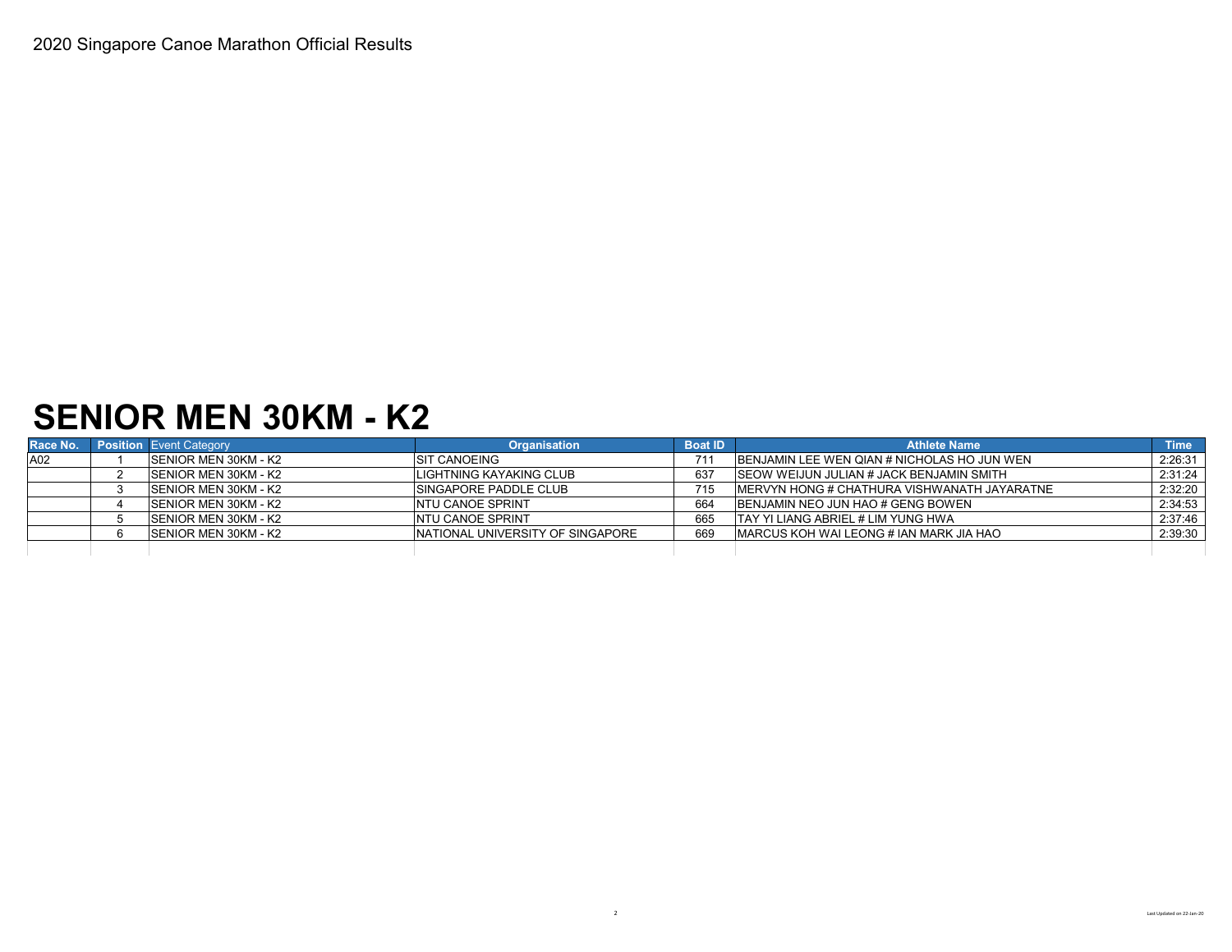## **SENIOR MEN 30KM - K2**

| Race No. | <b>Position Event Category</b> | <b>Organisation</b>               | <b>Boat ID</b> | <b>Athlete Name</b>                                 | <b>Time</b> |
|----------|--------------------------------|-----------------------------------|----------------|-----------------------------------------------------|-------------|
| A02      | <b>ISENIOR MEN 30KM - K2</b>   | <b>ISIT CANOEING</b>              | 711            | <b>IBENJAMIN LEE WEN QIAN # NICHOLAS HO JUN WEN</b> | 2:26:31     |
|          | <b>SENIOR MEN 30KM - K2</b>    | LIGHTNING KAYAKING CLUB           | 637            | <b>ISEOW WEIJUN JULIAN # JACK BENJAMIN SMITH</b>    | 2:31:24     |
|          | <b>SENIOR MEN 30KM - K2</b>    | <b>ISINGAPORE PADDLE CLUB</b>     | 715            | IMERVYN HONG # CHATHURA VISHWANATH JAYARATNE        | 2:32:20     |
|          | <b>ISENIOR MEN 30KM - K2</b>   | <b>INTU CANOE SPRINT</b>          | 664            | BENJAMIN NEO JUN HAO # GENG BOWEN                   | 2:34:53     |
|          | <b>SENIOR MEN 30KM - K2</b>    | <b>INTU CANOE SPRINT</b>          | 665            | <b>ITAY YI LIANG ABRIEL # LIM YUNG HWA</b>          | 2:37:46     |
|          | <b>SENIOR MEN 30KM - K2</b>    | INATIONAL UNIVERSITY OF SINGAPORE | 669            | <b>IMARCUS KOH WAI LEONG # JAN MARK JIA HAO</b>     | 2:39:30     |
|          |                                |                                   |                |                                                     |             |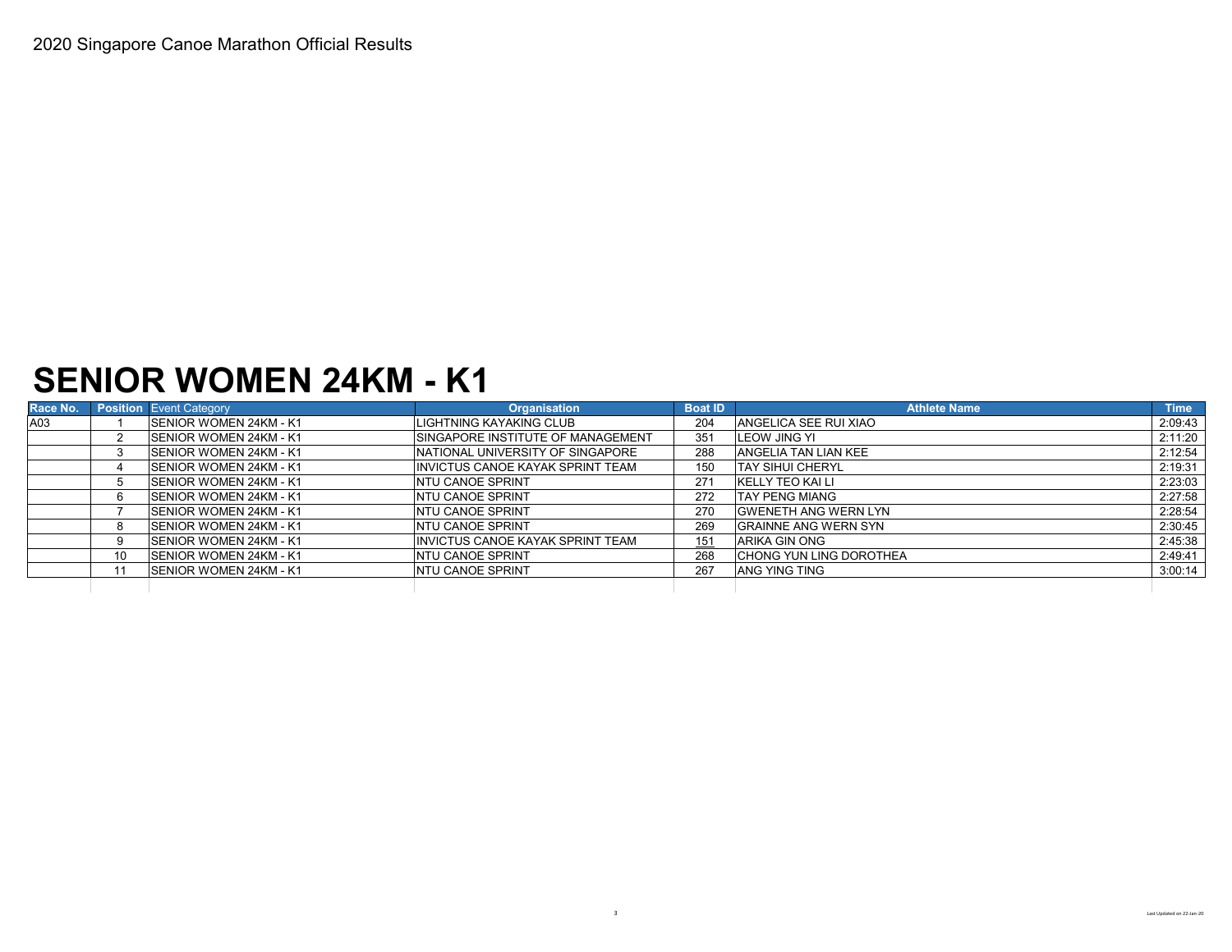### **SENIOR WOMEN 24KM - K1**

| Race No. |    | <b>Position Event Category</b> | <b>Organisation</b>                       | <b>Boat ID</b> | <b>Athlete Name</b>            | <b>Time</b> |
|----------|----|--------------------------------|-------------------------------------------|----------------|--------------------------------|-------------|
| A03      |    | <b>SENIOR WOMEN 24KM - K1</b>  | LIGHTNING KAYAKING CLUB                   | 204            | <b>ANGELICA SEE RUI XIAO</b>   | 2:09:43     |
|          |    | <b>SENIOR WOMEN 24KM - K1</b>  | <b>ISINGAPORE INSTITUTE OF MANAGEMENT</b> | 351            | <b>ILEOW JING YI</b>           | 2:11:20     |
|          |    | <b>SENIOR WOMEN 24KM - K1</b>  | NATIONAL UNIVERSITY OF SINGAPORE          | 288            | <b>ANGELIA TAN LIAN KEE</b>    | 2:12:54     |
|          |    | <b>SENIOR WOMEN 24KM - K1</b>  | <b>INVICTUS CANOE KAYAK SPRINT TEAM</b>   | 150            | <b>TAY SIHUI CHERYL</b>        | 2:19:31     |
|          |    | <b>ISENIOR WOMEN 24KM - K1</b> | <b>INTU CANOE SPRINT</b>                  | 271            | IKELLY TEO KAI LI              | 2:23:03     |
|          |    | <b>ISENIOR WOMEN 24KM - K1</b> | <b>INTU CANOE SPRINT</b>                  | 272            | <b>TAY PENG MIANG</b>          | 2:27:58     |
|          |    | <b>ISENIOR WOMEN 24KM - K1</b> | <b>INTU CANOE SPRINT</b>                  | 270            | <b>GWENETH ANG WERN LYN</b>    | 2:28:54     |
|          |    | <b>ISENIOR WOMEN 24KM - K1</b> | <b>INTU CANOE SPRINT</b>                  | 269            | <b>GRAINNE ANG WERN SYN</b>    | 2:30:45     |
|          |    | <b>ISENIOR WOMEN 24KM - K1</b> | <b>INVICTUS CANOE KAYAK SPRINT TEAM</b>   | 151            | <b>ARIKA GIN ONG</b>           | 2:45:38     |
|          | 10 | SENIOR WOMEN 24KM - K1         | <b>INTU CANOE SPRINT</b>                  | 268            | <b>CHONG YUN LING DOROTHEA</b> | 2:49:41     |
|          |    | <b>ISENIOR WOMEN 24KM - K1</b> | <b>INTU CANOE SPRINT</b>                  | 267            | <b>ANG YING TING</b>           | 3:00:14     |
|          |    |                                |                                           |                |                                |             |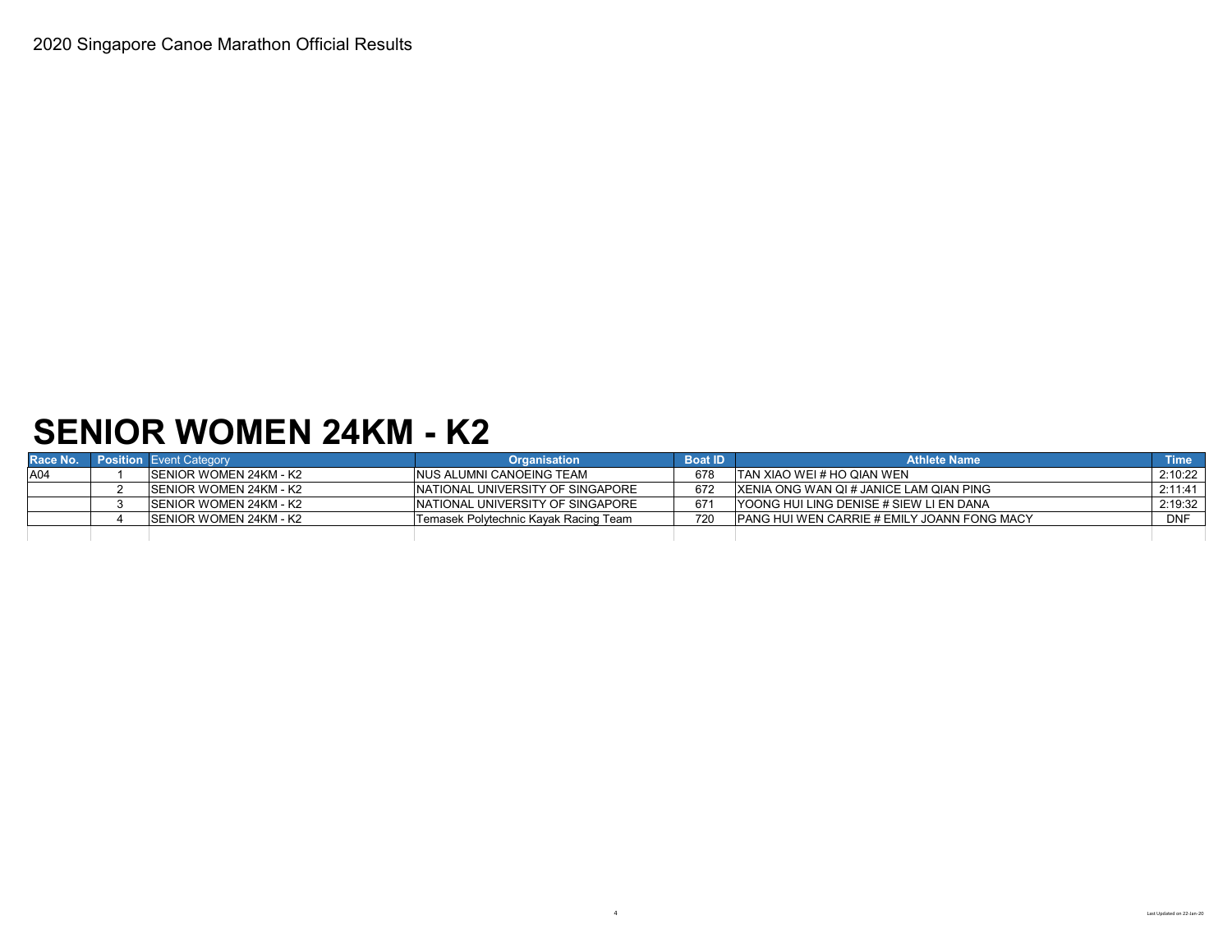## **SENIOR WOMEN 24KM - K2**

| Race No. | <b>Position Event Category</b> | <b>Organisation</b>                   | <b>Boat ID</b> | <b>Athlete Name</b>                                 | <b>Time</b> |
|----------|--------------------------------|---------------------------------------|----------------|-----------------------------------------------------|-------------|
| A04      | ISENIOR WOMEN 24KM - K2        | INUS ALUMNI CANOEING TEAM             | 678            | ITAN XIAO WEI # HO QIAN WEN                         | 2:10:22     |
|          | ISENIOR WOMEN 24KM - K2        | INATIONAL UNIVERSITY OF SINGAPORE     | 672            | IXENIA ONG WAN QI # JANICE LAM QIAN PING            | 2:11:41     |
|          | ISENIOR WOMEN 24KM - K2        | INATIONAL UNIVERSITY OF SINGAPORE     | 671            | YOONG HUI LING DENISE # SIEW LI EN DANA             | 2:19:32     |
|          | ISENIOR WOMEN 24KM - K2        | Temasek Polytechnic Kayak Racing Team | 720            | <b>IPANG HUI WEN CARRIE # EMILY JOANN FONG MACY</b> | <b>DNF</b>  |
|          |                                |                                       |                |                                                     |             |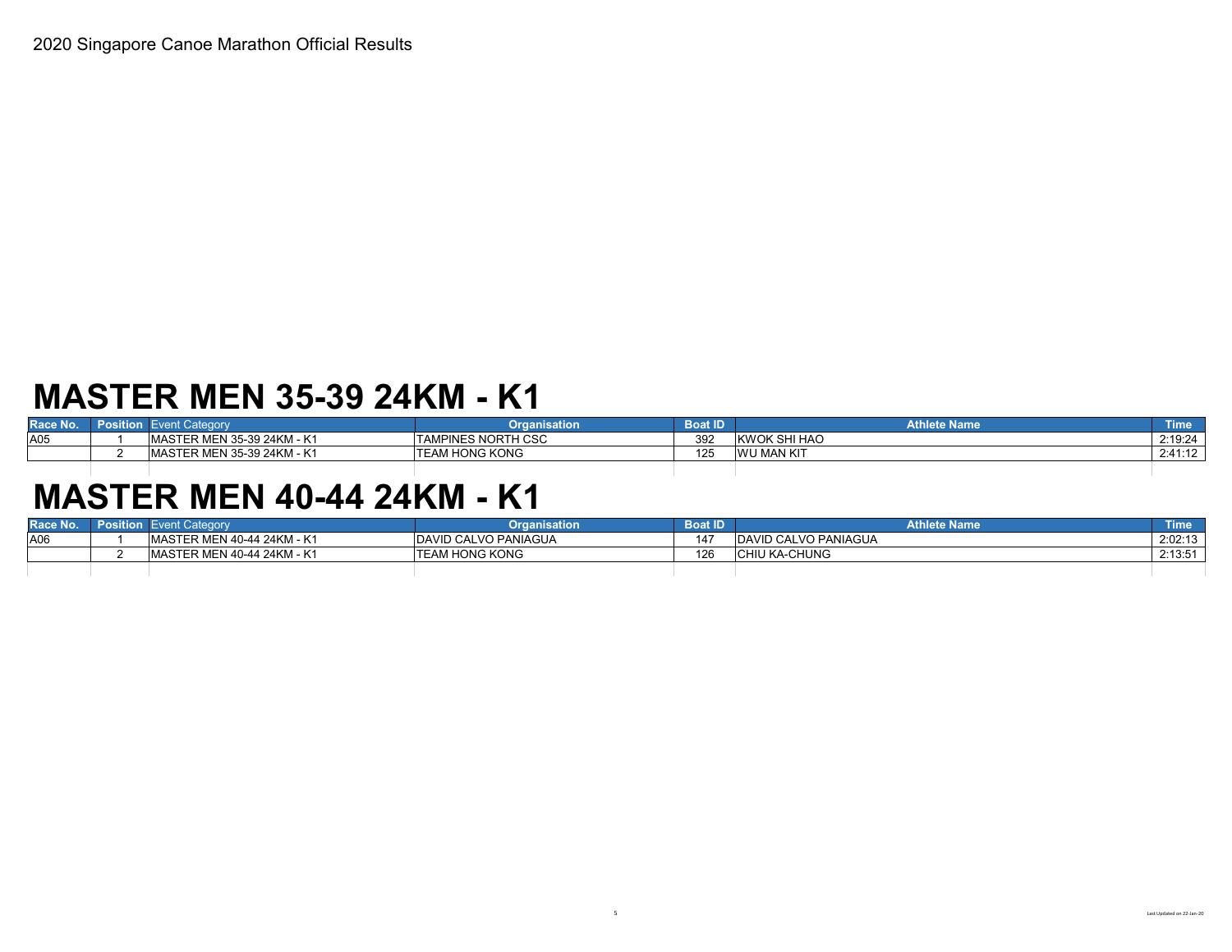## **MASTER MEN 35-39 24KM - K1**

| Race No. | -osition | Categorv<br>en u               | anisation<br>.            | Boat ID | <b>Athlete Name</b> | Time    |
|----------|----------|--------------------------------|---------------------------|---------|---------------------|---------|
| A05      |          | MEN 35-39 24KM - K<br>4ASIER M | <b>TAMPINES NORTH CSC</b> | 392     | KWOK SHI HAO        | 2:19:24 |
|          |          | MASTER MEN 35-39 24KM - K      | <b>ITEAM HONG KONG</b>    | $\sim$  | <b>WU MAN KIT</b>   | 2:41:12 |

## **MASTER MEN 40-44 24KM - K1**

| Race No.        | osition. | Event Category                     | <b>Organisation</b>    | <b>Boat ID</b> | <b>Athlete Name</b>          | <b>Time</b> |
|-----------------|----------|------------------------------------|------------------------|----------------|------------------------------|-------------|
| A <sub>06</sub> |          | <b>IMASTER MEN 40-44 24KM - K1</b> | DAVID CALVO PANIAGUA   | 147            | <b>IDAVID CALVO PANIAGUA</b> | 2:02:13     |
|                 |          | MASTER MEN 40-44 24KM - K1         | <b>ITEAM HONG KONG</b> | 126            | <b>CHIU KA-CHUNG</b>         | 2:13:51     |
|                 |          |                                    |                        |                |                              |             |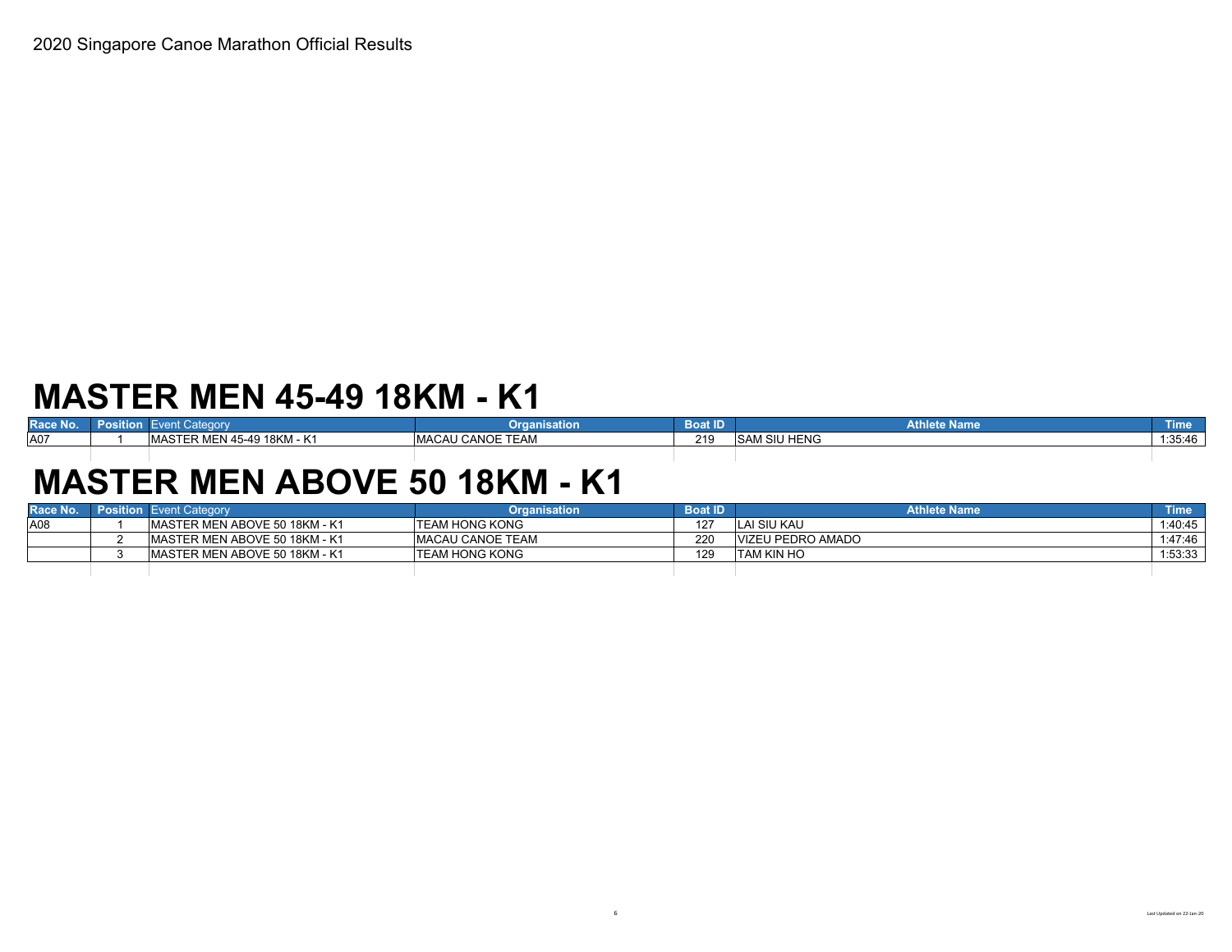## **MASTER MEN 45-49 18KM - K1**

| <b>Contract</b> | .       | Category                                       | --                                                                              | Roat   | <b>MARCH</b>         | ı ıme   |
|-----------------|---------|------------------------------------------------|---------------------------------------------------------------------------------|--------|----------------------|---------|
| Race No.        | osition | .                                              | ınısatıon                                                                       | JUGL I | <b>Athlete Name</b>  |         |
| A07             |         | 18KM - K1<br>MASTE.<br>. .<br>45-49<br>≺ MEN · | TTTAY<br>$\lambda$ $\lambda$ $\Omega$<br><b>MACAU</b><br>.<br>I EAM<br>L CANOE. | 219    | <b>ISAM SIU HENG</b> | 1:35:46 |

# **MASTER MEN ABOVE 50 18KM - K1**

| Race No. | <b>Position</b> Event Category | Organisation             | <b>Boat ID</b> | <b>Athlete Name</b> | \Time <sup>\</sup> |
|----------|--------------------------------|--------------------------|----------------|---------------------|--------------------|
| A08      | IMASTER MEN ABOVE 50 18KM - K1 | <b>ITEAM HONG KONG</b>   | $127 -$        | LAI SIU KAU         | 1:40:45            |
|          | IMASTER MEN ABOVE 50 18KM - K1 | <b>IMACAU CANOE TEAM</b> | 220            | VIZEU PEDRO AMADO   | 1:47:46            |
|          | IMASTER MEN ABOVE 50 18KM - K1 | <b>ITEAM HONG KONG</b>   | 129            | ITAM KIN HO         | 1:53:33            |
|          |                                |                          |                |                     |                    |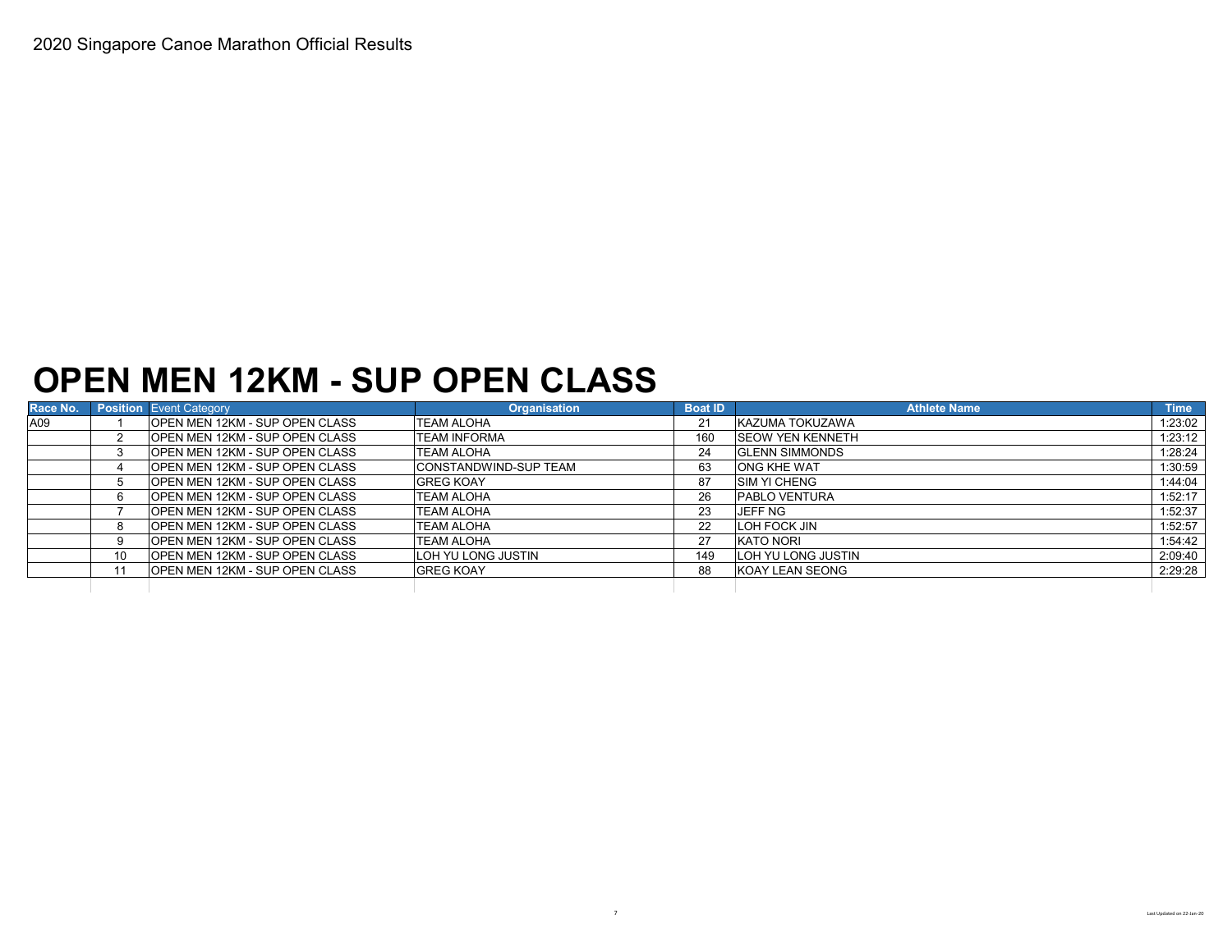### **OPEN MEN 12KM - SUP OPEN CLASS**

| Race No. |    | <b>Position</b> Event Category         | <b>Organisation</b>           | <b>Boat ID</b> | <b>Athlete Name</b>      | <b>Time</b> |
|----------|----|----------------------------------------|-------------------------------|----------------|--------------------------|-------------|
| A09      |    | <b>IOPEN MEN 12KM - SUP OPEN CLASS</b> | TEAM ALOHA                    | 21             | KAZUMA TOKUZAWA          | 1:23:02     |
|          |    | <b>IOPEN MEN 12KM - SUP OPEN CLASS</b> | <b>TEAM INFORMA</b>           | 160            | <b>ISEOW YEN KENNETH</b> | 1:23:12     |
|          |    | <b>IOPEN MEN 12KM - SUP OPEN CLASS</b> | <b>TEAM ALOHA</b>             | 24             | <b>GLENN SIMMONDS</b>    | 1:28:24     |
|          |    | <b>IOPEN MEN 12KM - SUP OPEN CLASS</b> | <b>ICONSTANDWIND-SUP TEAM</b> | 63             | <b>ONG KHE WAT</b>       | 1:30:59     |
|          |    | IOPEN MEN 12KM - SUP OPEN CLASS        | <b>GREG KOAY</b>              | 87             | <b>ISIM YI CHENG</b>     | 1:44:04     |
|          |    | <b>IOPEN MEN 12KM - SUP OPEN CLASS</b> | <b>TEAM ALOHA</b>             | 26             | <b>PABLO VENTURA</b>     | 1:52:17     |
|          |    | OPEN MEN 12KM - SUP OPEN CLASS         | <b>TEAM ALOHA</b>             | 23             | JEFF NG                  | 1:52:37     |
|          |    | OPEN MEN 12KM - SUP OPEN CLASS         | TEAM ALOHA                    | 22             | <b>LOH FOCK JIN</b>      | 1:52:57     |
|          |    | <b>IOPEN MEN 12KM - SUP OPEN CLASS</b> | <b>TEAM ALOHA</b>             | 27             | <b>KATO NORI</b>         | 1:54:42     |
|          | 10 | <b>IOPEN MEN 12KM - SUP OPEN CLASS</b> | LOH YU LONG JUSTIN            | 149            | LOH YU LONG JUSTIN       | 2:09:40     |
|          |    | <b>OPEN MEN 12KM - SUP OPEN CLASS</b>  | <b>GREG KOAY</b>              | 88             | KOAY LEAN SEONG          | 2:29:28     |
|          |    |                                        |                               |                |                          |             |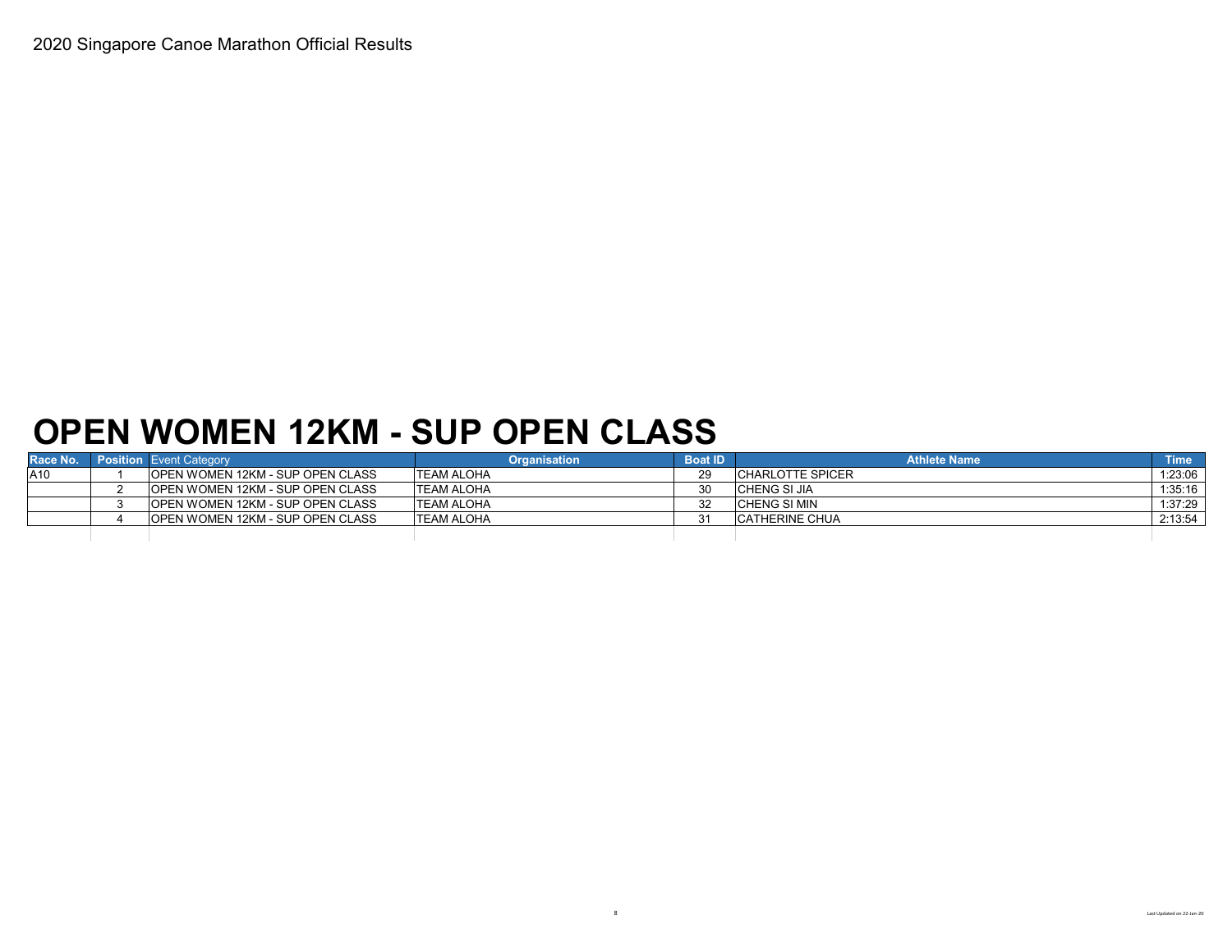# **OPEN WOMEN 12KM - SUP OPEN CLASS**

| Race No. | <b>Position</b> Event Category           | Organisation       | <b>Boat ID</b> | <b>Athlete Name</b>   | <b>Time</b> |
|----------|------------------------------------------|--------------------|----------------|-----------------------|-------------|
| A10      | <b>IOPEN WOMEN 12KM - SUP OPEN CLASS</b> | <b>TEAM ALOHA</b>  | 29             | ICHARLOTTE SPICER     | 1:23:06     |
|          | <b>IOPEN WOMEN 12KM - SUP OPEN CLASS</b> | <b>ITEAM ALOHA</b> | 30             | ICHENG SI JIA         | 1:35:16     |
|          | <b>OPEN WOMEN 12KM - SUP OPEN CLASS</b>  | <b>ITEAM ALOHA</b> | 32             | ICHENG SI MIN         | 1:37:29     |
|          | <b>OPEN WOMEN 12KM - SUP OPEN CLASS</b>  | <b>TEAM ALOHA</b>  |                | <b>CATHERINE CHUA</b> | 2:13:54     |
|          |                                          |                    |                |                       |             |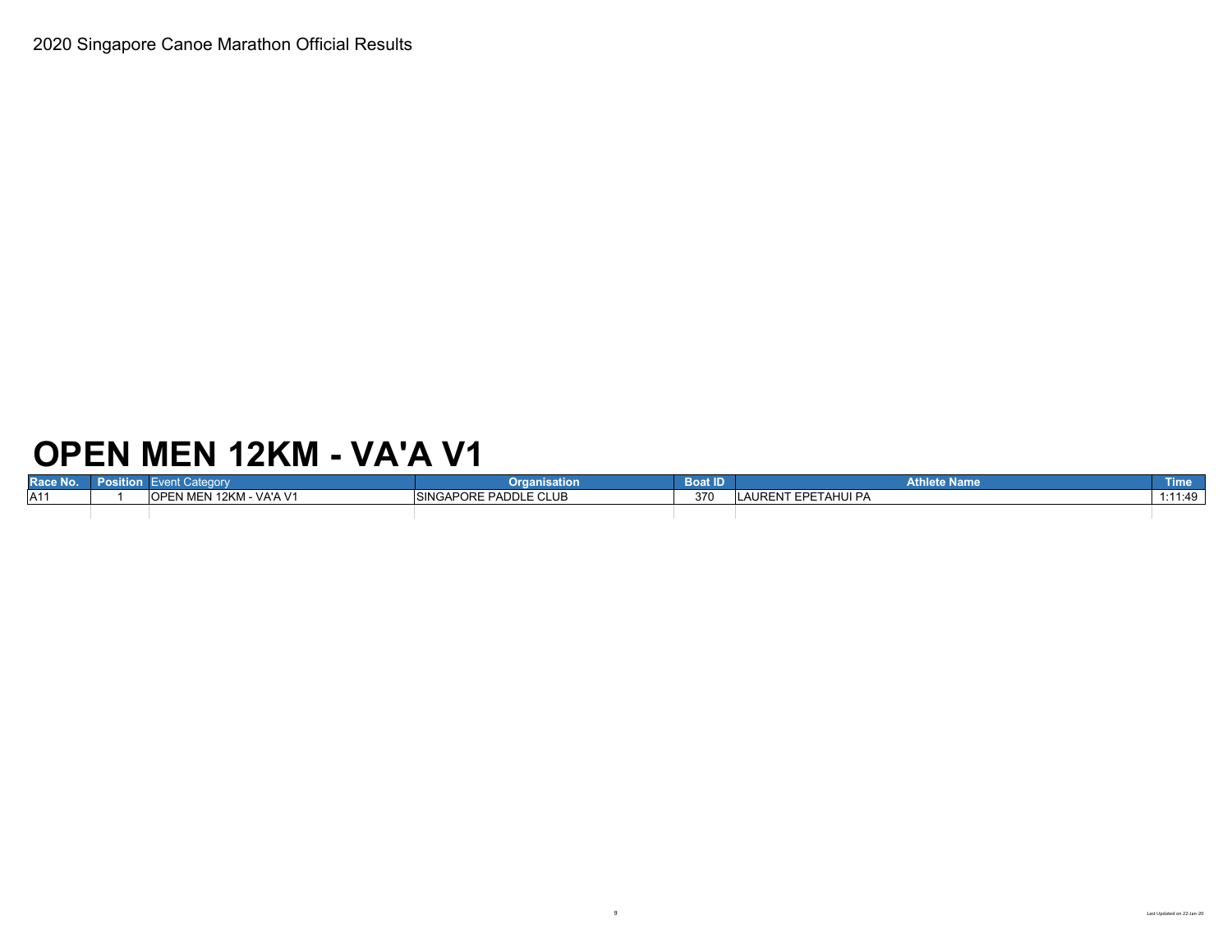## **OPEN MEN 12KM - VA'A V1**

| Race No. | ategory                 | Organisation                 | <b>Boat ID</b> | <b>Athlete Name</b> | <b>Time</b> |
|----------|-------------------------|------------------------------|----------------|---------------------|-------------|
| A11      | OPEN MEN 12KM - VA'A V1 | <b>SINGAPORE PADDLE CLUB</b> | 370            | AURENT EPETAHUI PA  | 1:11:49     |
|          |                         |                              |                |                     |             |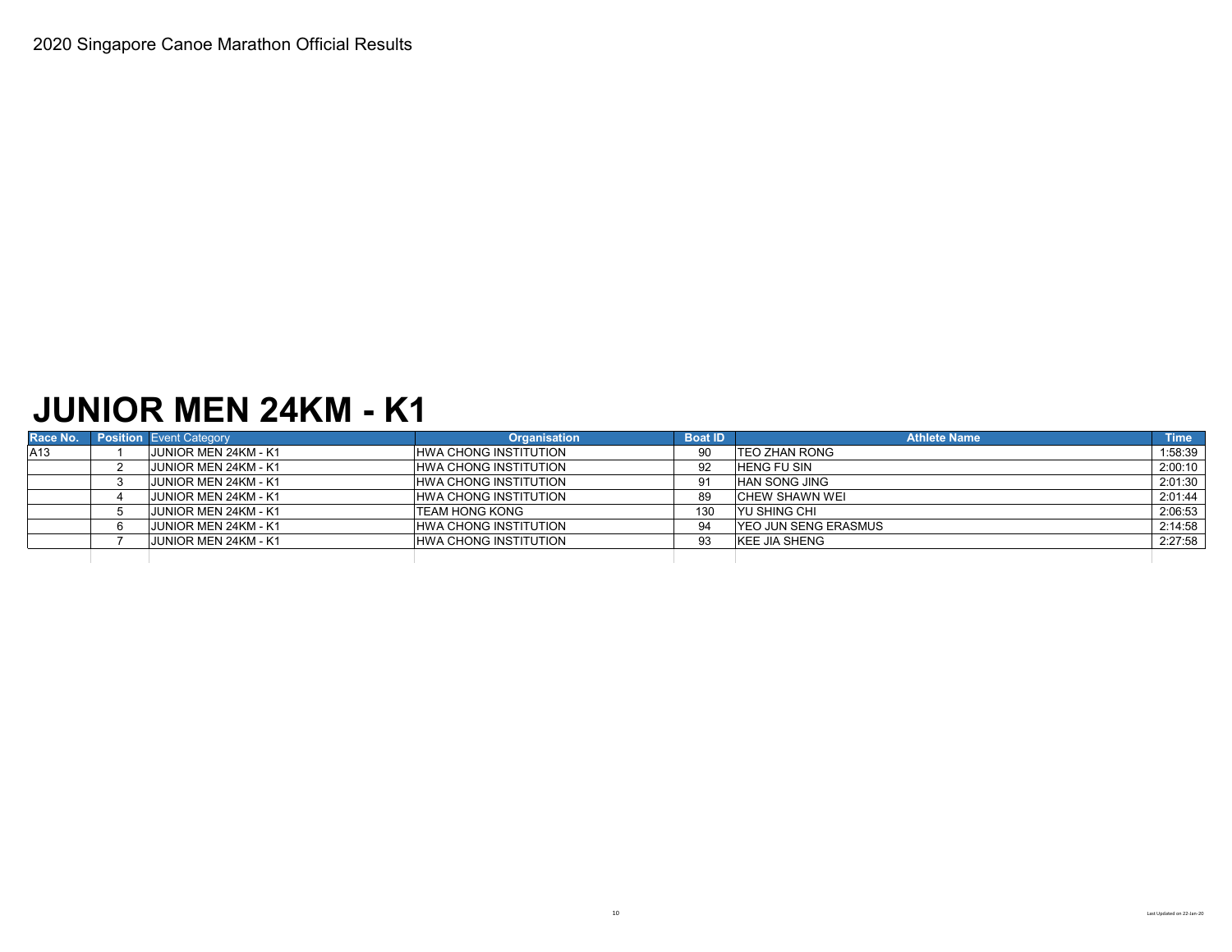### **JUNIOR MEN 24KM - K1**

| Race No. | <b>Position Event Category</b> | <b>Organisation</b>          | <b>Boat ID</b> | <b>Athlete Name</b>          | <b>Time</b> |
|----------|--------------------------------|------------------------------|----------------|------------------------------|-------------|
| A13      | JUNIOR MEN 24KM - K1           | <b>HWA CHONG INSTITUTION</b> | 90             | <b>ITEO ZHAN RONG</b>        | 1:58:39     |
|          | <b>JUNIOR MEN 24KM - K1</b>    | <b>HWA CHONG INSTITUTION</b> | 92             | <b>HENG FU SIN</b>           | 2:00:10     |
|          | <b>JUNIOR MEN 24KM - K1</b>    | <b>HWA CHONG INSTITUTION</b> | 91             | <b>HAN SONG JING</b>         | 2:01:30     |
|          | <b>JUNIOR MEN 24KM - K1</b>    | HWA CHONG INSTITUTION        | 89             | <b>CHEW SHAWN WEI</b>        | 2:01:44     |
|          | <b>JUNIOR MEN 24KM - K1</b>    | <b>TEAM HONG KONG</b>        | 130            | IYU SHING CHI                | 2:06:53     |
|          | <b>JUNIOR MEN 24KM - K1</b>    | <b>HWA CHONG INSTITUTION</b> | 94             | <b>IYEO JUN SENG ERASMUS</b> | 2:14:58     |
|          | <b>JUNIOR MEN 24KM - K1</b>    | <b>HWA CHONG INSTITUTION</b> | 93             | <b>KEE JIA SHENG</b>         | 2:27:58     |
|          |                                |                              |                |                              |             |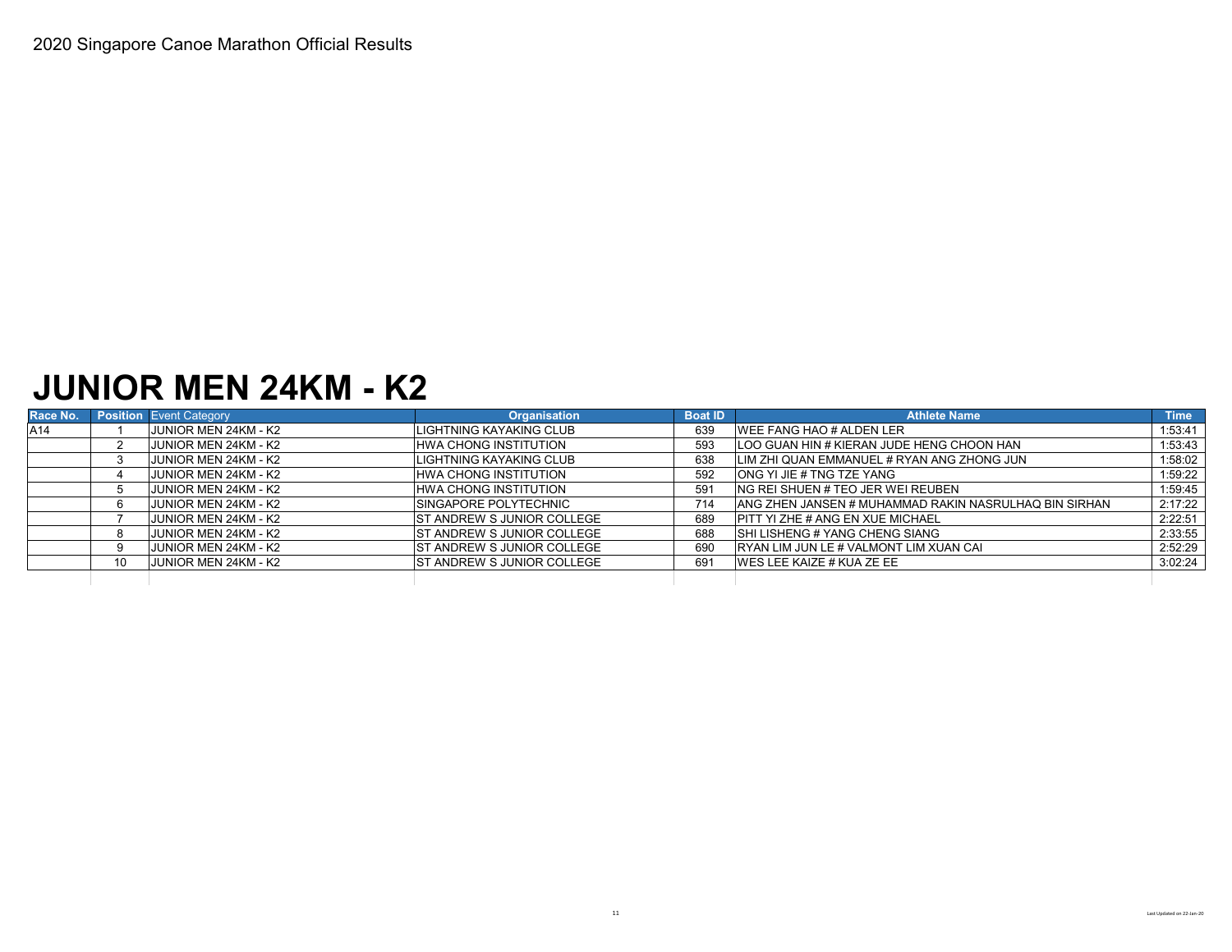#### **JUNIOR MEN 24KM - K2**

| Race No. |     | <b>Position Event Category</b> | <b>Organisation</b>                | <b>Boat ID</b> | <b>Athlete Name</b>                                   | <b>Time</b> |
|----------|-----|--------------------------------|------------------------------------|----------------|-------------------------------------------------------|-------------|
| A14      |     | JUNIOR MEN 24KM - K2           | LIGHTNING KAYAKING CLUB            | 639            | <b>IWEE FANG HAO # ALDEN LER</b>                      | 1:53:41     |
|          |     | <b>JUNIOR MEN 24KM - K2</b>    | <b>HWA CHONG INSTITUTION</b>       | 593            | LOO GUAN HIN # KIERAN JUDE HENG CHOON HAN             | 1:53:43     |
|          |     | <b>JUNIOR MEN 24KM - K2</b>    | LIGHTNING KAYAKING CLUB            | 638            | LIM ZHI QUAN EMMANUEL # RYAN ANG ZHONG JUN            | 1:58:02     |
|          |     | <b>JUNIOR MEN 24KM - K2</b>    | <b>HWA CHONG INSTITUTION</b>       | 592            | <b>ONG YI JIE # TNG TZE YANG</b>                      | 1:59:22     |
|          |     | JUNIOR MEN 24KM - K2           | <b>HWA CHONG INSTITUTION</b>       | 591            | ING REI SHUEN # TEO JER WEI REUBEN                    | 1:59:45     |
|          |     | JUNIOR MEN 24KM - K2           | <b>ISINGAPORE POLYTECHNIC</b>      | 714            | ANG ZHEN JANSEN # MUHAMMAD RAKIN NASRULHAQ BIN SIRHAN | 2:17:22     |
|          |     | JUNIOR MEN 24KM - K2           | IST ANDREW S JUNIOR COLLEGE        | 689            | <b>PITT YI ZHE # ANG EN XUE MICHAEL</b>               | 2:22:51     |
|          |     | JUNIOR MEN 24KM - K2           | <b>IST ANDREW S JUNIOR COLLEGE</b> | 688            | <b>SHI LISHENG # YANG CHENG SIANG</b>                 | 2:33:55     |
|          |     | JUNIOR MEN 24KM - K2           | <b>IST ANDREW S JUNIOR COLLEGE</b> | 690            | IRYAN LIM JUN LE # VALMONT LIM XUAN CAI               | 2:52:29     |
|          | 10. | JUNIOR MEN 24KM - K2           | <b>IST ANDREW S JUNIOR COLLEGE</b> | 691            | <b>IWES LEE KAIZE # KUA ZE EE</b>                     | 3:02:24     |
|          |     |                                |                                    |                |                                                       |             |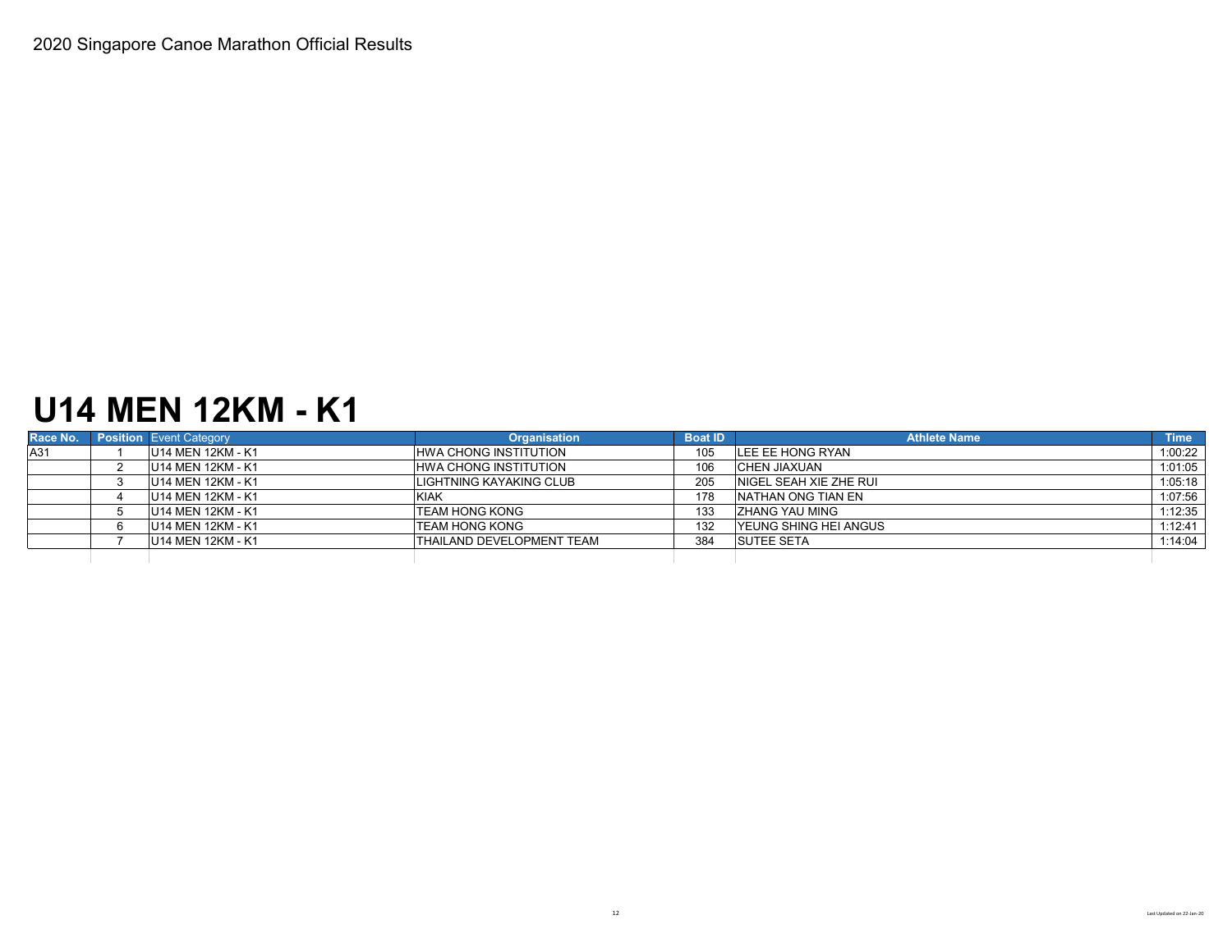## **U14 MEN 12KM - K1**

| Race No. | <b>Position</b> Event Category | <b>Organisation</b>              | <b>Boat ID</b> | <b>Athlete Name</b>           | <b>Time</b> |
|----------|--------------------------------|----------------------------------|----------------|-------------------------------|-------------|
| A31      | U14 MEN 12KM - K1              | <b>HWA CHONG INSTITUTION</b>     | 105            | LEE EE HONG RYAN              | 1:00:22     |
|          | U14 MEN 12KM - K1              | <b>HWA CHONG INSTITUTION</b>     | 106            | <b>CHEN JIAXUAN</b>           | 1:01:05     |
|          | U14 MEN 12KM - K1              | LIGHTNING KAYAKING CLUB          | 205            | NIGEL SEAH XIE ZHE RUI        | 1:05:18     |
|          | U14 MEN 12KM - K1              | <b>KIAK</b>                      | 178            | <b>INATHAN ONG TIAN EN</b>    | 1:07:56     |
|          | U14 MEN 12KM - K1              | <b>TEAM HONG KONG</b>            | 133            | <b>ZHANG YAU MING</b>         | 1:12:35     |
|          | U14 MEN 12KM - K1              | <b>TEAM HONG KONG</b>            | 132            | <b>IYEUNG SHING HEI ANGUS</b> | 1:12:41     |
|          | U14 MEN 12KM - K1              | <b>THAILAND DEVELOPMENT TEAM</b> | 384            | <b>SUTEE SETA</b>             | 1:14:04     |
|          |                                |                                  |                |                               |             |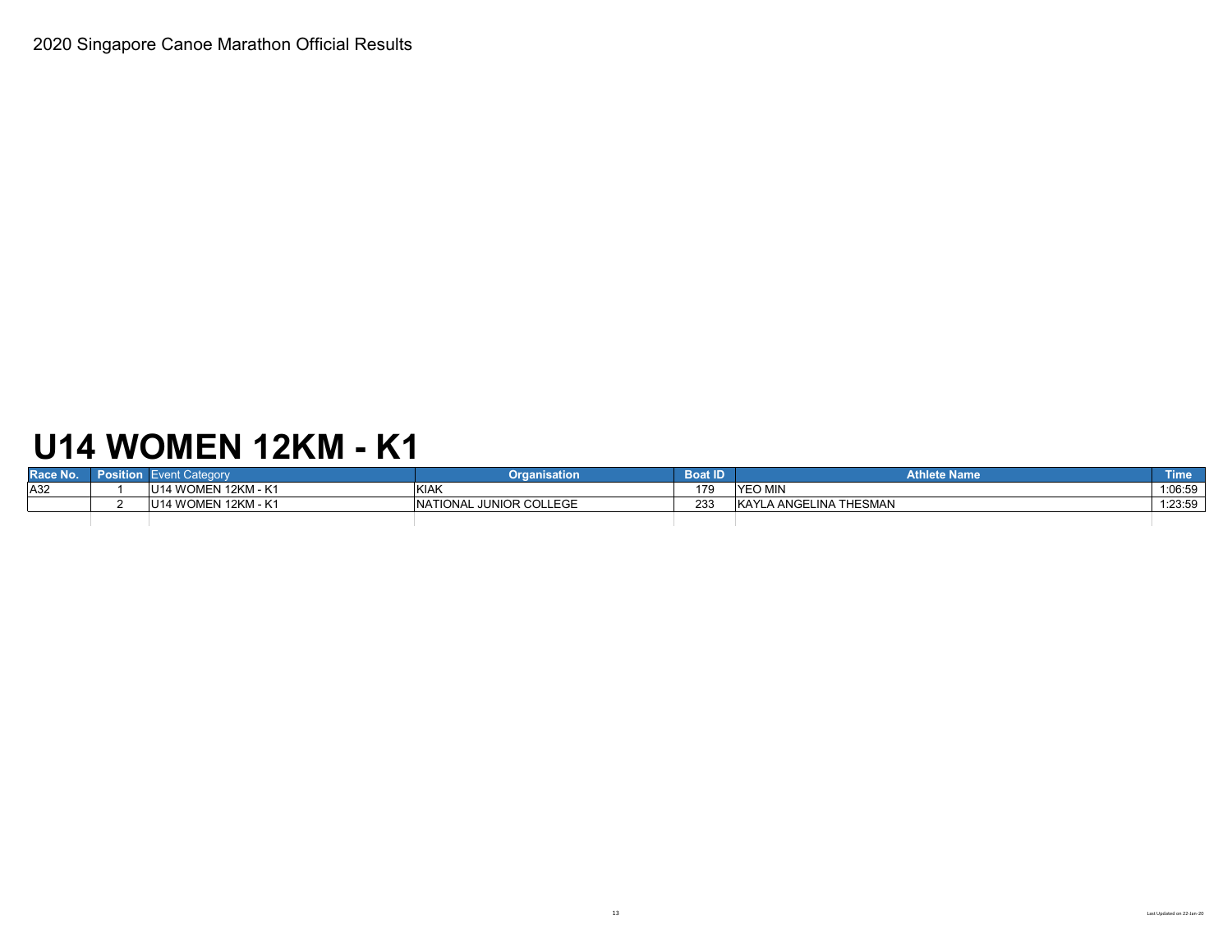# **U14 WOMEN 12KM - K1**

| Race No. | Position | <b>Event Category</b> | Organisation            | <b>Boat ID</b> | <b>Athlete Name</b>    | <b>Time</b> |
|----------|----------|-----------------------|-------------------------|----------------|------------------------|-------------|
| A32      |          | U14 WOMEN 12KM - K1   | <b>KIAK</b>             | 179            | <b>YEO MIN</b>         | 1:06:59     |
|          |          | U14 WOMEN 12KM - K1   | NATIONAL JUNIOR COLLEGE | 233            | KAYLA ANGELINA THESMAN | 1:23:59     |
|          |          |                       |                         |                |                        |             |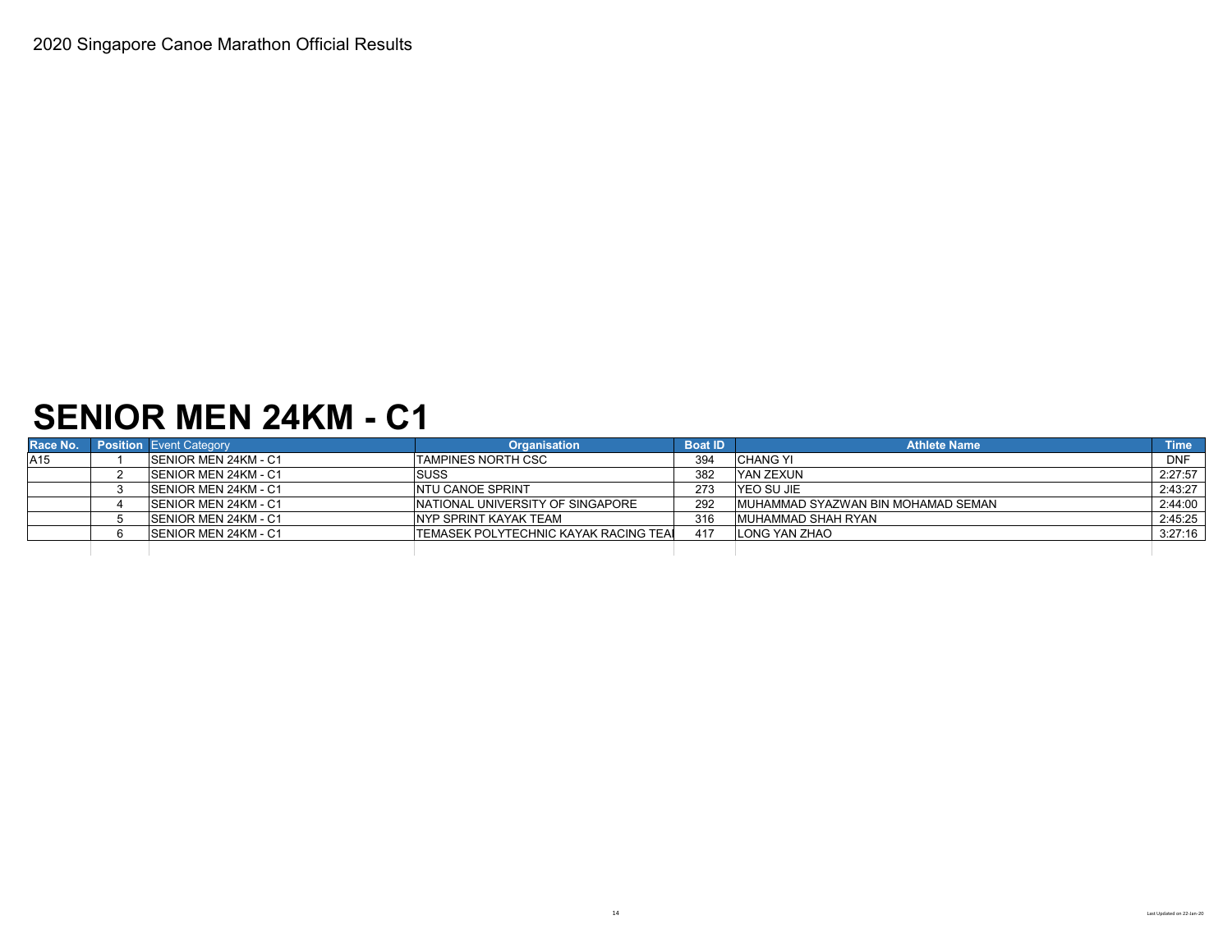## **SENIOR MEN 24KM - C1**

| Race No. | <b>Position</b> Event Category | <b>Organisation</b>                          | <b>Boat ID</b> | <b>Athlete Name</b>                | <b>Time</b> |
|----------|--------------------------------|----------------------------------------------|----------------|------------------------------------|-------------|
| A15      | <b>SENIOR MEN 24KM - C1</b>    | <b>ITAMPINES NORTH CSC</b>                   | 394            | <b>CHANG YI</b>                    | <b>DNF</b>  |
|          | <b>SENIOR MEN 24KM - C1</b>    | <b>SUSS</b>                                  | 382            | YAN ZEXUN                          | 2:27:57     |
|          | <b>SENIOR MEN 24KM - C1</b>    | <b>NTU CANOE SPRINT</b>                      | 273            | YEO SU JIE                         | 2:43:27     |
|          | <b>SENIOR MEN 24KM - C1</b>    | INATIONAL UNIVERSITY OF SINGAPORE            | 292            | MUHAMMAD SYAZWAN BIN MOHAMAD SEMAN | 2:44:00     |
|          | <b>SENIOR MEN 24KM - C1</b>    | NYP SPRINT KAYAK TEAM                        | 316            | <b>MUHAMMAD SHAH RYAN</b>          | 2:45:25     |
|          | SENIOR MEN 24KM - C1           | <b>TEMASEK POLYTECHNIC KAYAK RACING TEAL</b> |                | LONG YAN ZHAO                      | 3:27:16     |
|          |                                |                                              |                |                                    |             |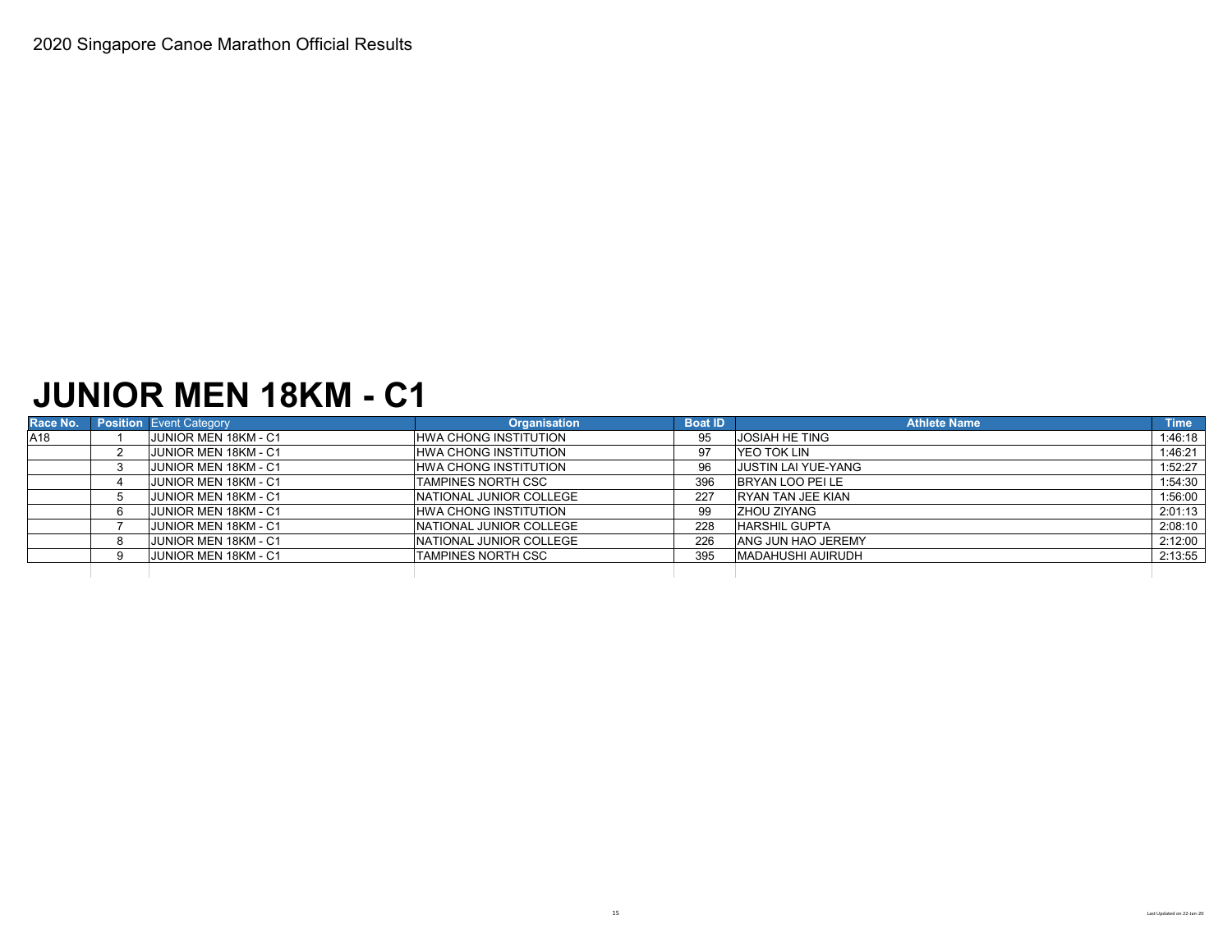#### **JUNIOR MEN 18KM - C1**

| Race No. | <b>Position Event Category</b> | <b>Organisation</b>             | <b>Boat ID</b> | <b>Athlete Name</b>        | <b>Time</b> |
|----------|--------------------------------|---------------------------------|----------------|----------------------------|-------------|
| A18      | JUNIOR MEN 18KM - C1           | <b>HWA CHONG INSTITUTION</b>    | 95             | <b>JOSIAH HE TING</b>      | 1:46:18     |
|          | JUNIOR MEN 18KM - C1           | <b>HWA CHONG INSTITUTION</b>    | 97             | YEO TOK LIN                | 1:46:21     |
|          | JUNIOR MEN 18KM - C1           | HWA CHONG INSTITUTION           | 96             | <b>JUSTIN LAI YUE-YANG</b> | 1:52:27     |
|          | JUNIOR MEN 18KM - C1           | <b>TAMPINES NORTH CSC</b>       | 396            | BRYAN LOO PEI LE           | 1:54:30     |
|          | JUNIOR MEN 18KM - C1           | <b>INATIONAL JUNIOR COLLEGE</b> | 227            | <b>IRYAN TAN JEE KIAN</b>  | 1:56:00     |
|          | <b>JUNIOR MEN 18KM - C1</b>    | <b>HWA CHONG INSTITUTION</b>    | 99             | IZHOU ZIYANG               | 2:01:13     |
|          | JUNIOR MEN 18KM - C1           | <b>INATIONAL JUNIOR COLLEGE</b> | 228            | <b>HARSHIL GUPTA</b>       | 2:08:10     |
|          | JUNIOR MEN 18KM - C1           | <b>INATIONAL JUNIOR COLLEGE</b> | 226            | <b>ANG JUN HAO JEREMY</b>  | 2:12:00     |
|          | JUNIOR MEN 18KM - C1           | TAMPINES NORTH CSC              | 395            | <b>MADAHUSHI AUIRUDH</b>   | 2:13:55     |
|          |                                |                                 |                |                            |             |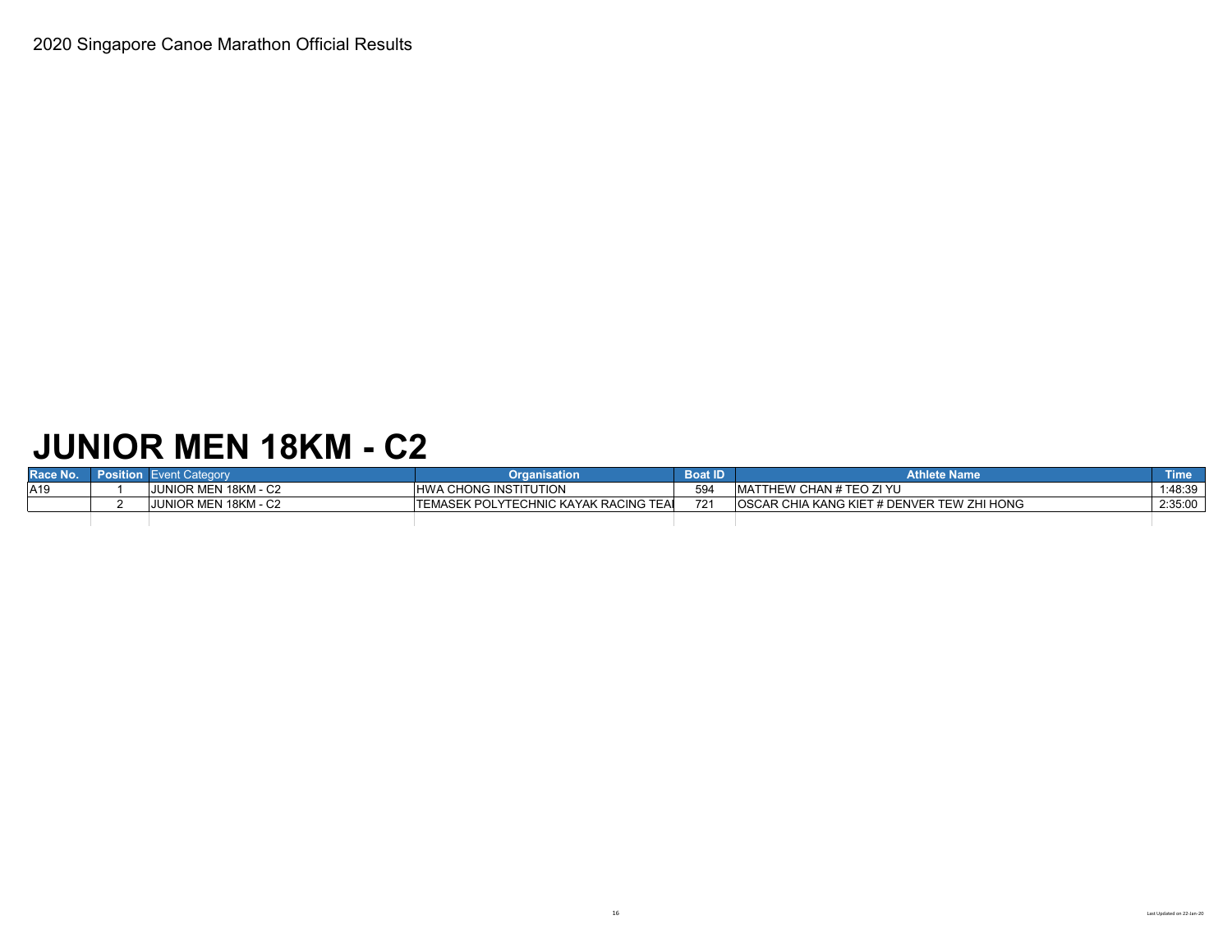# **JUNIOR MEN 18KM - C2**

| Race No.        | <b>Position</b> Event Category | Organisation                           | <b>Boat ID</b> | <b>Athlete Name</b>                                | Time    |
|-----------------|--------------------------------|----------------------------------------|----------------|----------------------------------------------------|---------|
| A <sub>19</sub> | JUNIOR MEN 18KM - C2           | <b>HWA CHONG INSTITUTION</b>           | 594            | <b>IMATTHEW CHAN # TEO ZI YU</b>                   | 1:48:39 |
|                 | <b>JUNIOR MEN 18KM - C2</b>    | ITEMASEK POLYTECHNIC KAYAK RACING TEAL | 721            | <b>IOSCAR CHIA KANG KIET # DENVER TEW ZHI HONG</b> | 2:35:00 |
|                 |                                |                                        |                |                                                    |         |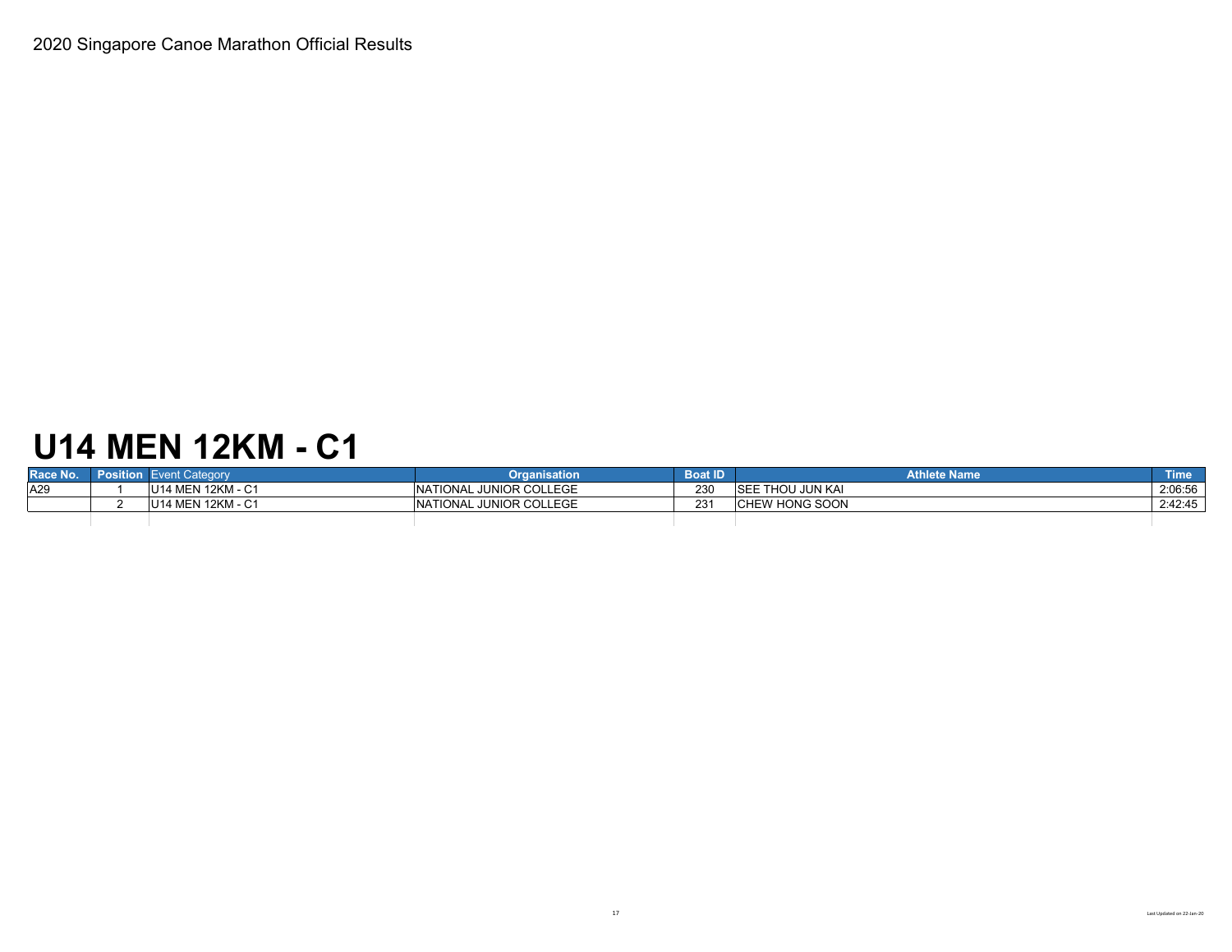# **U14 MEN 12KM - C1**

| Race No. | Position Event Category | Organisation                        | <b>Boat ID</b> | Athlete Name             | <b>Time</b> |
|----------|-------------------------|-------------------------------------|----------------|--------------------------|-------------|
| A29      | U14 MEN 12KM - C1       | <b>NATIONAL JUNIOR COLLEGE</b>      | 230            | <b>ISEE THOU JUN KAI</b> | 2:06:56     |
|          | U14 MEN 12KM - C1       | L JUNIOR COLLEGE<br><b>NATIONAL</b> | י מח<br>دے     | <b>CHEW HONG SOON</b>    | 2:42:45     |
|          |                         |                                     |                |                          |             |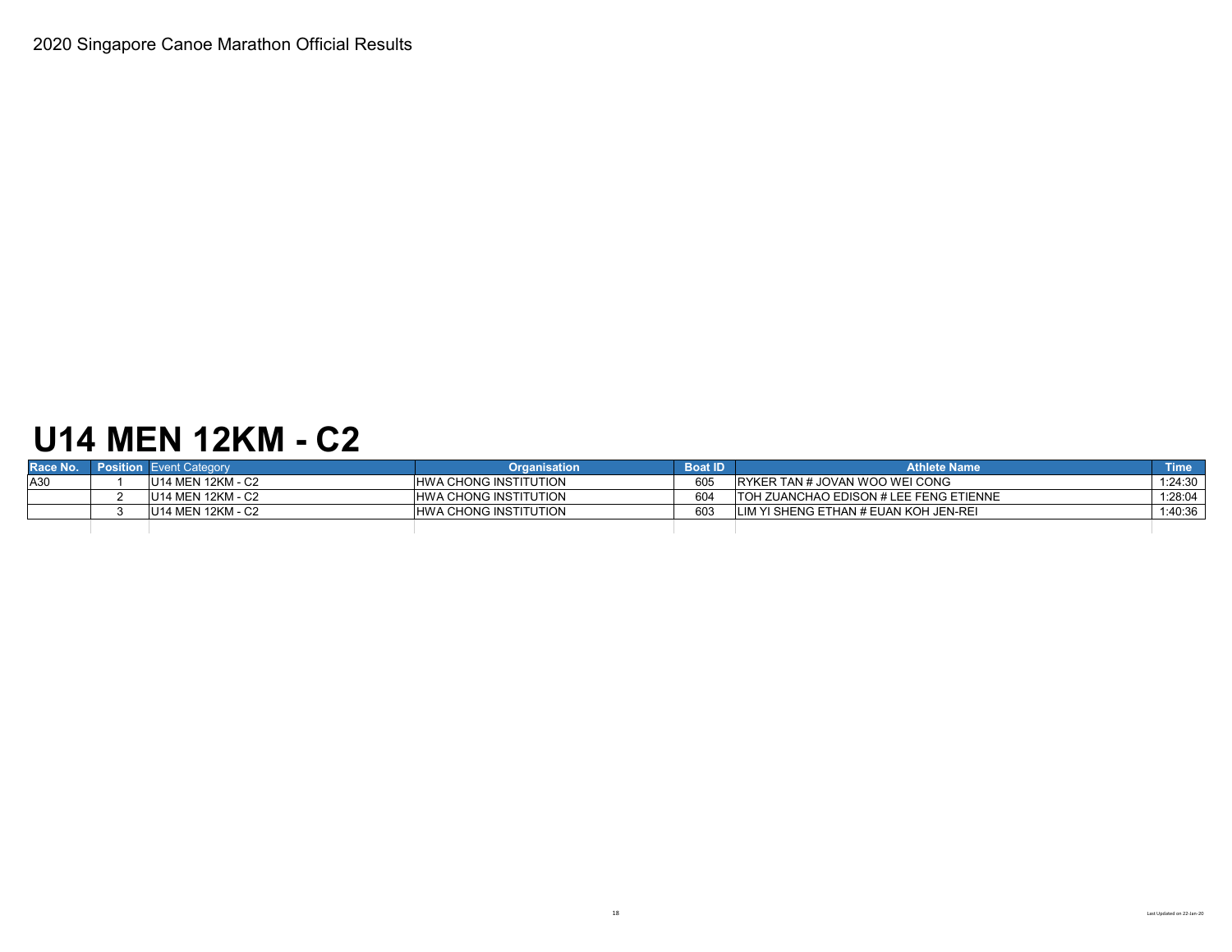### **U14 MEN 12KM - C2**

| Race No. | <b>Position Event Category</b> | <b>Organisation</b>          | <b>Boat ID</b> | <b>Athlete Name</b>                     | <b>Time</b> |
|----------|--------------------------------|------------------------------|----------------|-----------------------------------------|-------------|
| A30      | U14 MEN 12KM - C2              | <b>HWA CHONG INSTITUTION</b> | 605            | IRYKER TAN # JOVAN WOO WEI CONG         | 1:24:30     |
|          | U14 MEN 12KM - C2              | <b>HWA CHONG INSTITUTION</b> | 604            | ITOH ZUANCHAO EDISON # LEE FENG ETIENNE | 1:28:04     |
|          | <b>U14 MEN 12KM - C2</b>       | <b>HWA CHONG INSTITUTION</b> | 603            | LIM YI SHENG ETHAN # EUAN KOH JEN-REI   | 1:40:36     |
|          |                                |                              |                |                                         |             |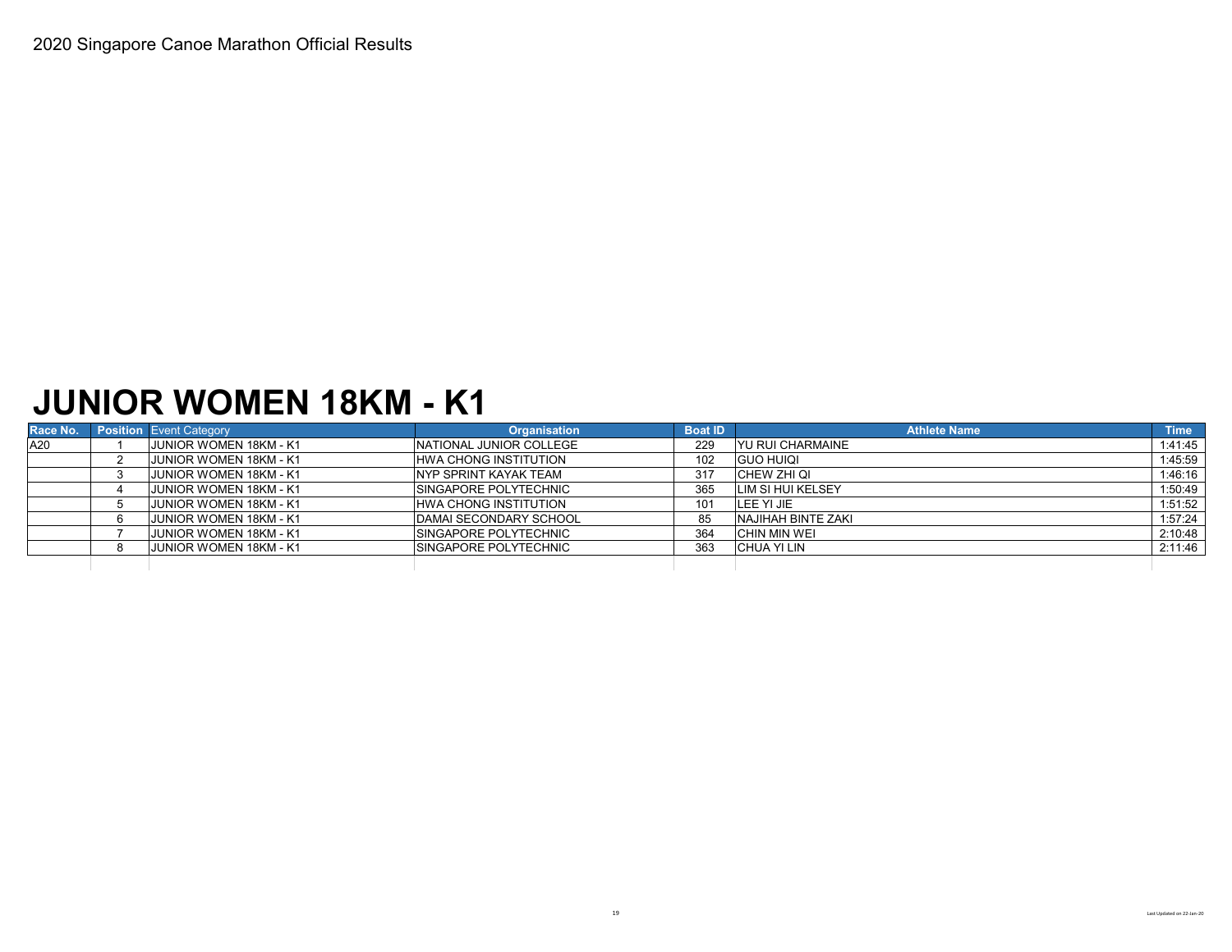### **JUNIOR WOMEN 18KM - K1**

| Race No. | <b>Position</b> Event Category | <b>Organisation</b>           | <b>Boat ID</b> | <b>Athlete Name</b>        | <b>Time</b> |
|----------|--------------------------------|-------------------------------|----------------|----------------------------|-------------|
| A20      | JUNIOR WOMEN 18KM - K1         | NATIONAL JUNIOR COLLEGE       | 229            | <b>YU RUI CHARMAINE</b>    | 1:41:45     |
|          | JUNIOR WOMEN 18KM - K1         | <b>HWA CHONG INSTITUTION</b>  | 102            | <b>GUO HUIQI</b>           | 1:45:59     |
|          | <b>JUNIOR WOMEN 18KM - K1</b>  | <b>INYP SPRINT KAYAK TEAM</b> | 317            | CHEW ZHI QI                | 1:46:16     |
|          | <b>JUNIOR WOMEN 18KM - K1</b>  | <b>SINGAPORE POLYTECHNIC</b>  | 365            | <b>LIM SI HUI KELSEY</b>   | 1:50:49     |
|          | <b>JUNIOR WOMEN 18KM - K1</b>  | <b>HWA CHONG INSTITUTION</b>  | 101            | LEE YI JIE                 | 1:51:52     |
|          | <b>JUNIOR WOMEN 18KM - K1</b>  | <b>DAMAI SECONDARY SCHOOL</b> | 85             | <b>INAJIHAH BINTE ZAKI</b> | 1:57:24     |
|          | <b>JUNIOR WOMEN 18KM - K1</b>  | <b>SINGAPORE POLYTECHNIC</b>  | 364            | <b>CHIN MIN WEI</b>        | 2:10:48     |
|          | <b>JUNIOR WOMEN 18KM - K1</b>  | <b>SINGAPORE POLYTECHNIC</b>  | 363            | CHUA YI LIN                | 2:11:46     |
|          |                                |                               |                |                            |             |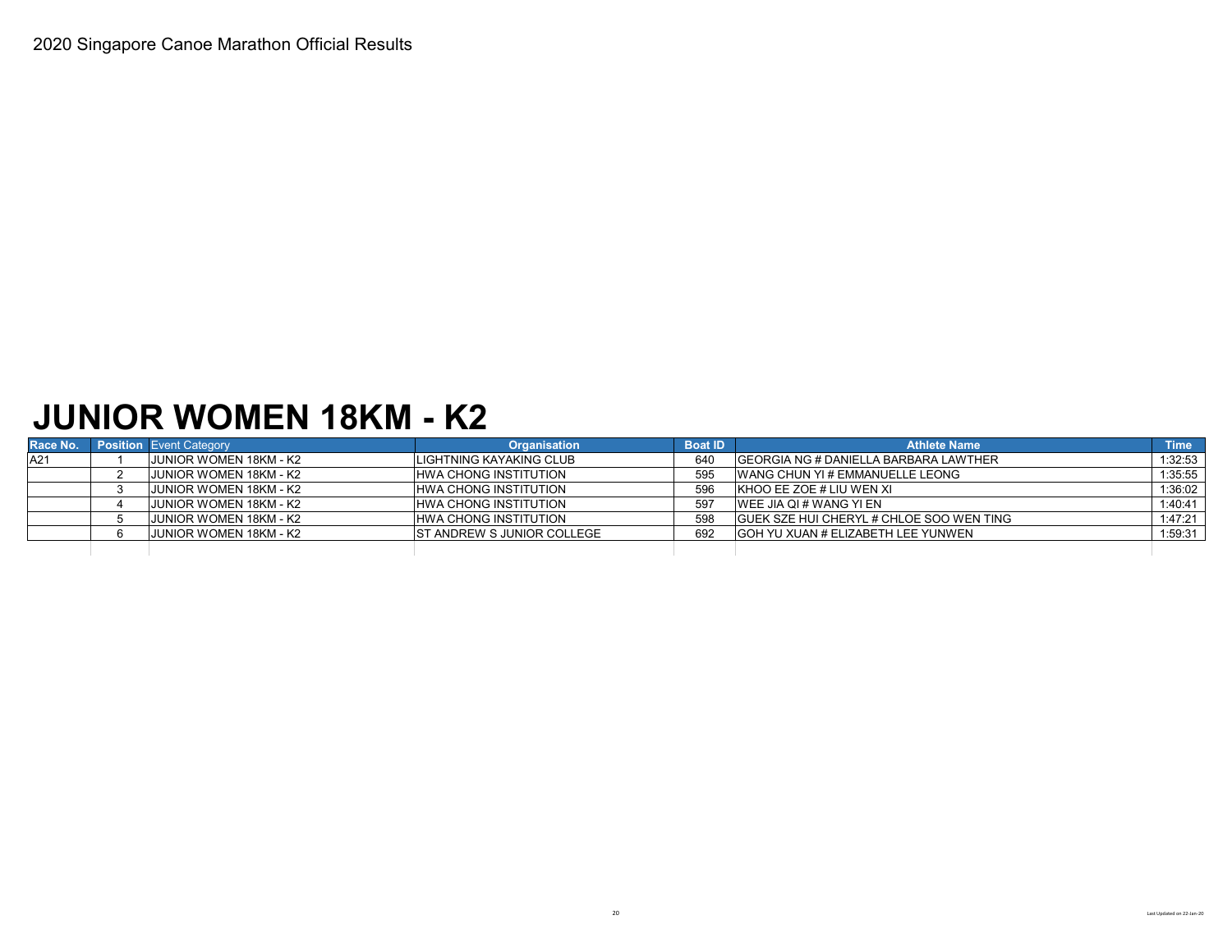### **JUNIOR WOMEN 18KM - K2**

| Race No. | <b>Position Event Category</b> | <b>Organisation</b>               | <b>Boat ID</b> | <b>Athlete Name</b>                              | <b>Time</b> |
|----------|--------------------------------|-----------------------------------|----------------|--------------------------------------------------|-------------|
| A21      | <b>JUNIOR WOMEN 18KM - K2</b>  | LIGHTNING KAYAKING CLUB           | 640            | <b>IGEORGIA NG # DANIELLA BARBARA LAWTHER</b>    | 1:32:53     |
|          | JUNIOR WOMEN 18KM - K2         | <b>HWA CHONG INSTITUTION</b>      | 595            | <b>WANG CHUN YI # EMMANUELLE LEONG</b>           | 1:35:55     |
|          | <b>JUNIOR WOMEN 18KM - K2</b>  | <b>HWA CHONG INSTITUTION</b>      | 596            | KHOO EE ZOE # LIU WEN XI                         | 1:36:02     |
|          | JUNIOR WOMEN 18KM - K2         | <b>HWA CHONG INSTITUTION</b>      | 597            | IWEE JIA QI # WANG YI EN                         | 1:40:41     |
|          | <b>JUNIOR WOMEN 18KM - K2</b>  | <b>HWA CHONG INSTITUTION</b>      | 598            | <b>IGUEK SZE HUI CHERYL # CHLOE SOO WEN TING</b> | 1:47:21     |
|          | <b>JUNIOR WOMEN 18KM - K2</b>  | <b>ST ANDREW S JUNIOR COLLEGE</b> | 692            | <b>GOH YU XUAN # ELIZABETH LEE YUNWEN</b>        | 1:59:31     |
|          |                                |                                   |                |                                                  |             |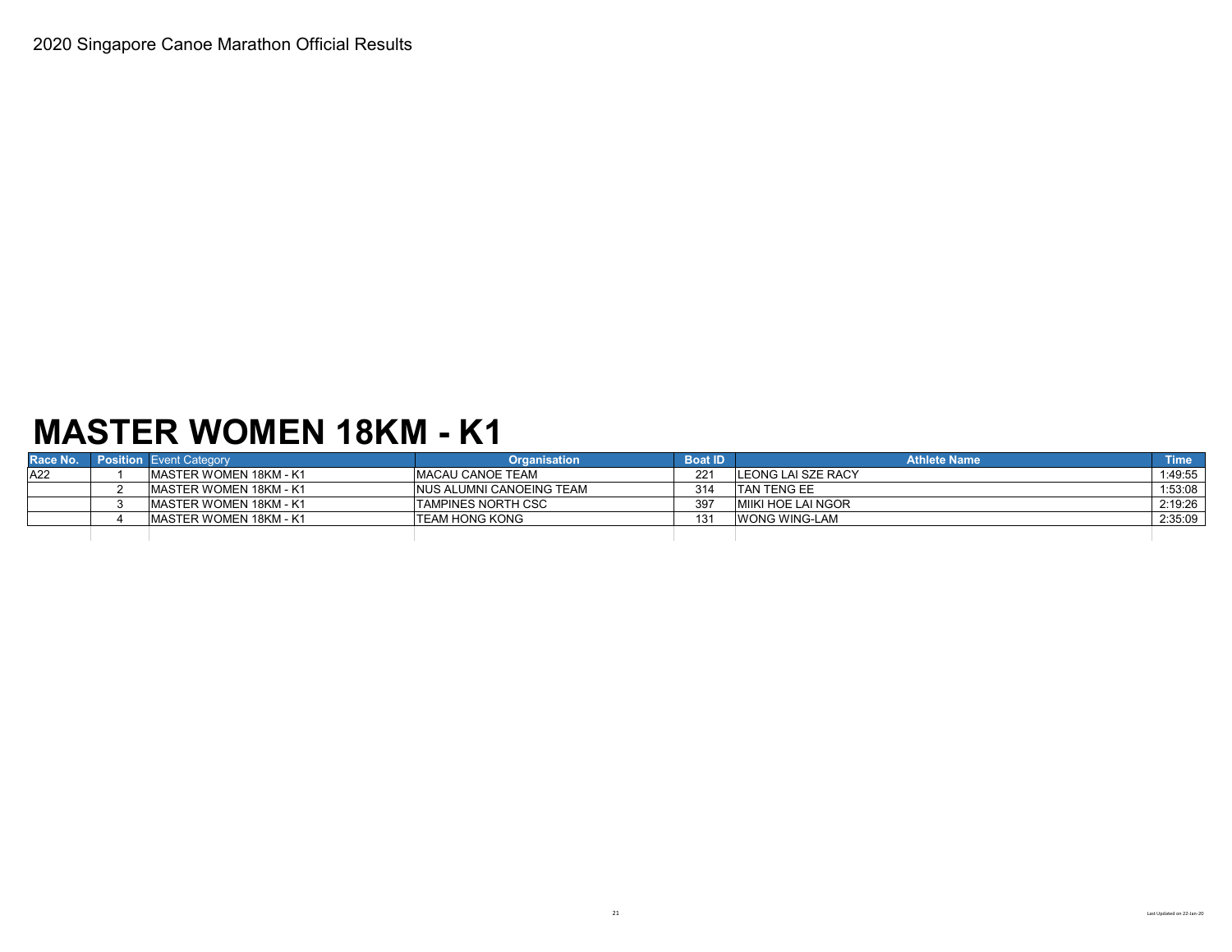# **MASTER WOMEN 18KM - K1**

| Race No. | <b>Position</b> Event Category | <b>Organisation</b>             | <b>Boat ID</b> | <b>Athlete Name</b>        | <b>Time</b> |
|----------|--------------------------------|---------------------------------|----------------|----------------------------|-------------|
| A22      | IMASTER WOMEN 18KM - K1        | <b>IMACAU CANOE TEAM</b>        |                | <b>ILEONG LAI SZE RACY</b> | 1:49:55     |
|          | IMASTER WOMEN 18KM - K1        | <b>NUS ALUMNI CANOEING TEAM</b> | 314            | <b>ITAN TENG EE</b>        | 1:53:08     |
|          | <b>IMASTER WOMEN 18KM - K1</b> | <b>TAMPINES NORTH CSC</b>       | 397            | <b>MIKI HOE LAI NGOR</b>   | 2:19:26     |
|          | IMASTER WOMEN 18KM - K1        | <b>ITEAM HONG KONG</b>          | 131            | WONG WING-LAM              | 2:35:09     |
|          |                                |                                 |                |                            |             |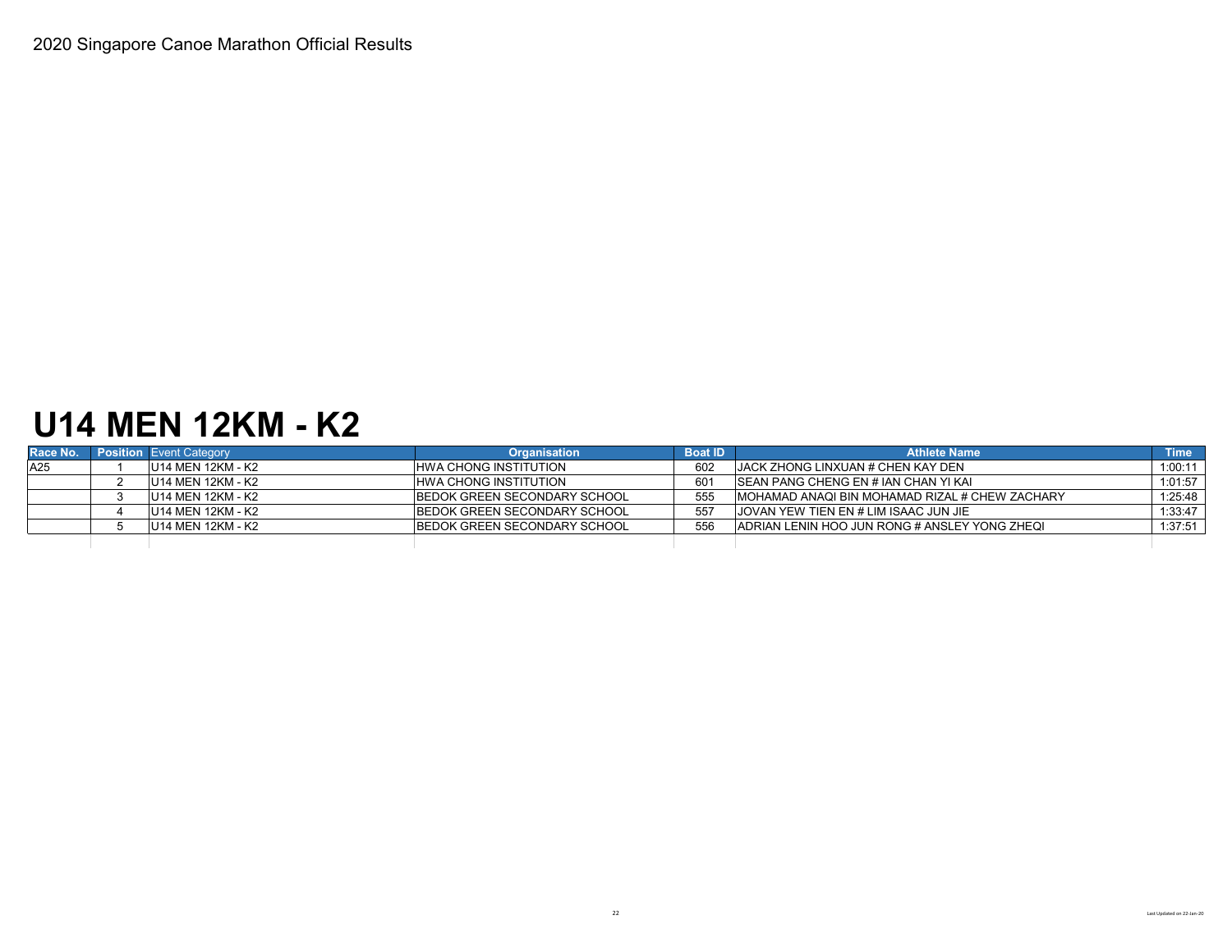### **U14 MEN 12KM - K2**

| Race No. | <b>Position Event Category</b> | <b>Organisation</b>                 | <b>Boat ID</b> | <b>Athlete Name</b>                             | <b>Time</b> |
|----------|--------------------------------|-------------------------------------|----------------|-------------------------------------------------|-------------|
| A25      | U14 MEN 12KM - K2              | <b>HWA CHONG INSTITUTION</b>        | 602            | <b>IJACK ZHONG LINXUAN # CHEN KAY DEN</b>       | 1:00:11     |
|          | U14 MEN 12KM - K2              | HWA CHONG INSTITUTION               | 601            | <b>ISEAN PANG CHENG EN # IAN CHAN YI KAI</b>    | 1:01:57     |
|          | U14 MEN 12KM - K2              | BEDOK GREEN SECONDARY SCHOOL        | 555            | IMOHAMAD ANAQI BIN MOHAMAD RIZAL # CHEW ZACHARY | 1:25:48     |
|          | U14 MEN 12KM - K2              | BEDOK GREEN SECONDARY SCHOOL        | 557            | <b>JOVAN YEW TIEN EN # LIM ISAAC JUN JIE</b>    | 1:33:47     |
|          | U14 MEN 12KM - K2              | <b>BEDOK GREEN SECONDARY SCHOOL</b> | 556            | IADRIAN LENIN HOO JUN RONG # ANSLEY YONG ZHEQI  | 1:37:51     |
|          |                                |                                     |                |                                                 |             |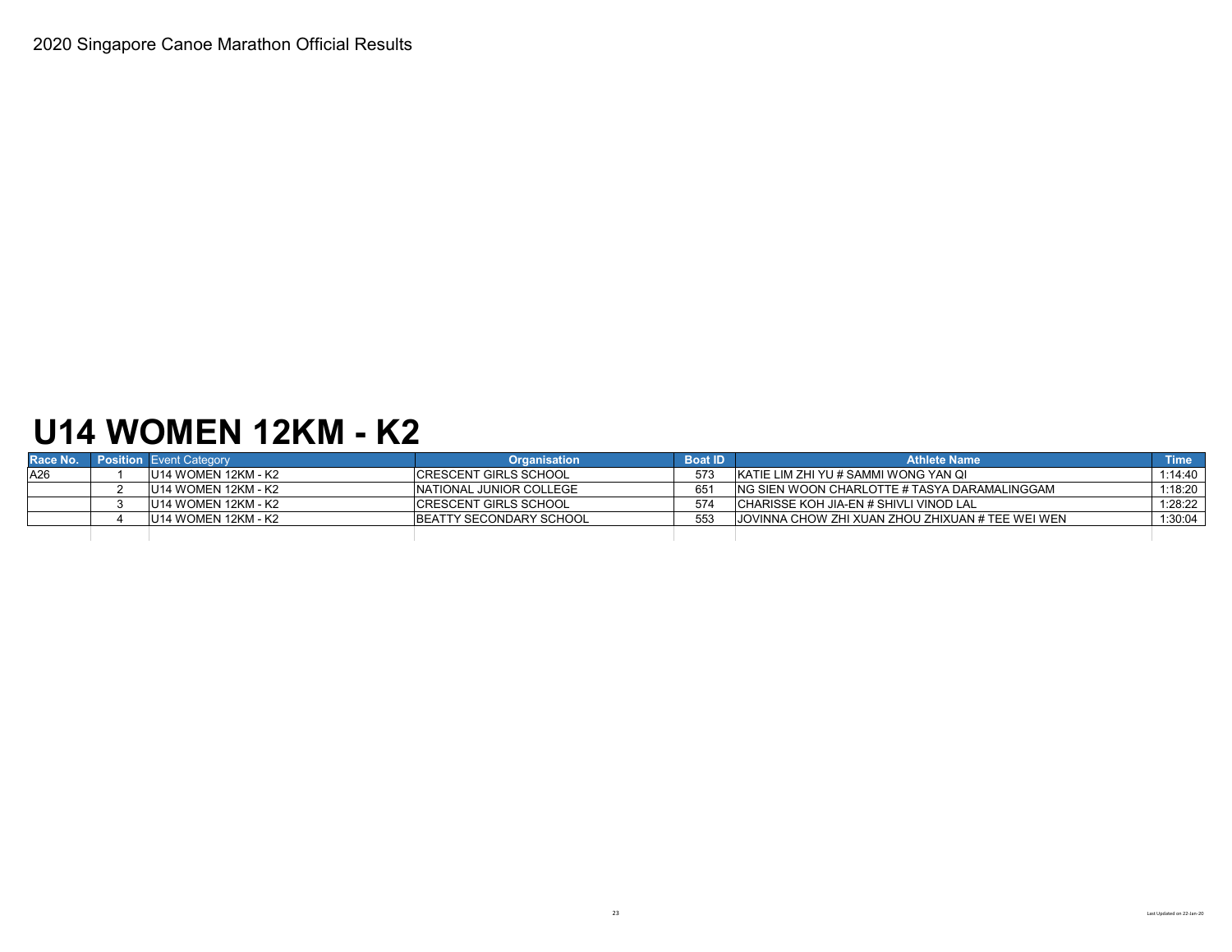## **U14 WOMEN 12KM - K2**

| Race No. | <b>Position Event Category</b> | <b>Organisation</b>             | <b>Boat ID</b> | <b>Athlete Name</b>                               | <b>Time</b> |
|----------|--------------------------------|---------------------------------|----------------|---------------------------------------------------|-------------|
| A26      | U14 WOMEN 12KM - K2            | <b>ICRESCENT GIRLS SCHOOL</b>   | 573            | IKATIE LIM ZHI YU # SAMMI WONG YAN QI             | $1:14:40$   |
|          | LU14 WOMEN 12KM - K2           | INATIONAL JUNIOR COLLEGE        | 651            | ING SIEN WOON CHARLOTTE # TASYA DARAMALINGGAM     | $1:18:20$   |
|          | U14 WOMEN 12KM - K2            | <b>ICRESCENT GIRLS SCHOOL</b>   | 574            | <b>CHARISSE KOH JIA-EN # SHIVLI VINOD LAL</b>     | 1:28:22     |
|          | IU14 WOMEN 12KM - K2           | <b>IBEATTY SECONDARY SCHOOL</b> | 553            | JJOVINNA CHOW ZHI XUAN ZHOU ZHIXUAN # TEE WEI WEN | $1:30:04$   |
|          |                                |                                 |                |                                                   |             |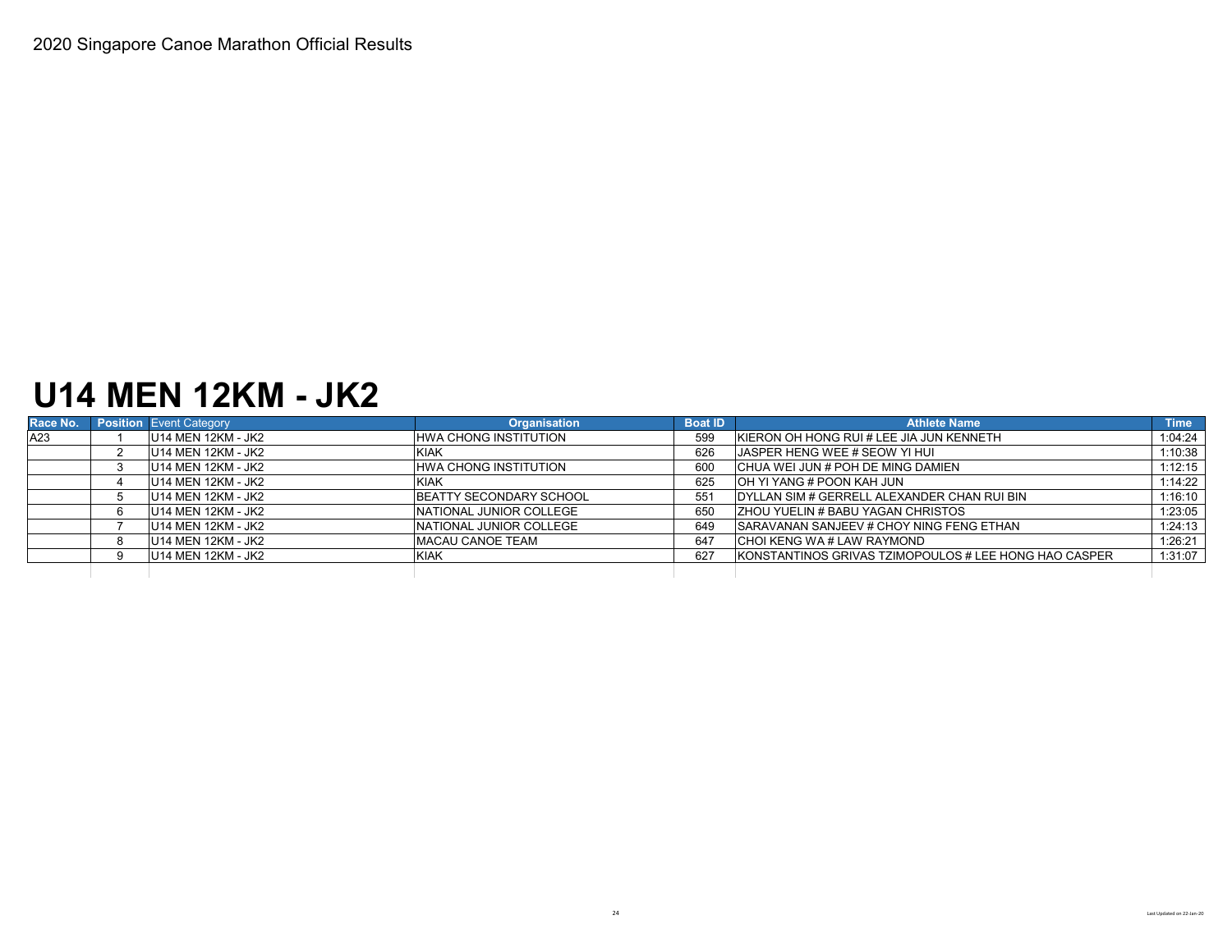### **U14 MEN 12KM - JK2**

| Race No. | <b>Position Event Category</b> | <b>Organisation</b>             | <b>Boat ID</b> | <b>Athlete Name</b>                                   | <b>Time</b> |
|----------|--------------------------------|---------------------------------|----------------|-------------------------------------------------------|-------------|
| A23      | U14 MEN 12KM - JK2             | <b>HWA CHONG INSTITUTION</b>    | 599            | <b>KIERON OH HONG RUI # LEE JIA JUN KENNETH</b>       | 1:04:24     |
|          | <b>U14 MEN 12KM - JK2</b>      | <b>KIAK</b>                     | 626            | <b>IJASPER HENG WEE # SEOW YI HUI</b>                 | 1:10:38     |
|          | U14 MEN 12KM - JK2             | HWA CHONG INSTITUTION           | 600            | ICHUA WEI JUN # POH DE MING DAMIEN                    | 1:12:15     |
|          | U14 MEN 12KM - JK2             | <b>KIAK</b>                     | 625            | OH YI YANG # POON KAH JUN                             | 1:14:22     |
|          | U14 MEN 12KM - JK2             | <b>BEATTY SECONDARY SCHOOL</b>  | 551            | DYLLAN SIM # GERRELL ALEXANDER CHAN RUI BIN           | 1:16:10     |
|          | U14 MEN 12KM - JK2             | <b>INATIONAL JUNIOR COLLEGE</b> | 650            | <b>ZHOU YUELIN # BABU YAGAN CHRISTOS</b>              | 1:23:05     |
|          | U14 MEN 12KM - JK2             | INATIONAL JUNIOR COLLEGE        | 649            | <b>SARAVANAN SANJEEV # CHOY NING FENG ETHAN</b>       | 1:24:13     |
|          | U14 MEN 12KM - JK2             | <b>MACAU CANOE TEAM</b>         | 647            | <b>CHOI KENG WA # LAW RAYMOND</b>                     | 1:26:21     |
|          | U14 MEN 12KM - JK2             | <b>KIAK</b>                     | 627            | KONSTANTINOS GRIVAS TZIMOPOULOS # LEE HONG HAO CASPER | 1:31:07     |
|          |                                |                                 |                |                                                       |             |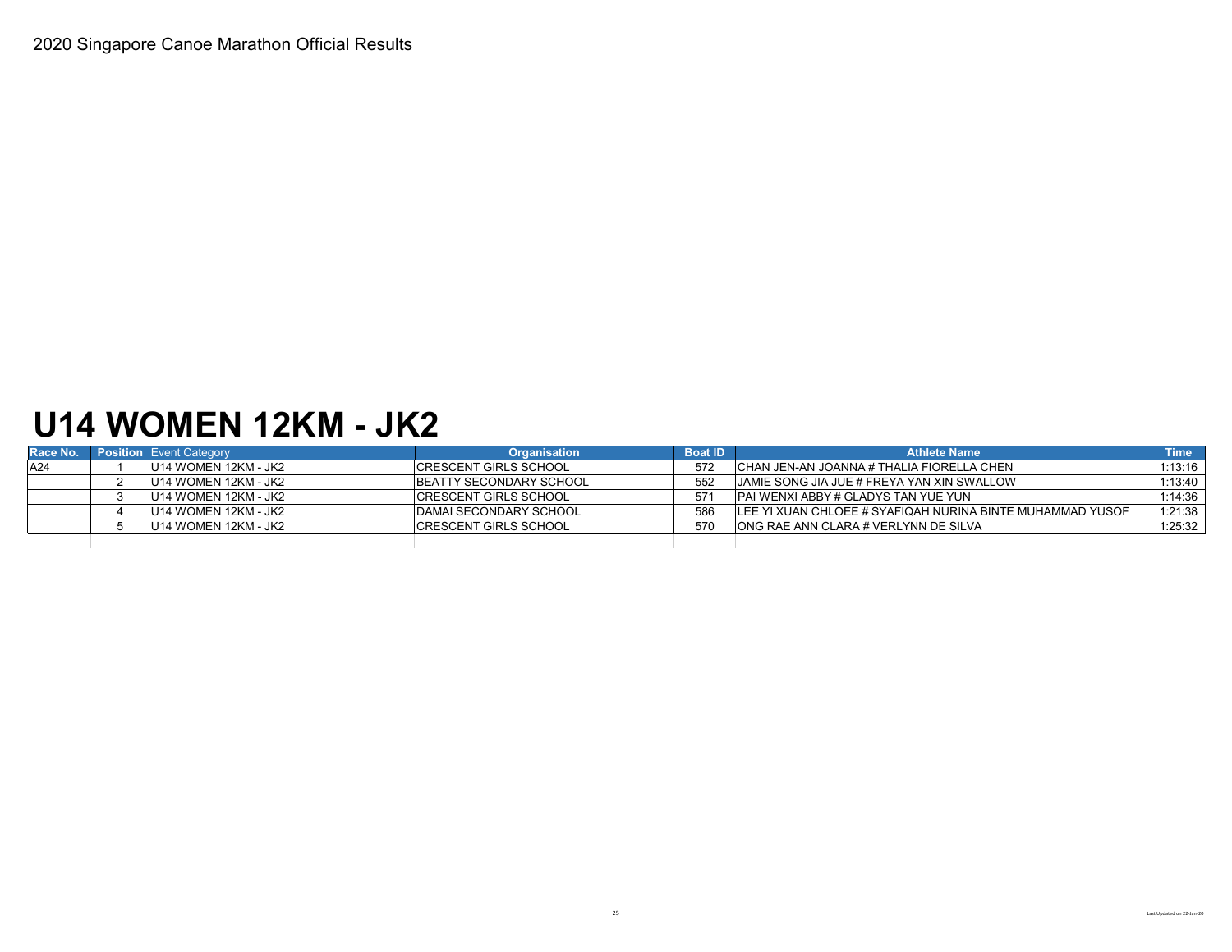### **U14 WOMEN 12KM - JK2**

| Race No. | <b>Position</b> Event Category | <b>Organisation</b>           | <b>Boat ID</b> | <b>Athlete Name</b>                                       | \Time <sup>\</sup> |
|----------|--------------------------------|-------------------------------|----------------|-----------------------------------------------------------|--------------------|
| A24      | U14 WOMEN 12KM - JK2           | <b>ICRESCENT GIRLS SCHOOL</b> | 572            | ICHAN JEN-AN JOANNA # THALIA FIORELLA CHEN                | 1:13:16            |
|          | U14 WOMEN 12KM - JK2           | BEATTY SECONDARY SCHOOL       | 552            | JAMIE SONG JIA JUE # FREYA YAN XIN SWALLOW                | 1:13:40            |
|          | U14 WOMEN 12KM - JK2           | <b>ICRESCENT GIRLS SCHOOL</b> |                | IPAI WENXI ABBY # GLADYS TAN YUE YUN                      | 1:14:36            |
|          | IU14 WOMEN 12KM - JK2          | DAMAI SECONDARY SCHOOL        | 586            | LEE YI XUAN CHLOEE # SYAFIQAH NURINA BINTE MUHAMMAD YUSOF | 1:21:38            |
|          | IU14 WOMEN 12KM - JK2          | <b>ICRESCENT GIRLS SCHOOL</b> | 570            | IONG RAE ANN CLARA # VERLYNN DE SILVA                     | 1:25:32            |
|          |                                |                               |                |                                                           |                    |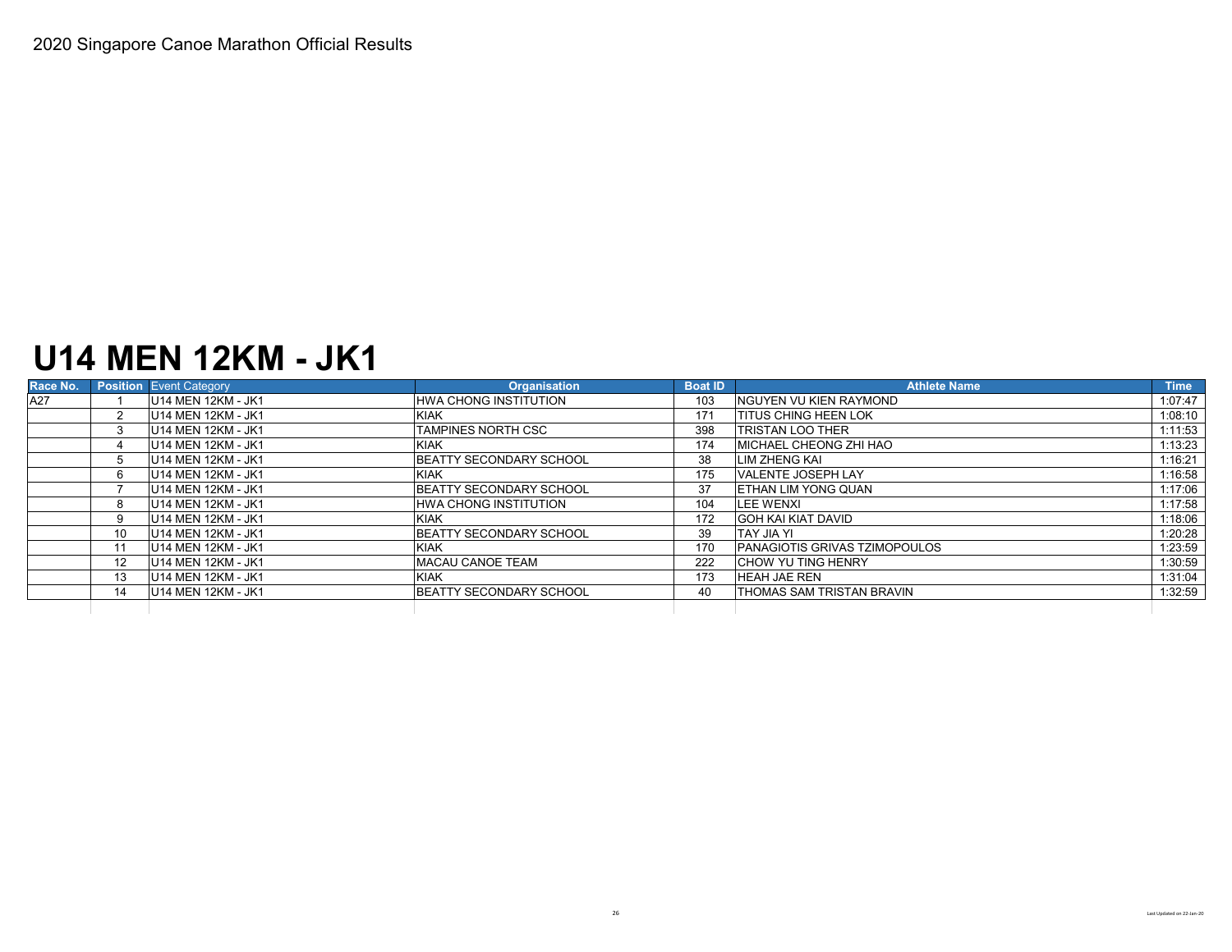## **U14 MEN 12KM - JK1**

| Race No. |                   | <b>Position</b> Event Category | <b>Organisation</b>            | <b>Boat ID</b> | <b>Athlete Name</b>                  | <b>Time</b> |
|----------|-------------------|--------------------------------|--------------------------------|----------------|--------------------------------------|-------------|
| A27      |                   | U14 MEN 12KM - JK1             | <b>HWA CHONG INSTITUTION</b>   | 103            | <b>INGUYEN VU KIEN RAYMOND</b>       | 1:07:47     |
|          |                   | U14 MEN 12KM - JK1             | <b>KIAK</b>                    | 171            | <b>ITITUS CHING HEEN LOK</b>         | 1:08:10     |
|          |                   | U14 MEN 12KM - JK1             | TAMPINES NORTH CSC             | 398            | <b>TRISTAN LOO THER</b>              | 1:11:53     |
|          |                   | U14 MEN 12KM - JK1             | <b>KIAK</b>                    | 174            | <b>IMICHAEL CHEONG ZHI HAO</b>       | 1:13:23     |
|          | $5^{\circ}$       | U14 MEN 12KM - JK1             | <b>BEATTY SECONDARY SCHOOL</b> | 38             | LIM ZHENG KAI                        | 1:16:21     |
|          | 6                 | U14 MEN 12KM - JK1             | <b>KIAK</b>                    | 175            | <b>VALENTE JOSEPH LAY</b>            | 1:16:58     |
|          |                   | U14 MEN 12KM - JK1             | <b>BEATTY SECONDARY SCHOOL</b> | 37             | <b>IETHAN LIM YONG QUAN</b>          | 1:17:06     |
|          | 8                 | U14 MEN 12KM - JK1             | <b>HWA CHONG INSTITUTION</b>   | 104            | <b>LEE WENXI</b>                     | 1:17:58     |
|          | 9.                | U14 MEN 12KM - JK1             | <b>KIAK</b>                    | 172            | <b>GOH KAI KIAT DAVID</b>            | 1:18:06     |
|          | 10                | U14 MEN 12KM - JK1             | BEATTY SECONDARY SCHOOL        | 39             | <b>ITAY JIA YI</b>                   | 1:20:28     |
|          | 11                | U14 MEN 12KM - JK1             | <b>KIAK</b>                    | 170            | <b>PANAGIOTIS GRIVAS TZIMOPOULOS</b> | 1:23:59     |
|          | $12 \overline{ }$ | U14 MEN 12KM - JK1             | <b>MACAU CANOE TEAM</b>        | 222            | <b>CHOW YU TING HENRY</b>            | 1:30:59     |
|          | 13                | U14 MEN 12KM - JK1             | <b>KIAK</b>                    | 173            | <b>HEAH JAE REN</b>                  | 1:31:04     |
|          | 14                | U14 MEN 12KM - JK1             | BEATTY SECONDARY SCHOOL        | 40             | <b>ITHOMAS SAM TRISTAN BRAVIN</b>    | 1:32:59     |
|          |                   |                                |                                |                |                                      |             |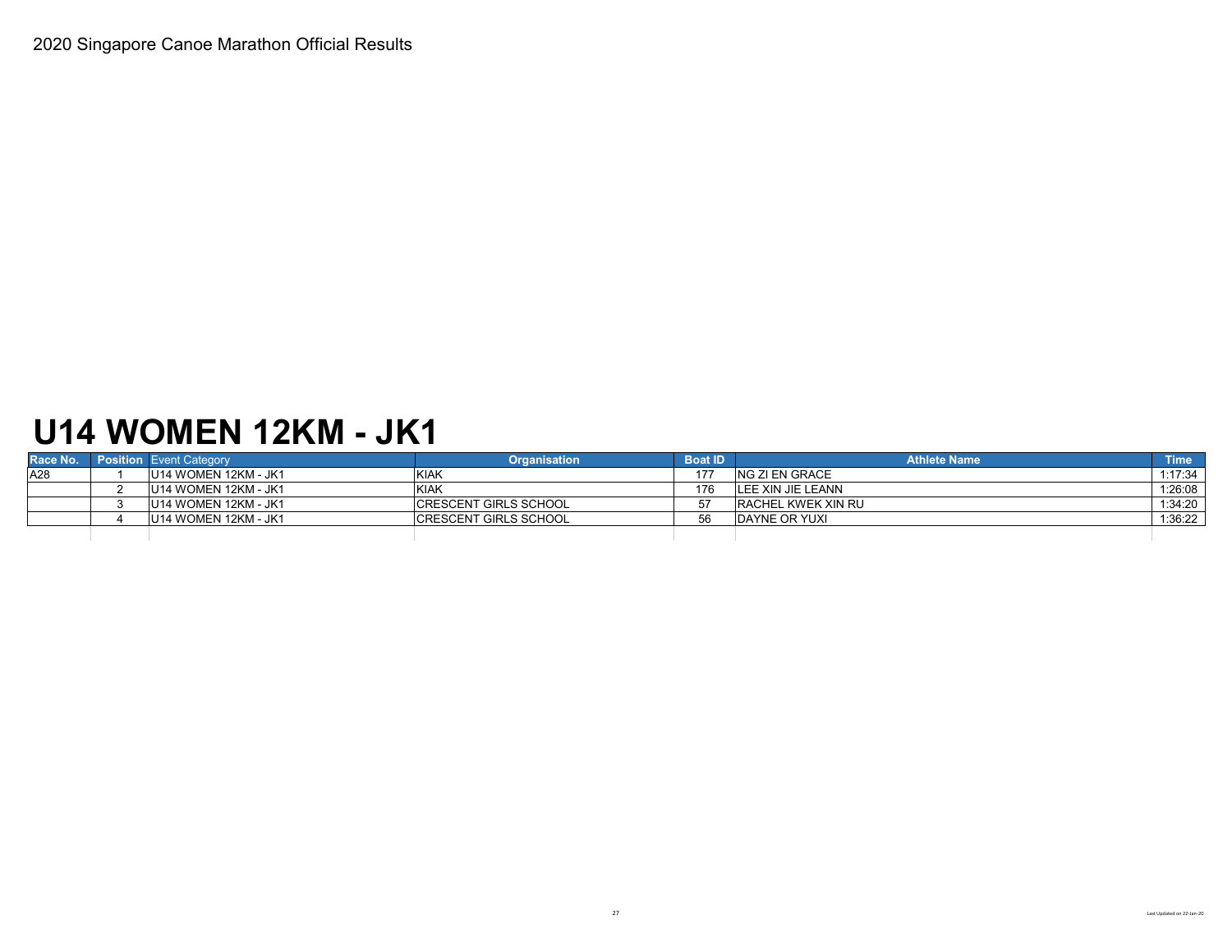# **U14 WOMEN 12KM - JK1**

| Race No. | <b>Position Event Category</b> | <b>Organisation</b>          | <b>Boat ID</b> | <b>Athlete Name</b>       | $\blacksquare$ Time $\blacksquare$ |
|----------|--------------------------------|------------------------------|----------------|---------------------------|------------------------------------|
| A28      | U14 WOMEN 12KM - JK1           | KIAK                         |                | ING ZI EN GRACE           | $1:17:34$                          |
|          | U14 WOMEN 12KM - JK1           | <b>KIAK</b>                  | 176            | LEE XIN JIE LEANN         | 1:26:08                            |
|          | U14 WOMEN 12KM - JK1           | <b>CRESCENT GIRLS SCHOOL</b> |                | <b>RACHEL KWEK XIN RU</b> | $1:34:20$                          |
|          | U14 WOMEN 12KM - JK1           | <b>CRESCENT GIRLS SCHOOL</b> | 56             | <b>IDAYNE OR YUXI</b>     | 1:36:22                            |
|          |                                |                              |                |                           |                                    |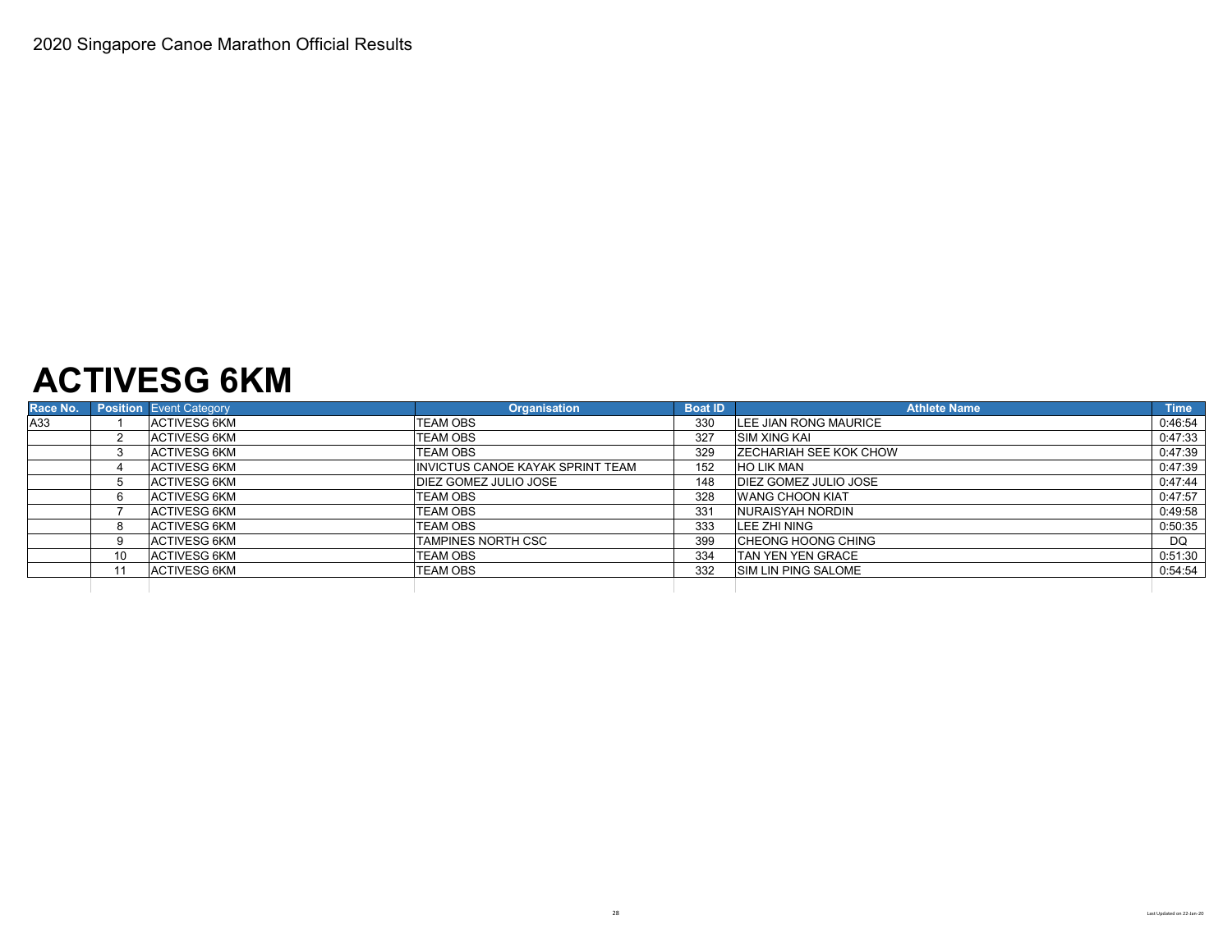### **ACTIVESG 6KM**

| Race No. |    | <b>Position</b> Event Category | <b>Organisation</b>                     | <b>Boat ID</b> | <b>Athlete Name</b>           | <b>Time</b> |
|----------|----|--------------------------------|-----------------------------------------|----------------|-------------------------------|-------------|
| A33      |    | ACTIVESG 6KM                   | <b>TEAM OBS</b>                         | 330            | LEE JIAN RONG MAURICE         | 0:46:54     |
|          |    | ACTIVESG 6KM                   | <b>TEAM OBS</b>                         | 327            | <b>ISIM XING KAI</b>          | 0:47:33     |
|          |    | <b>ACTIVESG 6KM</b>            | <b>TEAM OBS</b>                         | 329            | <b>ZECHARIAH SEE KOK CHOW</b> | 0:47:39     |
|          |    | ACTIVESG 6KM                   | <b>INVICTUS CANOE KAYAK SPRINT TEAM</b> | 152            | <b>HO LIK MAN</b>             | 0:47:39     |
|          |    | <b>ACTIVESG 6KM</b>            | <b>IDIEZ GOMEZ JULIO JOSE</b>           | 148            | <b>DIEZ GOMEZ JULIO JOSE</b>  | 0:47:44     |
|          |    | <b>ACTIVESG 6KM</b>            | <b>TEAM OBS</b>                         | 328            | <b>WANG CHOON KIAT</b>        | 0:47:57     |
|          |    | <b>ACTIVESG 6KM</b>            | TEAM OBS                                | 331            | NURAISYAH NORDIN              | 0:49:58     |
|          |    | ACTIVESG 6KM                   | <b>TEAM OBS</b>                         | 333            | LEE ZHI NING                  | 0:50:35     |
|          |    | ACTIVESG 6KM                   | TAMPINES NORTH CSC                      | 399            | <b>CHEONG HOONG CHING</b>     | DQ          |
|          | 10 | ACTIVESG 6KM                   | TEAM OBS                                | 334            | <b>TAN YEN YEN GRACE</b>      | 0:51:30     |
|          |    | ACTIVESG 6KM                   | <b>TEAM OBS</b>                         | 332            | <b>ISIM LIN PING SALOME</b>   | 0:54:54     |
|          |    |                                |                                         |                |                               |             |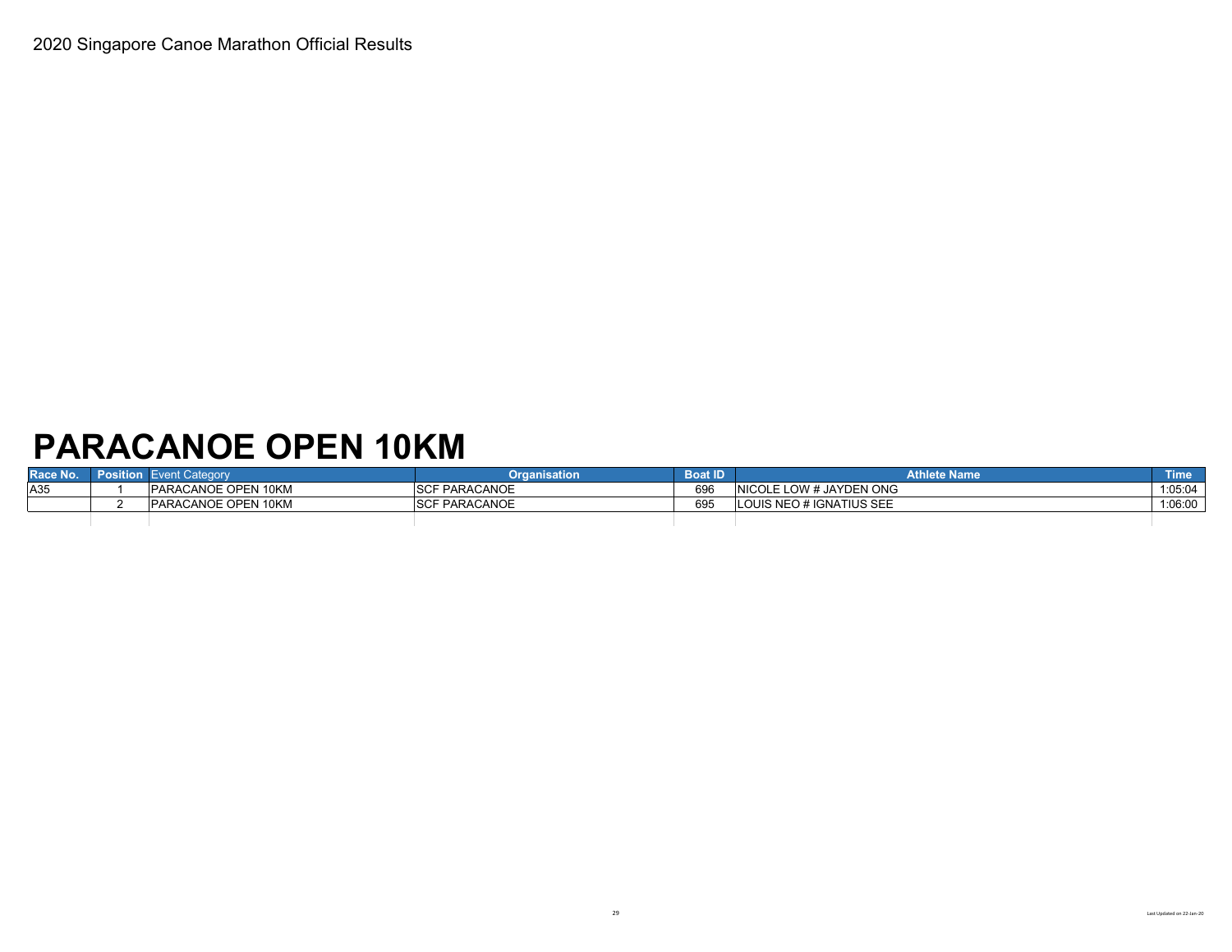# **PARACANOE OPEN 10KM**

| Race No. | <b>Position</b> | <b>Event Category</b>      | <b>Draanisation</b>  | <b>Boat ID</b> | <b>Athlete Name</b>            | <b>Time</b> |
|----------|-----------------|----------------------------|----------------------|----------------|--------------------------------|-------------|
| A35      |                 | PARACANOE OPEN 10KM        | <b>SCF PARACANOE</b> | 696            | <b>NICOLE LOW # JAYDEN ONG</b> | 1:05:04     |
|          |                 | <b>PARACANOE OPEN 10KM</b> | <b>SCF PARACANOE</b> | 695            | LOUIS NEO # IGNATIUS SEE       | 1:06:00     |
|          |                 |                            |                      |                |                                |             |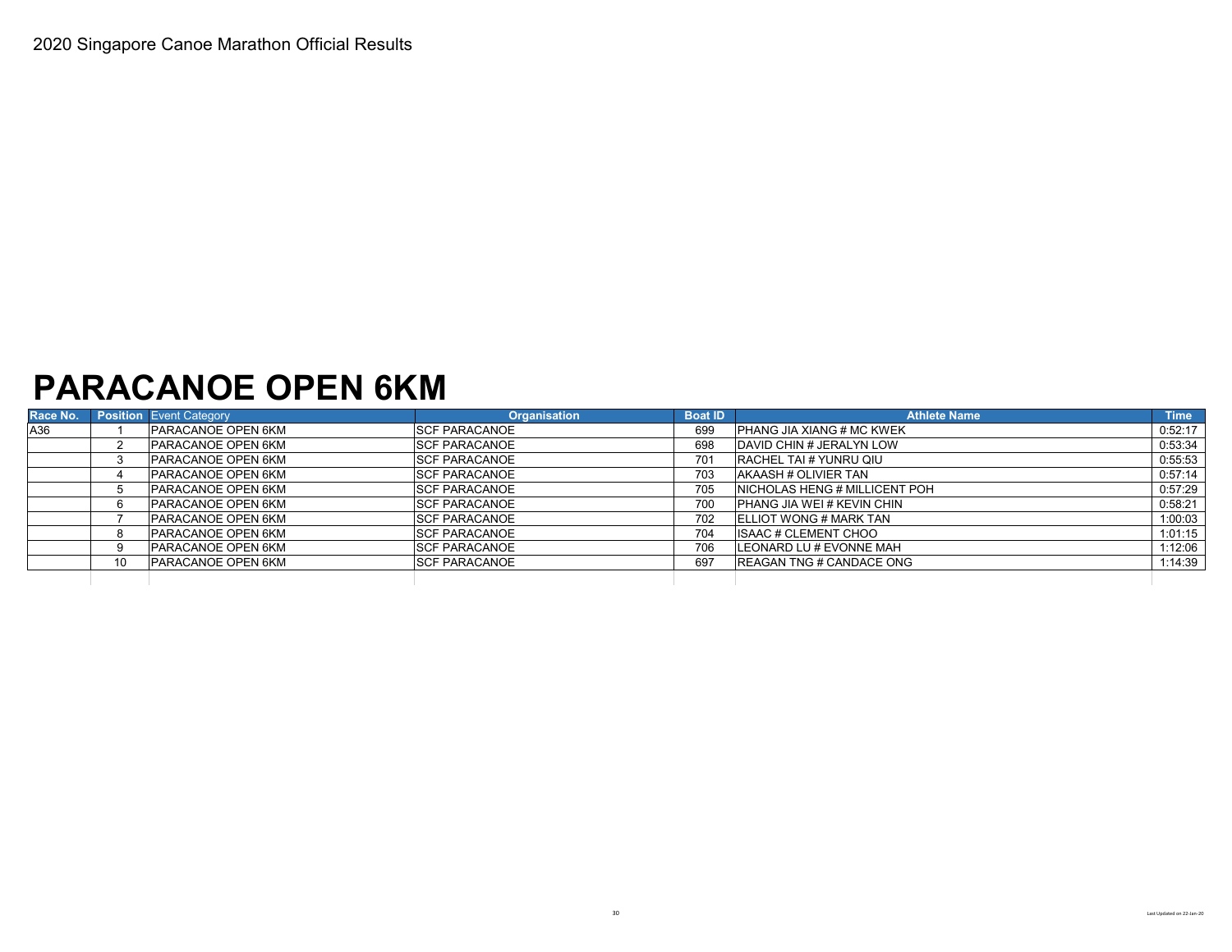#### **PARACANOE OPEN 6KM**

| Race No. |    | <b>Position Event Category</b> | <b>Organisation</b>   | <b>Boat ID</b> | <b>Athlete Name</b>                   | <b>Time</b> |
|----------|----|--------------------------------|-----------------------|----------------|---------------------------------------|-------------|
| A36      |    | <b>PARACANOE OPEN 6KM</b>      | <b>ISCF PARACANOE</b> | 699            | <b>PHANG JIA XIANG # MC KWEK</b>      | 0:52:17     |
|          |    | <b>PARACANOE OPEN 6KM</b>      | <b>SCF PARACANOE</b>  | 698            | DAVID CHIN # JERALYN LOW              | 0:53:34     |
|          |    | <b>PARACANOE OPEN 6KM</b>      | <b>SCF PARACANOE</b>  | 701            | <b>RACHEL TAI # YUNRU QIU</b>         | 0:55:53     |
|          |    | <b>PARACANOE OPEN 6KM</b>      | <b>SCF PARACANOE</b>  | 703            | <b>AKAASH # OLIVIER TAN</b>           | 0:57:14     |
|          |    | <b>PARACANOE OPEN 6KM</b>      | <b>SCF PARACANOE</b>  | 705            | <b>INICHOLAS HENG # MILLICENT POH</b> | 0:57:29     |
|          |    | <b>PARACANOE OPEN 6KM</b>      | <b>SCF PARACANOE</b>  | 700            | <b>PHANG JIA WEI # KEVIN CHIN</b>     | 0:58:21     |
|          |    | PARACANOE OPEN 6KM             | <b>SCF PARACANOE</b>  | 702            | <b>IELLIOT WONG # MARK TAN</b>        | 1:00:03     |
|          |    | PARACANOE OPEN 6KM             | <b>SCF PARACANOE</b>  | 704            | <b>ISAAC # CLEMENT CHOO</b>           | 1:01:15     |
|          |    | PARACANOE OPEN 6KM             | <b>SCF PARACANOE</b>  | 706            | LEONARD LU # EVONNE MAH               | 1:12:06     |
|          | 10 | <b>PARACANOE OPEN 6KM</b>      | <b>SCF PARACANOE</b>  | 697            | <b>IREAGAN TNG # CANDACE ONG</b>      | 1:14:39     |
|          |    |                                |                       |                |                                       |             |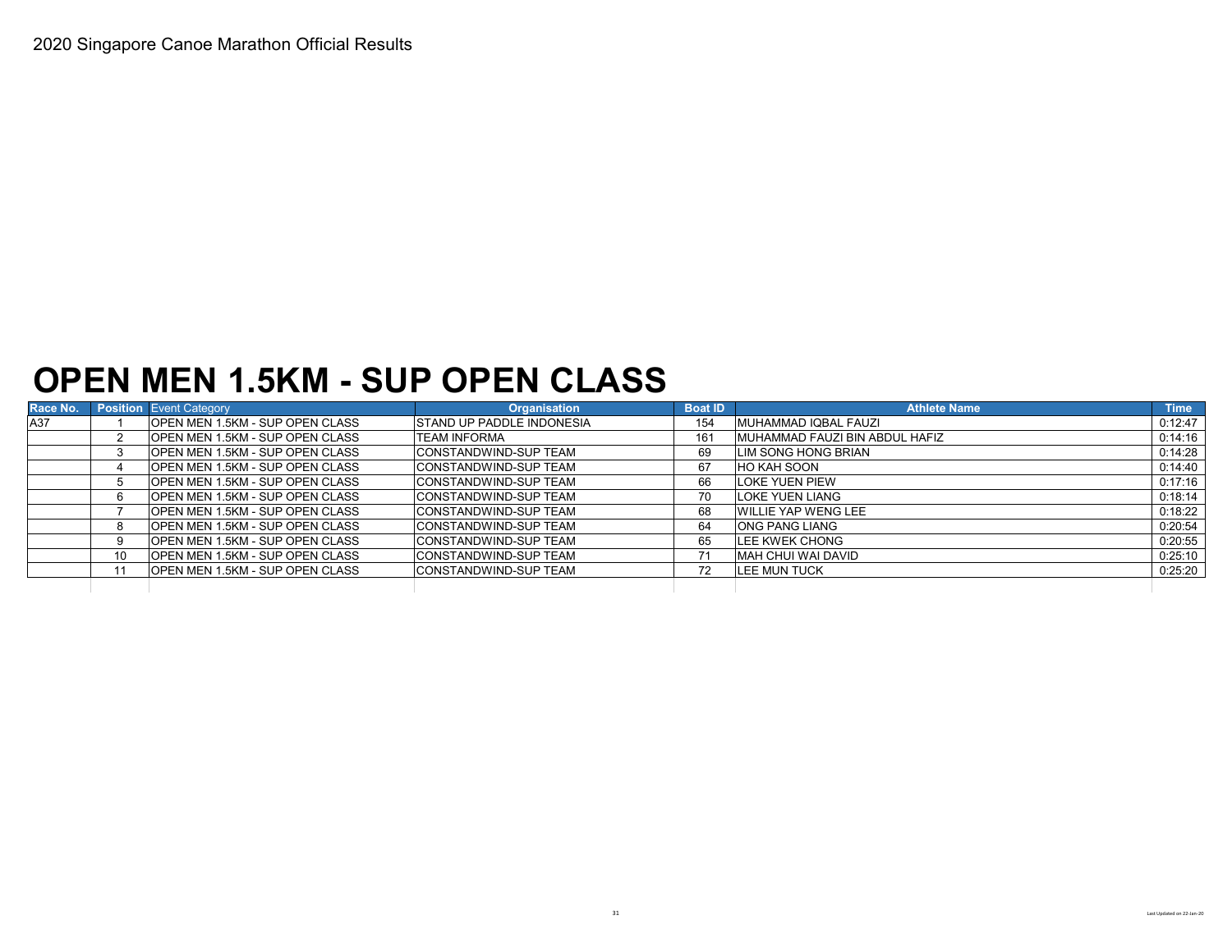### **OPEN MEN 1.5KM - SUP OPEN CLASS**

| Race No. |    | <b>Position</b> Event Category          | <b>Organisation</b>           | <b>Boat ID</b> | <b>Athlete Name</b>            | <b>Time</b> |
|----------|----|-----------------------------------------|-------------------------------|----------------|--------------------------------|-------------|
| A37      |    | <b>IOPEN MEN 1.5KM - SUP OPEN CLASS</b> | ISTAND UP PADDLE INDONESIA    | 154            | MUHAMMAD IQBAL FAUZI           | 0:12:47     |
|          |    | <b>OPEN MEN 1.5KM - SUP OPEN CLASS</b>  | TEAM INFORMA                  | 161            | MUHAMMAD FAUZI BIN ABDUL HAFIZ | 0:14:16     |
|          |    | <b>IOPEN MEN 1.5KM - SUP OPEN CLASS</b> | <b>ICONSTANDWIND-SUP TEAM</b> | 69             | LIM SONG HONG BRIAN            | 0:14:28     |
|          |    | <b>IOPEN MEN 1.5KM - SUP OPEN CLASS</b> | ICONSTANDWIND-SUP TEAM        | 67             | <b>HO KAH SOON</b>             | 0:14:40     |
|          |    | <b>OPEN MEN 1.5KM - SUP OPEN CLASS</b>  | <b>CONSTANDWIND-SUP TEAM</b>  | 66             | <b>LOKE YUEN PIEW</b>          | 0:17:16     |
|          |    | <b>OPEN MEN 1.5KM - SUP OPEN CLASS</b>  | ICONSTANDWIND-SUP TEAM        | 70             | LOKE YUEN LIANG                | 0:18:14     |
|          |    | <b>IOPEN MEN 1.5KM - SUP OPEN CLASS</b> | ICONSTANDWIND-SUP TEAM        | 68             | <b>WILLIE YAP WENG LEE</b>     | 0:18:22     |
|          |    | <b>OPEN MEN 1.5KM - SUP OPEN CLASS</b>  | <b>CONSTANDWIND-SUP TEAM</b>  | 64             | <b>ONG PANG LIANG</b>          | 0:20:54     |
|          |    | <b>IOPEN MEN 1.5KM - SUP OPEN CLASS</b> | <b>ICONSTANDWIND-SUP TEAM</b> | 65             | LEE KWEK CHONG                 | 0:20:55     |
|          | 10 | OPEN MEN 1.5KM - SUP OPEN CLASS         | <b>CONSTANDWIND-SUP TEAM</b>  |                | MAH CHUI WAI DAVID             | 0:25:10     |
|          |    | <b>OPEN MEN 1.5KM - SUP OPEN CLASS</b>  | <b>CONSTANDWIND-SUP TEAM</b>  | 72             | <b>LEE MUN TUCK</b>            | 0:25:20     |
|          |    |                                         |                               |                |                                |             |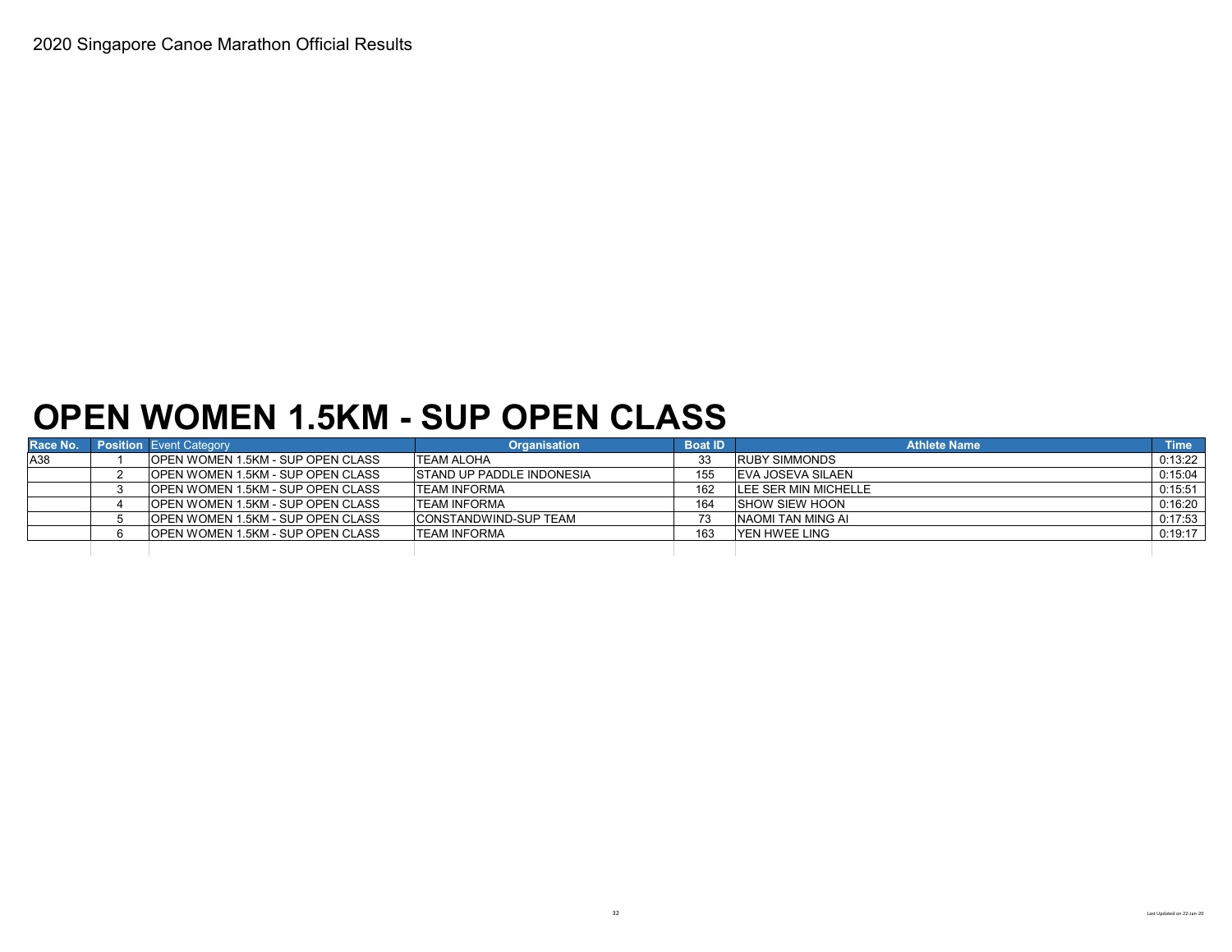### **OPEN WOMEN 1.5KM - SUP OPEN CLASS**

| Race No. | <b>Position</b> Event Category           | <b>Organisation</b>               | <b>Boat ID</b> | <b>Athlete Name</b>   | Time <sup>1</sup> |
|----------|------------------------------------------|-----------------------------------|----------------|-----------------------|-------------------|
| A38      | OPEN WOMEN 1.5KM - SUP OPEN CLASS        | <b>TEAM ALOHA</b>                 | 33             | <b>RUBY SIMMONDS</b>  | 0:13:22           |
|          | <b>OPEN WOMEN 1.5KM - SUP OPEN CLASS</b> | <b>ISTAND UP PADDLE INDONESIA</b> | 155            | EVA JOSEVA SILAEN     | 0:15:04           |
|          | OPEN WOMEN 1.5KM - SUP OPEN CLASS        | <b>TEAM INFORMA</b>               | 162            | LEE SER MIN MICHELLE  | 0:15:51           |
|          | <b>OPEN WOMEN 1.5KM - SUP OPEN CLASS</b> | <b>TEAM INFORMA</b>               | 164            | <b>SHOW SIEW HOON</b> | 0:16:20           |
|          | <b>OPEN WOMEN 1.5KM - SUP OPEN CLASS</b> | <b>CONSTANDWIND-SUP TEAM</b>      |                | NAOMI TAN MING AI     | 0:17:53           |
|          | OPEN WOMEN 1.5KM - SUP OPEN CLASS        | <b>TEAM INFORMA</b>               | 163            | <b>IYEN HWEE LING</b> | 0:19:17           |
|          |                                          |                                   |                |                       |                   |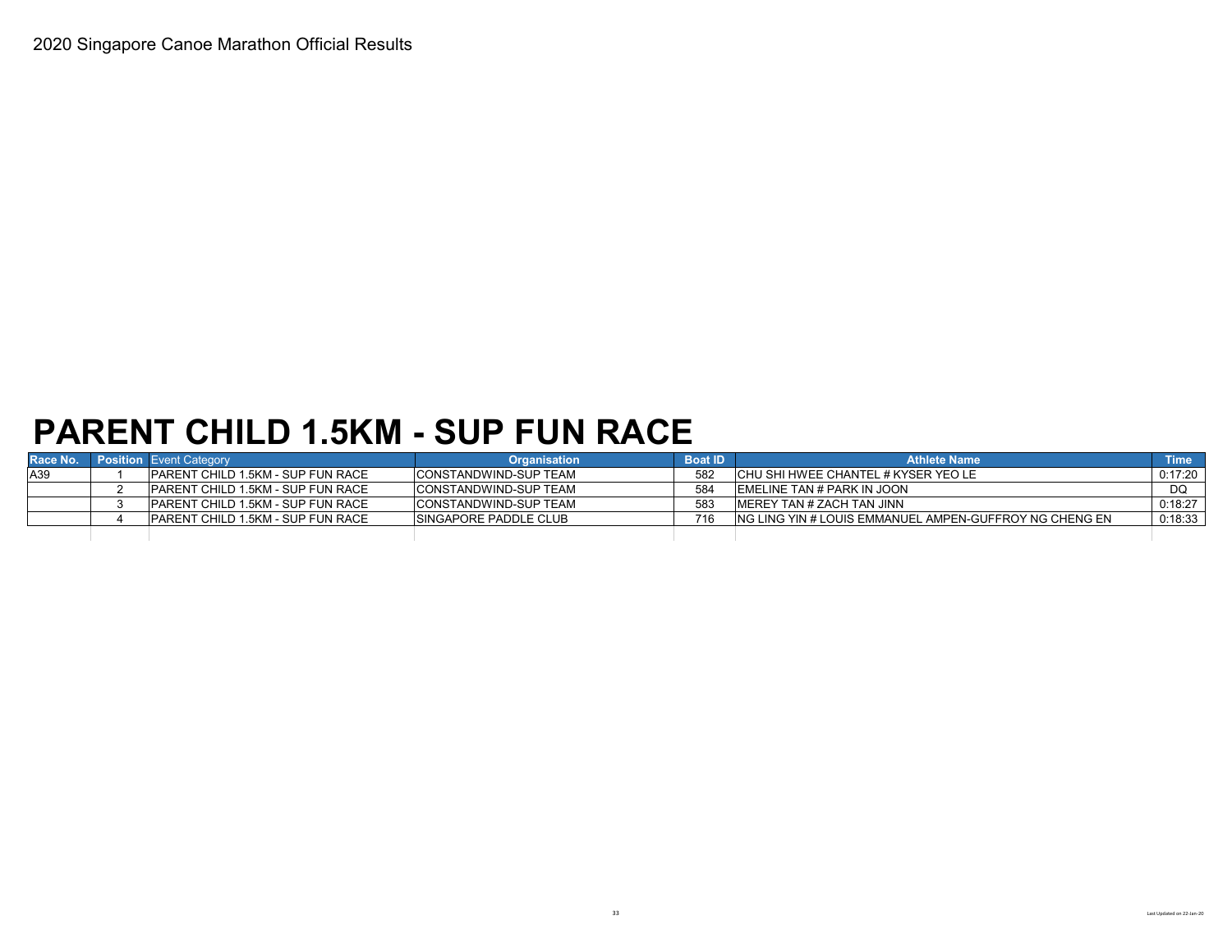# **PARENT CHILD 1.5KM - SUP FUN RACE**

| Race No. | <b>Position</b> Event Category            | <b>Organisation</b>           | <b>Boat ID</b> | <b>Athlete Name</b>                                     | <b>Time</b> |
|----------|-------------------------------------------|-------------------------------|----------------|---------------------------------------------------------|-------------|
| A39      | <b>IPARENT CHILD 1.5KM - SUP FUN RACE</b> | CONSTANDWIND-SUP TEAM         | 582            | ICHU SHI HWEE CHANTEL # KYSER YEO LE                    | 0:17:20     |
|          | <b>IPARENT CHILD 1.5KM - SUP FUN RACE</b> | ICONSTANDWIND-SUP TEAM        | 584            | <b>IEMELINE TAN # PARK IN JOON</b>                      | DQ          |
|          | <b>PARENT CHILD 1.5KM - SUP FUN RACE</b>  | ICONSTANDWIND-SUP TEAM        | 583            | IMEREY TAN # ZACH TAN JINN                              | 0:18:27     |
|          | <b>IPARENT CHILD 1.5KM - SUP FUN RACE</b> | <b>ISINGAPORE PADDLE CLUB</b> | 716            | ING LING YIN # LOUIS EMMANUEL AMPEN-GUFFROY NG CHENG EN | 0:18:33     |
|          |                                           |                               |                |                                                         |             |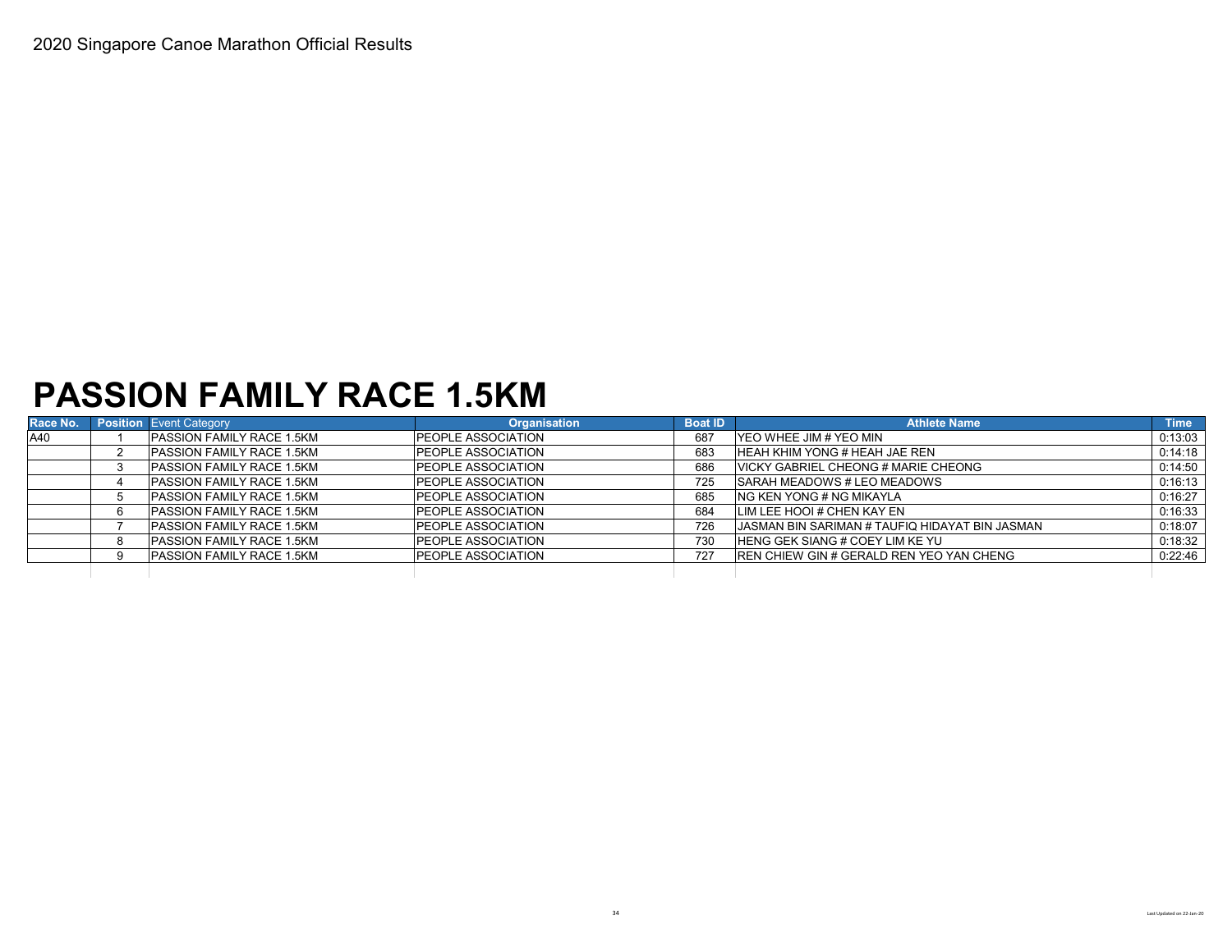### **PASSION FAMILY RACE 1.5KM**

| Race No. | <b>Position</b> Event Category   | <b>Organisation</b>        | <b>Boat ID</b> | <b>Athlete Name</b>                                    | <b>Time</b> |
|----------|----------------------------------|----------------------------|----------------|--------------------------------------------------------|-------------|
| A40      | <b>PASSION FAMILY RACE 1.5KM</b> | <b>IPEOPLE ASSOCIATION</b> | 687            | IYEO WHEE JIM # YEO MIN                                | 0:13:03     |
|          | <b>PASSION FAMILY RACE 1.5KM</b> | <b>PEOPLE ASSOCIATION</b>  | 683            | <b>HEAH KHIM YONG # HEAH JAE REN</b>                   | 0:14:18     |
|          | <b>PASSION FAMILY RACE 1.5KM</b> | <b>PEOPLE ASSOCIATION</b>  | 686            | VICKY GABRIEL CHEONG # MARIE CHEONG                    | 0:14:50     |
|          | <b>PASSION FAMILY RACE 1.5KM</b> | <b>PEOPLE ASSOCIATION</b>  | 725            | <b>SARAH MEADOWS # LEO MEADOWS</b>                     | 0:16:13     |
|          | <b>PASSION FAMILY RACE 1.5KM</b> | PEOPLE ASSOCIATION         | 685            | ING KEN YONG # NG MIKAYLA                              | 0:16:27     |
|          | <b>PASSION FAMILY RACE 1.5KM</b> | <b>PEOPLE ASSOCIATION</b>  | 684            | LIM LEE HOOI # CHEN KAY EN                             | 0:16:33     |
|          | <b>PASSION FAMILY RACE 1.5KM</b> | <b>PEOPLE ASSOCIATION</b>  | 726            | <b>JJASMAN BIN SARIMAN # TAUFIQ HIDAYAT BIN JASMAN</b> | 0:18:07     |
|          | <b>PASSION FAMILY RACE 1.5KM</b> | PEOPLE ASSOCIATION         | 730            | <b>IHENG GEK SIANG # COEY LIM KE YU</b>                | 0:18:32     |
|          | PASSION FAMILY RACE 1.5KM        | <b>PEOPLE ASSOCIATION</b>  | 727            | <b>REN CHIEW GIN # GERALD REN YEO YAN CHENG</b>        | 0:22:46     |
|          |                                  |                            |                |                                                        |             |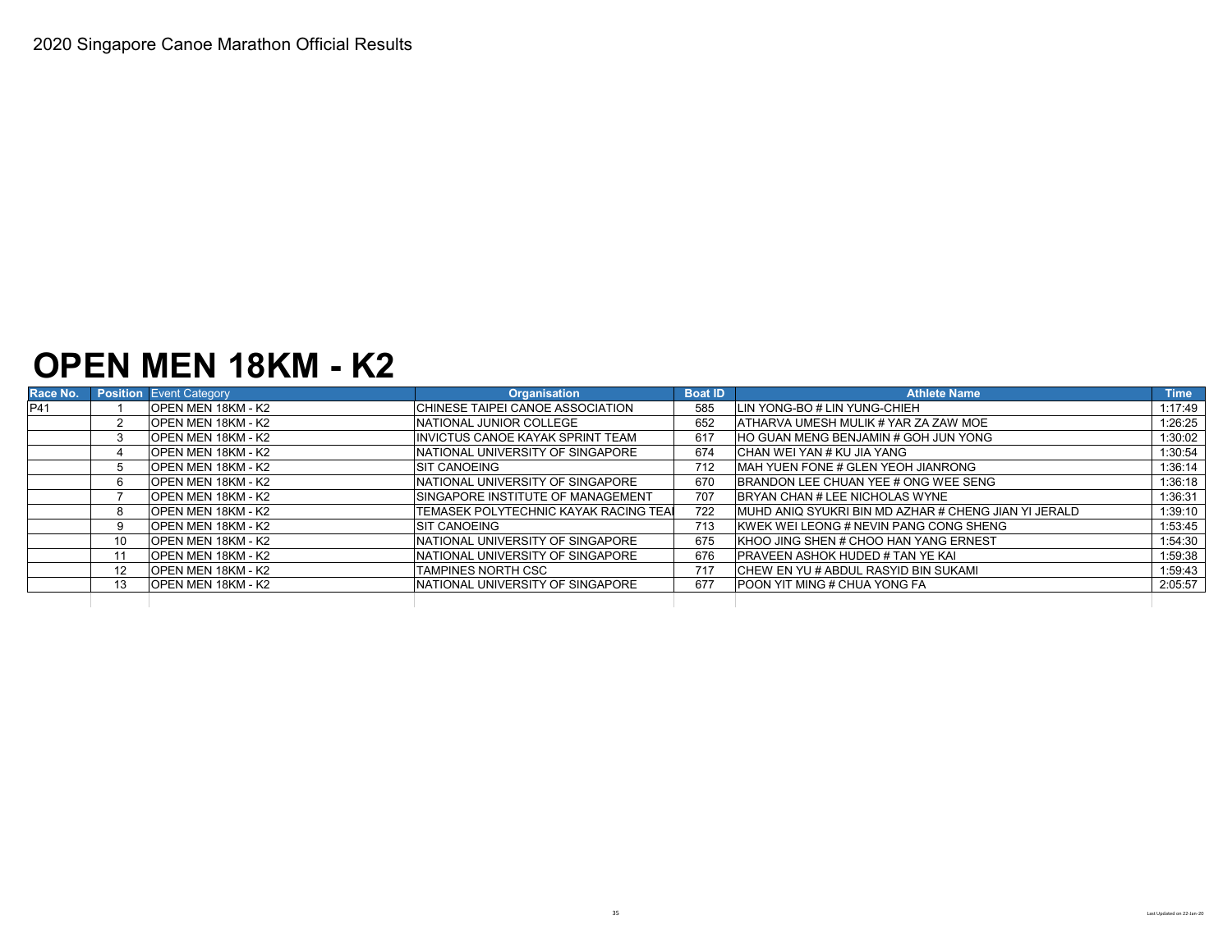### **OPEN MEN 18KM - K2**

| Race No. |    | <b>Position</b> Event Category | <b>Organisation</b>                       | <b>Boat ID</b> | <b>Athlete Name</b>                                   | <b>Time</b> |
|----------|----|--------------------------------|-------------------------------------------|----------------|-------------------------------------------------------|-------------|
| P41      |    | <b>OPEN MEN 18KM - K2</b>      | CHINESE TAIPEI CANOE ASSOCIATION          | 585            | LIN YONG-BO # LIN YUNG-CHIEH                          | 1:17:49     |
|          |    | <b>OPEN MEN 18KM - K2</b>      | NATIONAL JUNIOR COLLEGE                   | 652            | <b>ATHARVA UMESH MULIK # YAR ZA ZAW MOE</b>           | 1:26:25     |
|          |    | <b>OPEN MEN 18KM - K2</b>      | IINVICTUS CANOE KAYAK SPRINT TEAM         | 617            | <b>HO GUAN MENG BENJAMIN # GOH JUN YONG</b>           | 1:30:02     |
|          |    | IOPEN MEN 18KM - K2            | INATIONAL UNIVERSITY OF SINGAPORE         | 674            | ICHAN WEI YAN # KU JIA YANG                           | 1:30:54     |
|          |    | <b>OPEN MEN 18KM - K2</b>      | <b>ISIT CANOEING</b>                      | 712            | <b>IMAH YUEN FONE # GLEN YEOH JIANRONG</b>            | 1:36:14     |
|          | 6. | <b>OPEN MEN 18KM - K2</b>      | INATIONAL UNIVERSITY OF SINGAPORE         | 670            | BRANDON LEE CHUAN YEE # ONG WEE SENG                  | 1:36:18     |
|          |    | <b>IOPEN MEN 18KM - K2</b>     | <b>ISINGAPORE INSTITUTE OF MANAGEMENT</b> | 707            | BRYAN CHAN # LEE NICHOLAS WYNE                        | 1:36:31     |
|          | 8  | IOPEN MEN 18KM - K2            | TEMASEK POLYTECHNIC KAYAK RACING TEAL     | 722            | IMUHD ANIQ SYUKRI BIN MD AZHAR # CHENG JIAN YI JERALD | 1:39:10     |
|          | 9  | <b>OPEN MEN 18KM - K2</b>      | <b>ISIT CANOEING</b>                      | 713            | <b>KWEK WEI LEONG # NEVIN PANG CONG SHENG</b>         | 1:53:45     |
|          | 10 | <b>OPEN MEN 18KM - K2</b>      | INATIONAL UNIVERSITY OF SINGAPORE         | 675            | KHOO JING SHEN # CHOO HAN YANG ERNEST                 | 1:54:30     |
|          |    | <b>IOPEN MEN 18KM - K2</b>     | INATIONAL UNIVERSITY OF SINGAPORE         | 676            | IPRAVEEN ASHOK HUDED # TAN YE KAI                     | 1:59:38     |
|          | 12 | <b>IOPEN MEN 18KM - K2</b>     | <b>TAMPINES NORTH CSC</b>                 | 717            | ICHEW EN YU # ABDUL RASYID BIN SUKAMI                 | 1:59:43     |
|          | 13 | <b>OPEN MEN 18KM - K2</b>      | INATIONAL UNIVERSITY OF SINGAPORE         | 677            | <b>IPOON YIT MING # CHUA YONG FA</b>                  | 2:05:57     |
|          |    |                                |                                           |                |                                                       |             |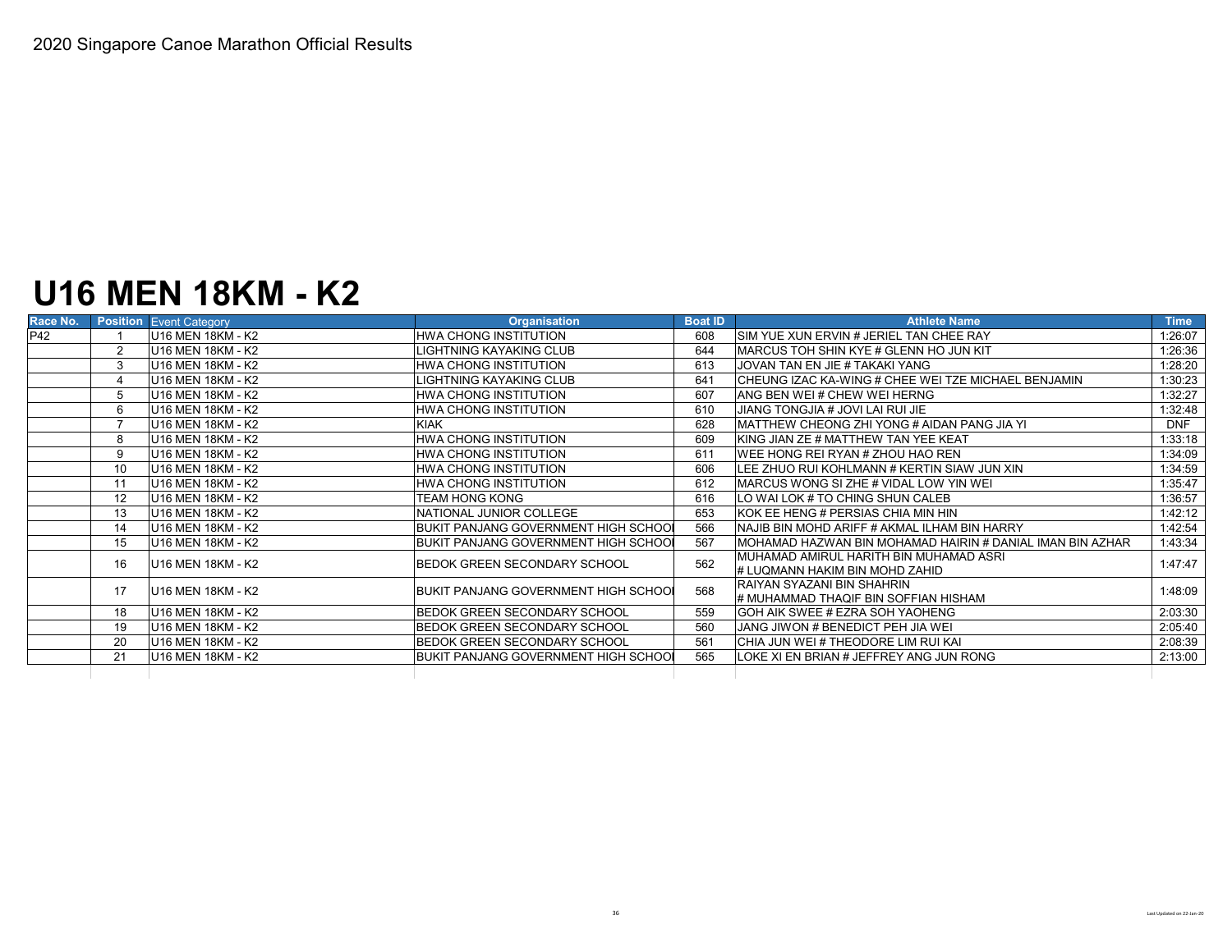# **U16 MEN 18KM - K2**

| Race No. |                          | <b>Position Event Category</b> | <b>Organisation</b>                           | <b>Boat ID</b> | <b>Athlete Name</b>                                       | <b>Time</b> |
|----------|--------------------------|--------------------------------|-----------------------------------------------|----------------|-----------------------------------------------------------|-------------|
| P42      |                          | U16 MEN 18KM - K2              | <b>HWA CHONG INSTITUTION</b>                  | 608            | ISIM YUE XUN ERVIN # JERIEL TAN CHEE RAY                  | 1:26:07     |
|          | 2                        | U16 MEN 18KM - K2              | LIGHTNING KAYAKING CLUB                       | 644            | MARCUS TOH SHIN KYE # GLENN HO JUN KIT                    | 1:26:36     |
|          | 3                        | U16 MEN 18KM - K2              | <b>HWA CHONG INSTITUTION</b>                  | 613            | JOVAN TAN EN JIE # TAKAKI YANG                            | 1:28:20     |
|          |                          | U16 MEN 18KM - K2              | LIGHTNING KAYAKING CLUB                       | 641            | CHEUNG IZAC KA-WING # CHEE WEI TZE MICHAEL BENJAMIN       | 1:30:23     |
|          |                          | U16 MEN 18KM - K2              | <b>HWA CHONG INSTITUTION</b>                  | 607            | ANG BEN WEI# CHEW WEI HERNG                               | 1:32:27     |
|          | 6                        | U16 MEN 18KM - K2              | <b>HWA CHONG INSTITUTION</b>                  | 610            | JIANG TONGJIA # JOVI LAI RUI JIE                          | 1:32:48     |
|          | $\overline{\phantom{a}}$ | U16 MEN 18KM - K2              | <b>KIAK</b>                                   | 628            | <b>IMATTHEW CHEONG ZHI YONG # AIDAN PANG JIA YI</b>       | <b>DNF</b>  |
|          | 8                        | U16 MEN 18KM - K2              | <b>HWA CHONG INSTITUTION</b>                  | 609            | <b>IKING JIAN ZE # MATTHEW TAN YEE KEAT</b>               | 1:33:18     |
|          | 9                        | U16 MEN 18KM - K2              | <b>HWA CHONG INSTITUTION</b>                  | 611            | WEE HONG REI RYAN # ZHOU HAO REN                          | 1:34:09     |
|          | 10                       | U16 MEN 18KM - K2              | <b>HWA CHONG INSTITUTION</b>                  | 606            | LEE ZHUO RUI KOHLMANN # KERTIN SIAW JUN XIN               | 1:34:59     |
|          | 11                       | U16 MEN 18KM - K2              | HWA CHONG INSTITUTION                         | 612            | MARCUS WONG SIZHE # VIDAL LOW YIN WEI                     | 1:35:47     |
|          | 12                       | U16 MEN 18KM - K2              | TEAM HONG KONG                                | 616            | LO WAI LOK # TO CHING SHUN CALEB                          | 1:36:57     |
|          | 13                       | U16 MEN 18KM - K2              | NATIONAL JUNIOR COLLEGE                       | 653            | IKOK EE HENG # PERSIAS CHIA MIN HIN                       | 1:42:12     |
|          | 14                       | U16 MEN 18KM - K2              | <b>BUKIT PANJANG GOVERNMENT HIGH SCHOOL</b>   | 566            | NAJIB BIN MOHD ARIFF # AKMAL ILHAM BIN HARRY              | 1:42:54     |
|          | 15                       | U16 MEN 18KM - K2              | <b>IBUKIT PANJANG GOVERNMENT HIGH SCHOO</b> I | 567            | MOHAMAD HAZWAN BIN MOHAMAD HAIRIN # DANIAL IMAN BIN AZHAR | 1:43:34     |
|          | 16                       | U16 MEN 18KM - K2              | BEDOK GREEN SECONDARY SCHOOL                  | 562            | IMUHAMAD AMIRUL HARITH BIN MUHAMAD ASRI                   | 1:47:47     |
|          |                          |                                |                                               |                | # LUQMANN HAKIM BIN MOHD ZAHID                            |             |
|          | 17                       | U16 MEN 18KM - K2              | BUKIT PANJANG GOVERNMENT HIGH SCHOOL          | 568            | RAIYAN SYAZANI BIN SHAHRIN                                | 1:48:09     |
|          |                          |                                |                                               |                | # MUHAMMAD THAQIF BIN SOFFIAN HISHAM                      |             |
|          | 18                       | U16 MEN 18KM - K2              | <b>BEDOK GREEN SECONDARY SCHOOL</b>           | 559            | GOH AIK SWEE # EZRA SOH YAOHENG                           | 2:03:30     |
|          | 19                       | U16 MEN 18KM - K2              | BEDOK GREEN SECONDARY SCHOOL                  | 560            | JANG JIWON # BENEDICT PEH JIA WEI                         | 2:05:40     |
|          | 20                       | U16 MEN 18KM - K2              | <b>BEDOK GREEN SECONDARY SCHOOL</b>           | 561            | CHIA JUN WEI # THEODORE LIM RUI KAI                       | 2:08:39     |
|          | 21                       | U16 MEN 18KM - K2              | BUKIT PANJANG GOVERNMENT HIGH SCHOO           | 565            | LOKE XI EN BRIAN # JEFFREY ANG JUN RONG                   | 2:13:00     |
|          |                          |                                |                                               |                |                                                           |             |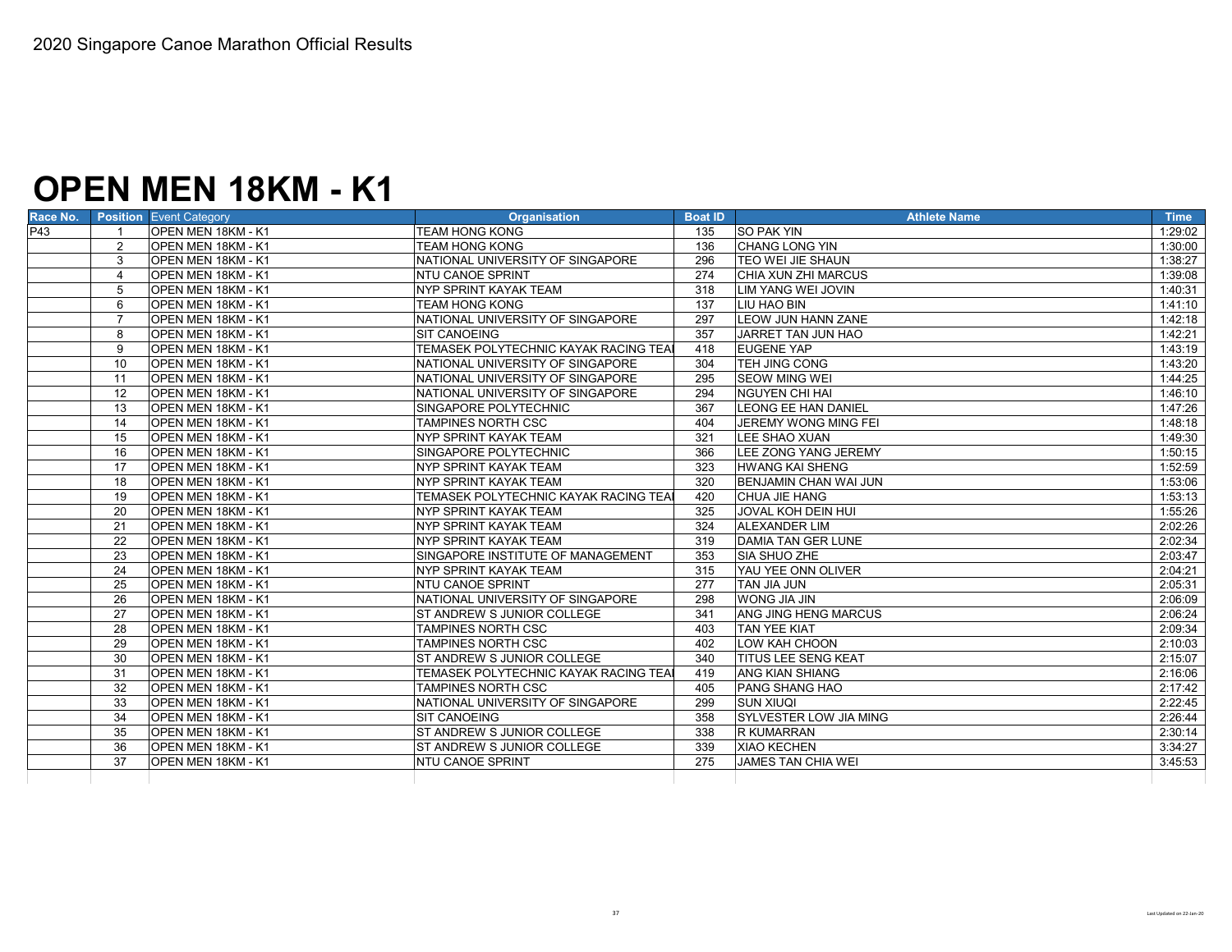## **OPEN MEN 18KM - K1**

| Race No. |                | <b>Position Event Category</b> | <b>Organisation</b>                  | <b>Boat ID</b> | <b>Athlete Name</b>           | Time    |
|----------|----------------|--------------------------------|--------------------------------------|----------------|-------------------------------|---------|
| P43      |                | OPEN MEN 18KM - K1             | <b>TEAM HONG KONG</b>                | 135            | <b>SO PAK YIN</b>             | 1:29:02 |
|          | 2              | OPEN MEN 18KM - K1             | <b>TEAM HONG KONG</b>                | 136            | <b>CHANG LONG YIN</b>         | 1:30:00 |
|          | 3              | OPEN MEN 18KM - K1             | NATIONAL UNIVERSITY OF SINGAPORE     | 296            | TEO WEI JIE SHAUN             | 1:38:27 |
|          | $\overline{4}$ | OPEN MEN 18KM - K1             | <b>NTU CANOE SPRINT</b>              | 274            | CHIA XUN ZHI MARCUS           | 1:39:08 |
|          | 5              | OPEN MEN 18KM - K1             | NYP SPRINT KAYAK TEAM                | 318            | LIM YANG WEI JOVIN            | 1:40:31 |
|          | 6              | OPEN MEN 18KM - K1             | <b>TEAM HONG KONG</b>                | 137            | LIU HAO BIN                   | 1:41:10 |
|          | $\overline{7}$ | OPEN MEN 18KM - K1             | NATIONAL UNIVERSITY OF SINGAPORE     | 297            | LEOW JUN HANN ZANE            | 1:42:18 |
|          | 8              | OPEN MEN 18KM - K1             | <b>SIT CANOEING</b>                  | 357            | JARRET TAN JUN HAO            | 1:42:21 |
|          | 9              | OPEN MEN 18KM - K1             | TEMASEK POLYTECHNIC KAYAK RACING TEA | 418            | <b>EUGENE YAP</b>             | 1:43:19 |
|          | 10             | OPEN MEN 18KM - K1             | NATIONAL UNIVERSITY OF SINGAPORE     | 304            | <b>TEH JING CONG</b>          | 1:43:20 |
|          | 11             | OPEN MEN 18KM - K1             | NATIONAL UNIVERSITY OF SINGAPORE     | 295            | <b>SEOW MING WEI</b>          | 1:44:25 |
|          | 12             | OPEN MEN 18KM - K1             | NATIONAL UNIVERSITY OF SINGAPORE     | 294            | <b>NGUYEN CHI HAI</b>         | 1:46:10 |
|          | 13             | OPEN MEN 18KM - K1             | SINGAPORE POLYTECHNIC                | 367            | <b>LEONG EE HAN DANIEL</b>    | 1:47:26 |
|          | 14             | OPEN MEN 18KM - K1             | <b>TAMPINES NORTH CSC</b>            | 404            | JEREMY WONG MING FEI          | 1:48:18 |
|          | 15             | OPEN MEN 18KM - K1             | <b>NYP SPRINT KAYAK TEAM</b>         | 321            | LEE SHAO XUAN                 | 1:49:30 |
|          | 16             | OPEN MEN 18KM - K1             | SINGAPORE POLYTECHNIC                | 366            | LEE ZONG YANG JEREMY          | 1:50:15 |
|          | 17             | OPEN MEN 18KM - K1             | <b>NYP SPRINT KAYAK TEAM</b>         | 323            | <b>HWANG KAI SHENG</b>        | 1:52:59 |
|          | 18             | OPEN MEN 18KM - K1             | NYP SPRINT KAYAK TEAM                | 320            | BENJAMIN CHAN WAI JUN         | 1:53:06 |
|          | 19             | OPEN MEN 18KM - K1             | TEMASEK POLYTECHNIC KAYAK RACING TEA | 420            | <b>CHUA JIE HANG</b>          | 1:53:13 |
|          | 20             | OPEN MEN 18KM - K1             | <b>NYP SPRINT KAYAK TEAM</b>         | 325            | <b>JOVAL KOH DEIN HUI</b>     | 1:55:26 |
|          | 21             | OPEN MEN 18KM - K1             | NYP SPRINT KAYAK TEAM                | 324            | <b>ALEXANDER LIM</b>          | 2:02:26 |
|          | 22             | OPEN MEN 18KM - K1             | <b>INYP SPRINT KAYAK TEAM</b>        | 319            | DAMIA TAN GER LUNE            | 2:02:34 |
|          | 23             | OPEN MEN 18KM - K1             | SINGAPORE INSTITUTE OF MANAGEMENT    | 353            | SIA SHUO ZHE                  | 2:03:47 |
|          | 24             | OPEN MEN 18KM - K1             | <b>NYP SPRINT KAYAK TEAM</b>         | 315            | YAU YEE ONN OLIVER            | 2:04:21 |
|          | 25             | OPEN MEN 18KM - K1             | <b>NTU CANOE SPRINT</b>              | 277            | <b>TAN JIA JUN</b>            | 2:05:31 |
|          | 26             | OPEN MEN 18KM - K1             | NATIONAL UNIVERSITY OF SINGAPORE     | 298            | <b>WONG JIA JIN</b>           | 2:06:09 |
|          | 27             | OPEN MEN 18KM - K1             | ST ANDREW S JUNIOR COLLEGE           | 341            | ANG JING HENG MARCUS          | 2:06:24 |
|          | 28             | OPEN MEN 18KM - K1             | TAMPINES NORTH CSC                   | 403            | <b>TAN YEE KIAT</b>           | 2:09:34 |
|          | 29             | OPEN MEN 18KM - K1             | <b>TAMPINES NORTH CSC</b>            | 402            | LOW KAH CHOON                 | 2:10:03 |
|          | 30             | OPEN MEN 18KM - K1             | ST ANDREW S JUNIOR COLLEGE           | 340            | <b>ITITUS LEE SENG KEAT</b>   | 2:15:07 |
|          | 31             | OPEN MEN 18KM - K1             | TEMASEK POLYTECHNIC KAYAK RACING TEA | 419            | <b>ANG KIAN SHIANG</b>        | 2:16:06 |
|          | 32             | OPEN MEN 18KM - K1             | <b>TAMPINES NORTH CSC</b>            | 405            | <b>PANG SHANG HAO</b>         | 2:17:42 |
|          | 33             | OPEN MEN 18KM - K1             | NATIONAL UNIVERSITY OF SINGAPORE     | 299            | <b>SUN XIUQI</b>              | 2:22:45 |
|          | 34             | OPEN MEN 18KM - K1             | <b>SIT CANOEING</b>                  | 358            | <b>SYLVESTER LOW JIA MING</b> | 2:26:44 |
|          | 35             | OPEN MEN 18KM - K1             | ST ANDREW S JUNIOR COLLEGE           | 338            | <b>R KUMARRAN</b>             | 2:30:14 |
|          | 36             | OPEN MEN 18KM - K1             | ST ANDREW S JUNIOR COLLEGE           | 339            | <b>XIAO KECHEN</b>            | 3:34:27 |
|          | 37             | OPEN MEN 18KM - K1             | <b>NTU CANOE SPRINT</b>              | 275            | <b>JAMES TAN CHIA WEI</b>     | 3:45:53 |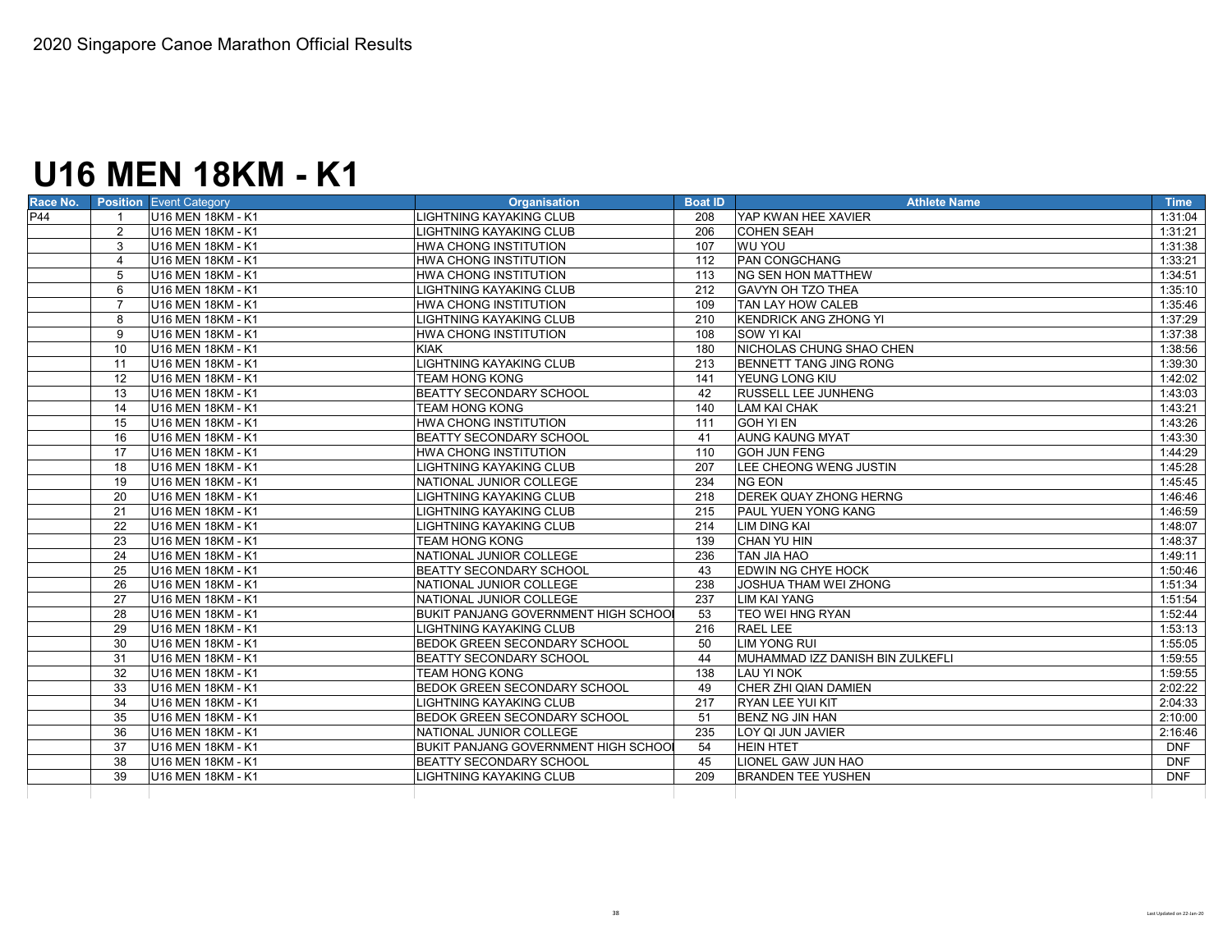# **U16 MEN 18KM - K1**

| Race No. | <b>Position Event Category</b>      | <b>Organisation</b>                         | <b>Boat ID</b> | <b>Athlete Name</b>              | <b>Time</b> |
|----------|-------------------------------------|---------------------------------------------|----------------|----------------------------------|-------------|
| P44      | U16 MEN 18KM - K1                   | LIGHTNING KAYAKING CLUB                     | 208            | YAP KWAN HEE XAVIER              | 1:31:04     |
|          | $\overline{2}$<br>U16 MEN 18KM - K1 | LIGHTNING KAYAKING CLUB                     | 206            | <b>COHEN SEAH</b>                | 1:31:21     |
|          | 3<br>U16 MEN 18KM - K1              | <b>HWA CHONG INSTITUTION</b>                | 107            | <b>WU YOU</b>                    | 1:31:38     |
|          | U16 MEN 18KM - K1<br>4              | <b>HWA CHONG INSTITUTION</b>                | 112            | <b>PAN CONGCHANG</b>             | 1:33:21     |
|          | U16 MEN 18KM - K1<br>5              | HWA CHONG INSTITUTION                       | 113            | <b>NG SEN HON MATTHEW</b>        | 1:34:51     |
|          | U16 MEN 18KM - K1<br>6              | LIGHTNING KAYAKING CLUB                     | 212            | <b>GAVYN OH TZO THEA</b>         | 1:35:10     |
|          | $\overline{7}$<br>U16 MEN 18KM - K1 | HWA CHONG INSTITUTION                       | 109            | <b>TAN LAY HOW CALEB</b>         | 1:35:46     |
|          | 8<br>U16 MEN 18KM - K1              | LIGHTNING KAYAKING CLUB                     | 210            | <b>KENDRICK ANG ZHONG YI</b>     | 1:37:29     |
|          | U16 MEN 18KM - K1<br>9              | HWA CHONG INSTITUTION                       | 108            | <b>SOW YI KAI</b>                | 1:37:38     |
|          | U16 MEN 18KM - K1<br>10             | <b>KIAK</b>                                 | 180            | NICHOLAS CHUNG SHAO CHEN         | 1:38:56     |
|          | 11<br>U16 MEN 18KM - K1             | LIGHTNING KAYAKING CLUB                     | 213            | BENNETT TANG JING RONG           | 1:39:30     |
|          | 12<br>U16 MEN 18KM - K1             | <b>TEAM HONG KONG</b>                       | 141            | YEUNG LONG KIU                   | 1:42:02     |
|          | 13<br>U16 MEN 18KM - K1             | <b>BEATTY SECONDARY SCHOOL</b>              | 42             | <b>RUSSELL LEE JUNHENG</b>       | 1:43:03     |
|          | 14<br>U16 MEN 18KM - K1             | <b>TEAM HONG KONG</b>                       | 140            | <b>LAM KAI CHAK</b>              | 1:43:21     |
|          | U16 MEN 18KM - K1<br>15             | HWA CHONG INSTITUTION                       | 111            | <b>GOH YI EN</b>                 | 1:43:26     |
|          | U16 MEN 18KM - K1<br>16             | <b>BEATTY SECONDARY SCHOOL</b>              | 41             | <b>AUNG KAUNG MYAT</b>           | 1:43:30     |
|          | U16 MEN 18KM - K1<br>17             | <b>HWA CHONG INSTITUTION</b>                | 110            | <b>GOH JUN FENG</b>              | 1:44:29     |
|          | U16 MEN 18KM - K1<br>18             | LIGHTNING KAYAKING CLUB                     | 207            | LEE CHEONG WENG JUSTIN           | 1:45:28     |
|          | 19<br>U16 MEN 18KM - K1             | NATIONAL JUNIOR COLLEGE                     | 234            | <b>NG EON</b>                    | 1:45:45     |
|          | 20<br>U16 MEN 18KM - K1             | LIGHTNING KAYAKING CLUB                     | 218            | <b>DEREK QUAY ZHONG HERNG</b>    | 1:46:46     |
|          | U16 MEN 18KM - K1<br>21             | LIGHTNING KAYAKING CLUB                     | 215            | <b>PAUL YUEN YONG KANG</b>       | 1:46:59     |
|          | U16 MEN 18KM - K1<br>22             | LIGHTNING KAYAKING CLUB                     | 214            | <b>LIM DING KAI</b>              | 1:48:07     |
|          | U16 MEN 18KM - K1<br>23             | <b>TEAM HONG KONG</b>                       | 139            | CHAN YU HIN                      | 1:48:37     |
|          | 24<br>U16 MEN 18KM - K1             | NATIONAL JUNIOR COLLEGE                     | 236            | TAN JIA HAO                      | 1:49:11     |
|          | 25<br>U16 MEN 18KM - K1             | <b>BEATTY SECONDARY SCHOOL</b>              | 43             | EDWIN NG CHYE HOCK               | 1:50:46     |
|          | 26<br>U16 MEN 18KM - K1             | NATIONAL JUNIOR COLLEGE                     | 238            | JOSHUA THAM WEI ZHONG            | 1:51:34     |
|          | 27<br>U16 MEN 18KM - K1             | NATIONAL JUNIOR COLLEGE                     | 237            | <b>LIM KAI YANG</b>              | 1:51:54     |
|          | 28<br>U16 MEN 18KM - K1             | <b>BUKIT PANJANG GOVERNMENT HIGH SCHOOL</b> | 53             | <b>TEO WEI HNG RYAN</b>          | 1:52:44     |
|          | 29<br>U16 MEN 18KM - K1             | LIGHTNING KAYAKING CLUB                     | 216            | RAEL LEE                         | 1:53:13     |
|          | 30<br>U16 MEN 18KM - K1             | <b>BEDOK GREEN SECONDARY SCHOOL</b>         | 50             | <b>LIM YONG RUI</b>              | 1:55:05     |
|          | 31<br>U16 MEN 18KM - K1             | <b>BEATTY SECONDARY SCHOOL</b>              | 44             | MUHAMMAD IZZ DANISH BIN ZULKEFLI | 1:59:55     |
|          | 32<br>U16 MEN 18KM - K1             | <b>TEAM HONG KONG</b>                       | 138            | <b>LAU YI NOK</b>                | 1:59:55     |
|          | U16 MEN 18KM - K1<br>33             | <b>BEDOK GREEN SECONDARY SCHOOL</b>         | 49             | CHER ZHI QIAN DAMIEN             | 2:02:22     |
|          | 34<br>U16 MEN 18KM - K1             | LIGHTNING KAYAKING CLUB                     | 217            | <b>RYAN LEE YUI KIT</b>          | 2:04:33     |
|          | 35<br>U16 MEN 18KM - K1             | BEDOK GREEN SECONDARY SCHOOL                | 51             | BENZ NG JIN HAN                  | 2:10:00     |
|          | 36<br>U16 MEN 18KM - K1             | NATIONAL JUNIOR COLLEGE                     | 235            | LOY QI JUN JAVIER                | 2:16:46     |
|          | 37<br>U16 MEN 18KM - K1             | <b>BUKIT PANJANG GOVERNMENT HIGH SCHOOL</b> | 54             | <b>HEIN HTET</b>                 | <b>DNF</b>  |
|          | 38<br>U16 MEN 18KM - K1             | <b>BEATTY SECONDARY SCHOOL</b>              | 45             | LIONEL GAW JUN HAO               | <b>DNF</b>  |
|          | 39<br>U16 MEN 18KM - K1             | LIGHTNING KAYAKING CLUB                     | 209            | <b>BRANDEN TEE YUSHEN</b>        | <b>DNF</b>  |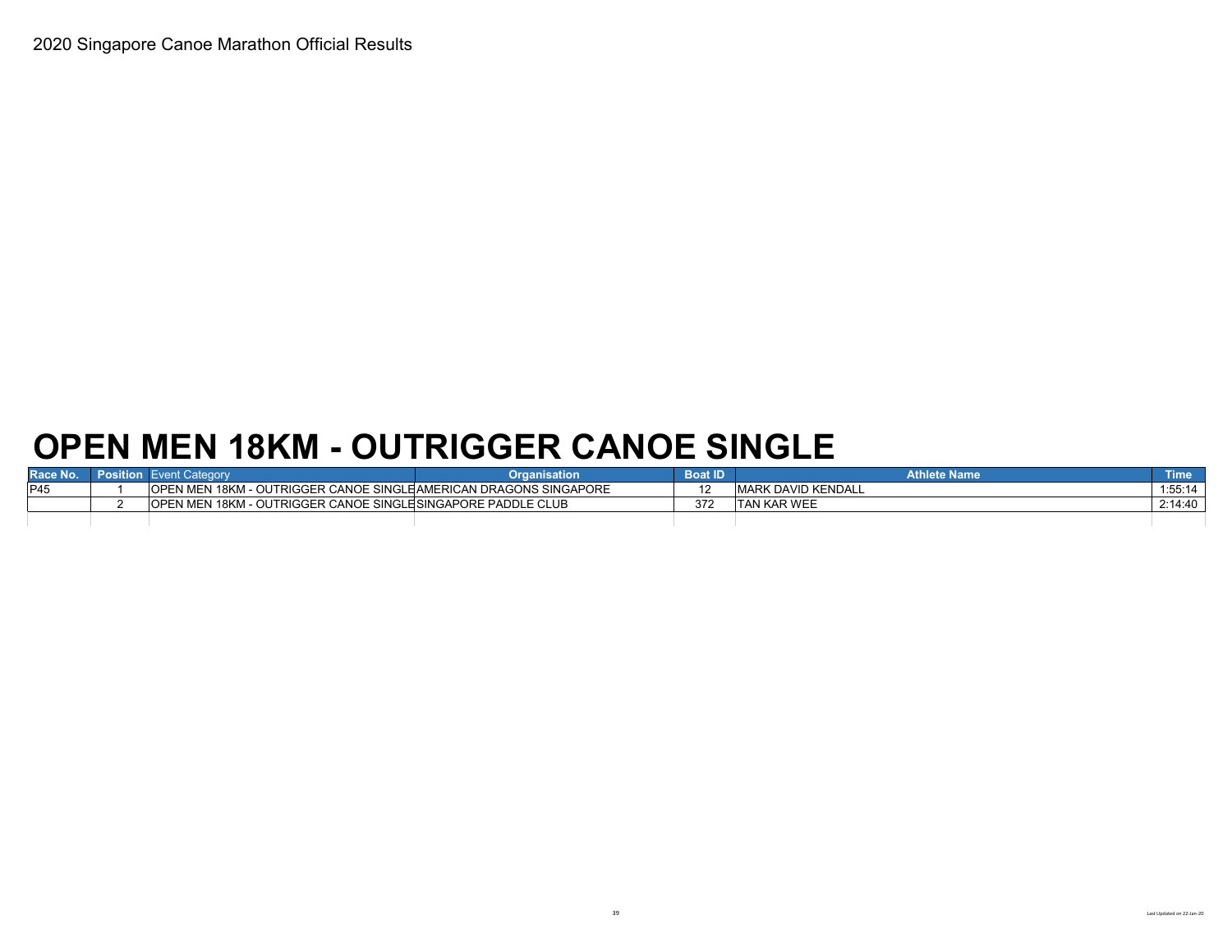# **OPEN MEN 18KM - OUTRIGGER CANOE SINGLE**

|      | vent Categor                                                             | Organisation | <b>Boat ID</b> | <b>Athlete Name</b>     | Time.   |
|------|--------------------------------------------------------------------------|--------------|----------------|-------------------------|---------|
| IP45 | <b>OPEN MEN 18KM - OUTRIGGER CANOE SINGLE AMERICAN DRAGONS SINGAPORE</b> |              | $\overline{a}$ | ( DAVID KENDALL<br>MARK | 1:55:14 |
|      | OPEN MEN 18KM - OUTRIGGER CANOE SINGLEISINGAPORE PADDLE CLUB             |              | 372            | <b>KAR WEE</b><br>TAN I | 2:14:40 |
|      |                                                                          |              |                |                         |         |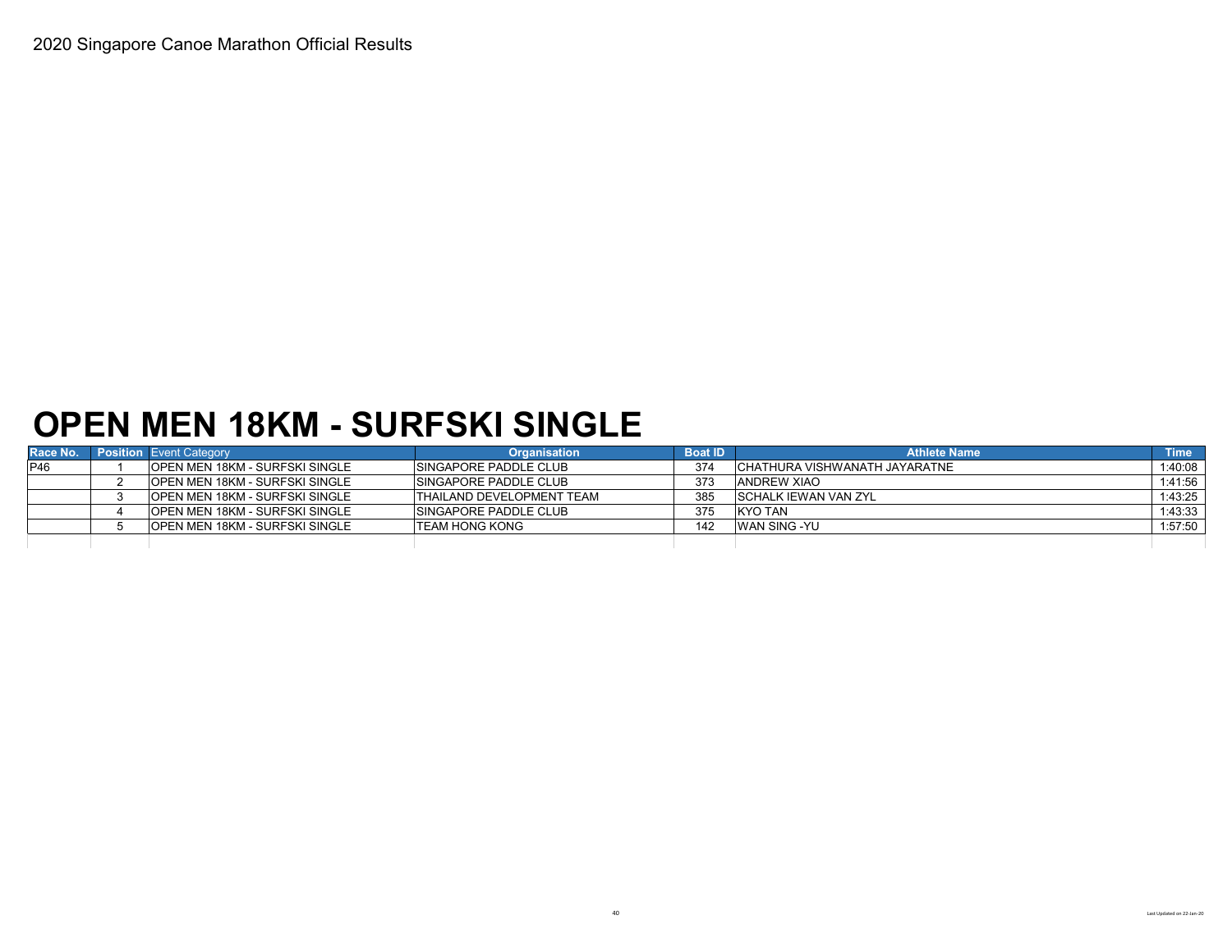### **OPEN MEN 18KM - SURFSKI SINGLE**

| Race No. | <b>Position</b> Event Category         | <b>Organisation</b>              | <b>Boat ID</b> | <b>Athlete Name</b>            | <b>Time</b> |
|----------|----------------------------------------|----------------------------------|----------------|--------------------------------|-------------|
| P46      | <b>IOPEN MEN 18KM - SURFSKI SINGLE</b> | <b>ISINGAPORE PADDLE CLUB</b>    | 374            | ICHATHURA VISHWANATH JAYARATNE | :40:08      |
|          | <b>IOPEN MEN 18KM - SURFSKI SINGLE</b> | <b>SINGAPORE PADDLE CLUB</b>     | 373            | <b>ANDREW XIAO</b>             | 1:41:56     |
|          | <b>IOPEN MEN 18KM - SURFSKI SINGLE</b> | <b>THAILAND DEVELOPMENT TEAM</b> | 385            | ISCHALK IEWAN VAN ZYL          | 1:43:25     |
|          | <b>OPEN MEN 18KM - SURFSKI SINGLE</b>  | <b>ISINGAPORE PADDLE CLUB</b>    | 375            | KYO TAN                        | 1:43:33     |
|          | <b>OPEN MEN 18KM - SURFSKI SINGLE</b>  | <b>ITEAM HONG KONG</b>           | 142            | <b>WAN SING -YU</b>            | 1:57:50     |
|          |                                        |                                  |                |                                |             |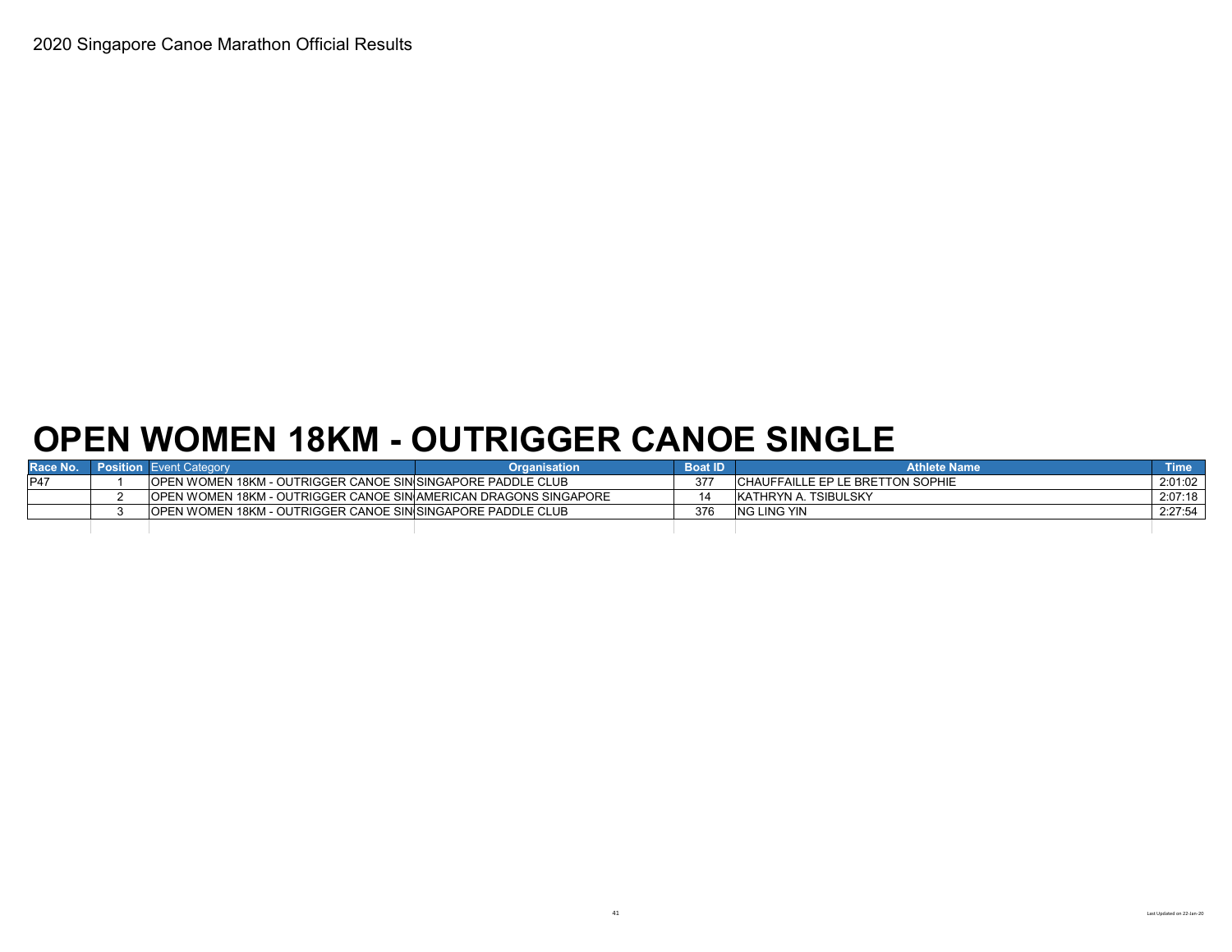# **OPEN WOMEN 18KM - OUTRIGGER CANOE SINGLE**

| Race No.   | <b>Position Event Category</b>                                           | Organisation | <b>Boat ID</b> | <b>Athlete Name</b>               | <b>Time</b> |
|------------|--------------------------------------------------------------------------|--------------|----------------|-----------------------------------|-------------|
| <b>P47</b> | <b>IOPEN WOMEN 18KM - OUTRIGGER CANOE SINISINGAPORE PADDLE CLUB</b>      |              |                | ICHAUFFAILLE EP LE BRETTON SOPHIE | 2:01:02     |
|            | <b>JOPEN WOMEN 18KM - OUTRIGGER CANOE SIN AMERICAN DRAGONS SINGAPORE</b> |              |                | IKATHRYN A. TSIBULSKY             | 2:07:18     |
|            | <b>OPEN WOMEN 18KM - OUTRIGGER CANOE SINISINGAPORE PADDLE CLUB</b>       |              | 376            | <b>NG LING YIN</b>                | 2:27:54     |
|            |                                                                          |              |                |                                   |             |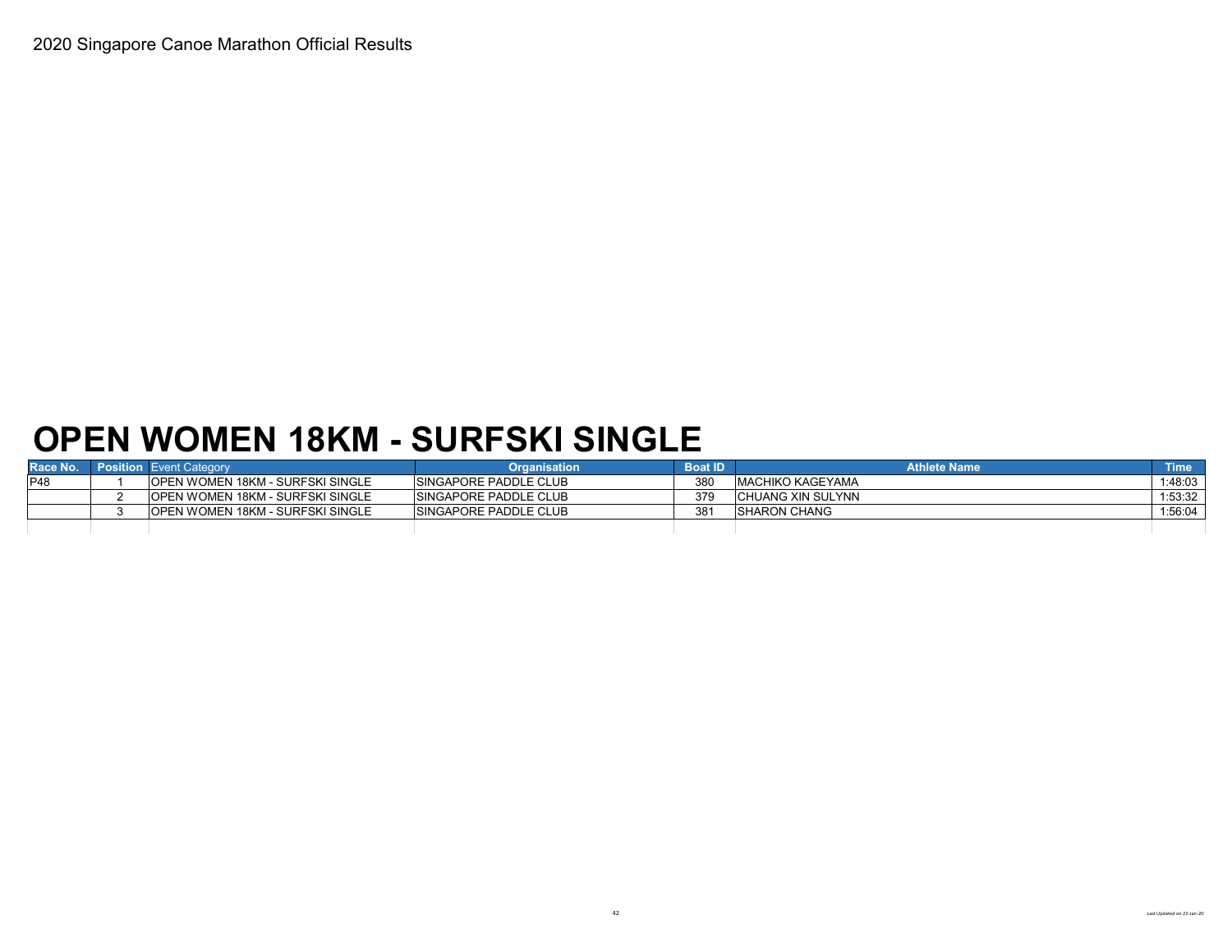# **OPEN WOMEN 18KM - SURFSKI SINGLE**

| Race No.    | <b>Position</b> Event Category           | <b>Organisation</b>           | <b>Boat ID</b> | <b>Athlete Name</b>      | <b>Time</b> |
|-------------|------------------------------------------|-------------------------------|----------------|--------------------------|-------------|
| <b>IP48</b> | <b>IOPEN WOMEN 18KM - SURFSKI SINGLE</b> | <b>ISINGAPORE PADDLE CLUB</b> | 380            | <b>IMACHIKO KAGEYAMA</b> | 1:48:03     |
|             | <b>OPEN WOMEN 18KM - SURFSKI SINGLE</b>  | <b>SINGAPORE PADDLE CLUB</b>  | 379            | CHUANG XIN SULYNN        | 1:53:32     |
|             | <b>IOPEN WOMEN 18KM - SURFSKI SINGLE</b> | <b>SINGAPORE PADDLE CLUB</b>  | 381            | <b>ISHARON CHANG</b>     | 1:56:04     |
|             |                                          |                               |                |                          |             |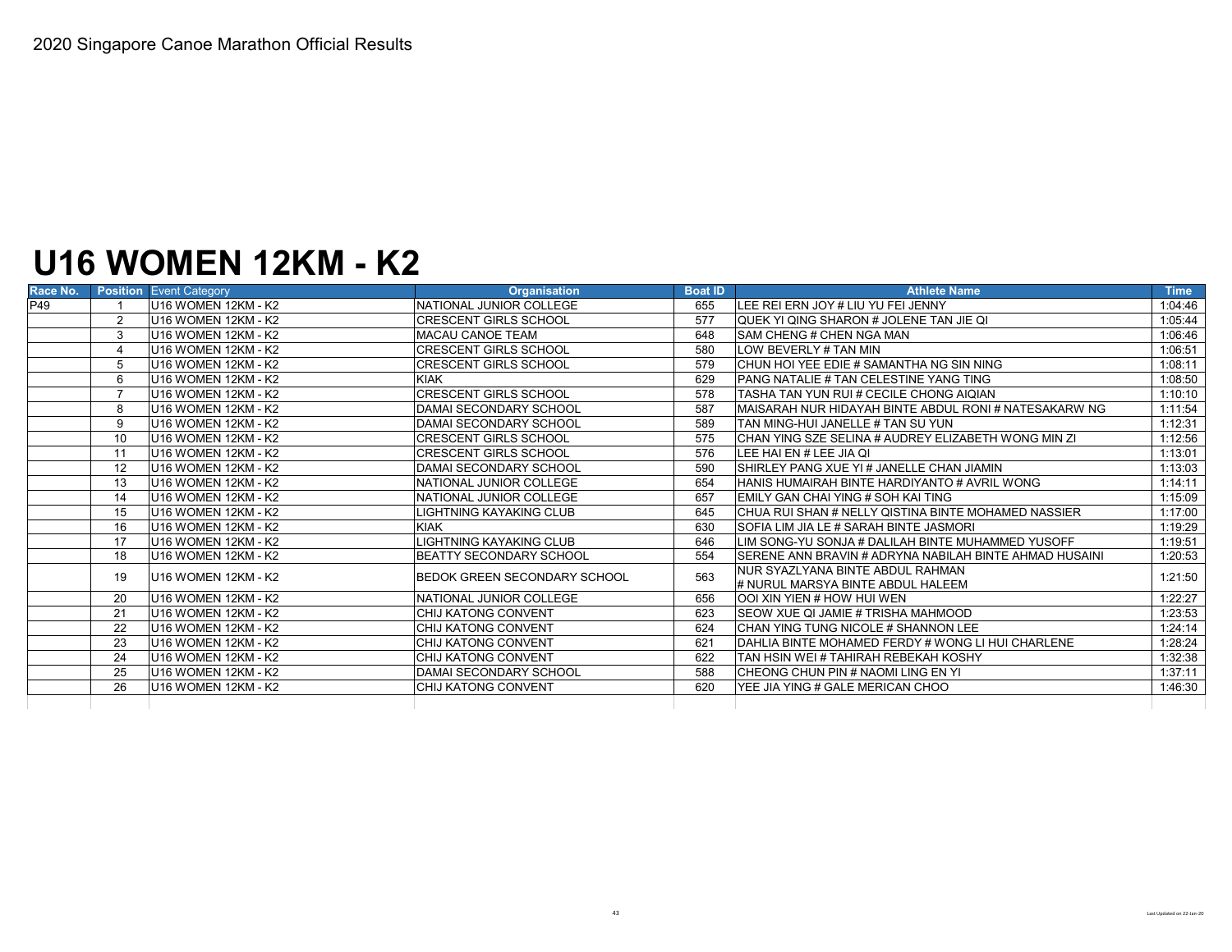# **U16 WOMEN 12KM - K2**

| P49<br>4<br>5<br>6<br>10 | U16 WOMEN 12KM - K2<br>U <sub>16</sub> WOMEN 12KM - K <sub>2</sub><br>$\overline{2}$<br>3<br>U <sub>16</sub> WOMEN 12KM - K <sub>2</sub><br>U <sub>16</sub> WOMEN 12KM - K <sub>2</sub><br>U <sub>16</sub> WOMEN 12KM - K <sub>2</sub><br>U <sub>16</sub> WOMEN 12KM - K <sub>2</sub><br>U16 WOMEN 12KM - K2<br>U <sub>16</sub> WOMEN 12KM - K <sub>2</sub><br>8<br>U16 WOMEN 12KM - K2<br>9<br>U16 WOMEN 12KM - K2 | NATIONAL JUNIOR COLLEGE<br><b>CRESCENT GIRLS SCHOOL</b><br><b>MACAU CANOE TEAM</b><br><b>CRESCENT GIRLS SCHOOL</b><br><b>CRESCENT GIRLS SCHOOL</b><br><b>KIAK</b><br><b>CRESCENT GIRLS SCHOOL</b><br><b>DAMAI SECONDARY SCHOOL</b><br><b>DAMAI SECONDARY SCHOOL</b><br><b>CRESCENT GIRLS SCHOOL</b> | 655<br>577<br>648<br>580<br>579<br>629<br>578<br>587<br>589 | LEE REI ERN JOY # LIU YU FEI JENNY<br><b>QUEK YI QING SHARON # JOLENE TAN JIE QI</b><br><b>SAM CHENG # CHEN NGA MAN</b><br>LOW BEVERLY # TAN MIN<br>CHUN HOI YEE EDIE # SAMANTHA NG SIN NING<br><b>PANG NATALIE # TAN CELESTINE YANG TING</b><br>TASHA TAN YUN RUI # CECILE CHONG AIOIAN<br>MAISARAH NUR HIDAYAH BINTE ABDUL RONI # NATESAKARW NG | 1:04:46<br>1:05:44<br>1:06:46<br>1:06:51<br>1:08:11<br>1:08:50<br>1:10:10<br>1:11:54 |
|--------------------------|---------------------------------------------------------------------------------------------------------------------------------------------------------------------------------------------------------------------------------------------------------------------------------------------------------------------------------------------------------------------------------------------------------------------|-----------------------------------------------------------------------------------------------------------------------------------------------------------------------------------------------------------------------------------------------------------------------------------------------------|-------------------------------------------------------------|---------------------------------------------------------------------------------------------------------------------------------------------------------------------------------------------------------------------------------------------------------------------------------------------------------------------------------------------------|--------------------------------------------------------------------------------------|
|                          |                                                                                                                                                                                                                                                                                                                                                                                                                     |                                                                                                                                                                                                                                                                                                     |                                                             |                                                                                                                                                                                                                                                                                                                                                   |                                                                                      |
|                          |                                                                                                                                                                                                                                                                                                                                                                                                                     |                                                                                                                                                                                                                                                                                                     |                                                             |                                                                                                                                                                                                                                                                                                                                                   |                                                                                      |
|                          |                                                                                                                                                                                                                                                                                                                                                                                                                     |                                                                                                                                                                                                                                                                                                     |                                                             |                                                                                                                                                                                                                                                                                                                                                   |                                                                                      |
|                          |                                                                                                                                                                                                                                                                                                                                                                                                                     |                                                                                                                                                                                                                                                                                                     |                                                             |                                                                                                                                                                                                                                                                                                                                                   |                                                                                      |
|                          |                                                                                                                                                                                                                                                                                                                                                                                                                     |                                                                                                                                                                                                                                                                                                     |                                                             |                                                                                                                                                                                                                                                                                                                                                   |                                                                                      |
|                          |                                                                                                                                                                                                                                                                                                                                                                                                                     |                                                                                                                                                                                                                                                                                                     |                                                             |                                                                                                                                                                                                                                                                                                                                                   |                                                                                      |
|                          |                                                                                                                                                                                                                                                                                                                                                                                                                     |                                                                                                                                                                                                                                                                                                     |                                                             |                                                                                                                                                                                                                                                                                                                                                   |                                                                                      |
|                          |                                                                                                                                                                                                                                                                                                                                                                                                                     |                                                                                                                                                                                                                                                                                                     |                                                             |                                                                                                                                                                                                                                                                                                                                                   |                                                                                      |
|                          |                                                                                                                                                                                                                                                                                                                                                                                                                     |                                                                                                                                                                                                                                                                                                     |                                                             | TAN MING-HUI JANELLE # TAN SU YUN                                                                                                                                                                                                                                                                                                                 | 1:12:31                                                                              |
|                          |                                                                                                                                                                                                                                                                                                                                                                                                                     |                                                                                                                                                                                                                                                                                                     | 575                                                         | ICHAN YING SZE SELINA # AUDREY ELIZABETH WONG MIN ZI                                                                                                                                                                                                                                                                                              | 1:12:56                                                                              |
| 11                       | U16 WOMEN 12KM - K2                                                                                                                                                                                                                                                                                                                                                                                                 | <b>CRESCENT GIRLS SCHOOL</b>                                                                                                                                                                                                                                                                        | 576                                                         | LEE HAI EN # LEE JIA OI                                                                                                                                                                                                                                                                                                                           | 1:13:01                                                                              |
|                          | 12<br>U <sub>16</sub> WOMEN 12KM - K <sub>2</sub>                                                                                                                                                                                                                                                                                                                                                                   | <b>DAMAI SECONDARY SCHOOL</b>                                                                                                                                                                                                                                                                       | 590                                                         | <b>ISHIRLEY PANG XUE YI # JANELLE CHAN JIAMIN</b>                                                                                                                                                                                                                                                                                                 | 1:13:03                                                                              |
|                          | U16 WOMEN 12KM - K2<br>13                                                                                                                                                                                                                                                                                                                                                                                           | NATIONAL JUNIOR COLLEGE                                                                                                                                                                                                                                                                             | 654                                                         | HANIS HUMAIRAH BINTE HARDIYANTO # AVRIL WONG                                                                                                                                                                                                                                                                                                      | 1:14:11                                                                              |
| 14                       | U <sub>16</sub> WOMEN 12KM - K <sub>2</sub>                                                                                                                                                                                                                                                                                                                                                                         | NATIONAL JUNIOR COLLEGE                                                                                                                                                                                                                                                                             | 657                                                         | EMILY GAN CHAI YING # SOH KAI TING                                                                                                                                                                                                                                                                                                                | 1:15:09                                                                              |
|                          | U <sub>16</sub> WOMEN 12KM - K <sub>2</sub><br>15                                                                                                                                                                                                                                                                                                                                                                   | LIGHTNING KAYAKING CLUB                                                                                                                                                                                                                                                                             | 645                                                         | ICHUA RUI SHAN # NELLY QISTINA BINTE MOHAMED NASSIER                                                                                                                                                                                                                                                                                              | 1:17:00                                                                              |
|                          | 16<br>U <sub>16</sub> WOMEN 12KM - K <sub>2</sub>                                                                                                                                                                                                                                                                                                                                                                   | <b>KIAK</b>                                                                                                                                                                                                                                                                                         | 630                                                         | <b>ISOFIA LIM JIA LE # SARAH BINTE JASMORI</b>                                                                                                                                                                                                                                                                                                    | 1:19:29                                                                              |
|                          | U <sub>16</sub> WOMEN 12KM - K <sub>2</sub><br>17                                                                                                                                                                                                                                                                                                                                                                   | LIGHTNING KAYAKING CLUB                                                                                                                                                                                                                                                                             | 646                                                         | LIM SONG-YU SONJA # DALILAH BINTE MUHAMMED YUSOFF                                                                                                                                                                                                                                                                                                 | 1:19:51                                                                              |
| 18                       | U <sub>16</sub> WOMEN 12KM - K <sub>2</sub>                                                                                                                                                                                                                                                                                                                                                                         | <b>BEATTY SECONDARY SCHOOL</b>                                                                                                                                                                                                                                                                      | 554                                                         | <b>ISERENE ANN BRAVIN # ADRYNA NABILAH BINTE AHMAD HUSAINI</b>                                                                                                                                                                                                                                                                                    | 1:20:53                                                                              |
|                          | U <sub>16</sub> WOMEN 12KM - K <sub>2</sub><br>19                                                                                                                                                                                                                                                                                                                                                                   | <b>BEDOK GREEN SECONDARY SCHOOL</b>                                                                                                                                                                                                                                                                 | 563                                                         | NUR SYAZLYANA BINTE ABDUL RAHMAN                                                                                                                                                                                                                                                                                                                  | 1:21:50                                                                              |
|                          |                                                                                                                                                                                                                                                                                                                                                                                                                     |                                                                                                                                                                                                                                                                                                     |                                                             | # NURUL MARSYA BINTE ABDUL HALEEM                                                                                                                                                                                                                                                                                                                 |                                                                                      |
|                          | U <sub>16</sub> WOMEN 12KM - K <sub>2</sub><br>20                                                                                                                                                                                                                                                                                                                                                                   | NATIONAL JUNIOR COLLEGE                                                                                                                                                                                                                                                                             | 656                                                         | <b>OOI XIN YIEN # HOW HUI WEN</b>                                                                                                                                                                                                                                                                                                                 | 1:22:27                                                                              |
| 21                       | U16 WOMEN 12KM - K2                                                                                                                                                                                                                                                                                                                                                                                                 | CHIJ KATONG CONVENT                                                                                                                                                                                                                                                                                 | 623                                                         | <b>ISEOW XUE OI JAMIE # TRISHA MAHMOOD</b>                                                                                                                                                                                                                                                                                                        | 1:23:53                                                                              |
| 22                       | U16 WOMEN 12KM - K2                                                                                                                                                                                                                                                                                                                                                                                                 | <b>CHIJ KATONG CONVENT</b>                                                                                                                                                                                                                                                                          | 624                                                         | ICHAN YING TUNG NICOLE # SHANNON LEE                                                                                                                                                                                                                                                                                                              | 1:24:14                                                                              |
| 23                       | U <sub>16</sub> WOMEN 12KM - K <sub>2</sub>                                                                                                                                                                                                                                                                                                                                                                         | <b>CHIJ KATONG CONVENT</b>                                                                                                                                                                                                                                                                          | 621                                                         | <b>IDAHLIA BINTE MOHAMED FERDY # WONG LI HUI CHARLENE</b>                                                                                                                                                                                                                                                                                         | 1:28:24                                                                              |
| 24                       | U16 WOMEN 12KM - K2                                                                                                                                                                                                                                                                                                                                                                                                 | <b>CHIJ KATONG CONVENT</b>                                                                                                                                                                                                                                                                          | 622                                                         | TAN HSIN WEI # TAHIRAH REBEKAH KOSHY                                                                                                                                                                                                                                                                                                              | 1:32:38                                                                              |
| 25                       | U <sub>16</sub> WOMEN 12KM - K <sub>2</sub>                                                                                                                                                                                                                                                                                                                                                                         | DAMAI SECONDARY SCHOOL                                                                                                                                                                                                                                                                              | 588                                                         | ICHEONG CHUN PIN # NAOMI LING EN YI                                                                                                                                                                                                                                                                                                               | 1:37:11                                                                              |
|                          | U <sub>16</sub> WOMEN 12KM - K <sub>2</sub><br>26                                                                                                                                                                                                                                                                                                                                                                   | <b>CHIJ KATONG CONVENT</b>                                                                                                                                                                                                                                                                          | 620                                                         | YEE JIA YING # GALE MERICAN CHOO                                                                                                                                                                                                                                                                                                                  | 1:46:30                                                                              |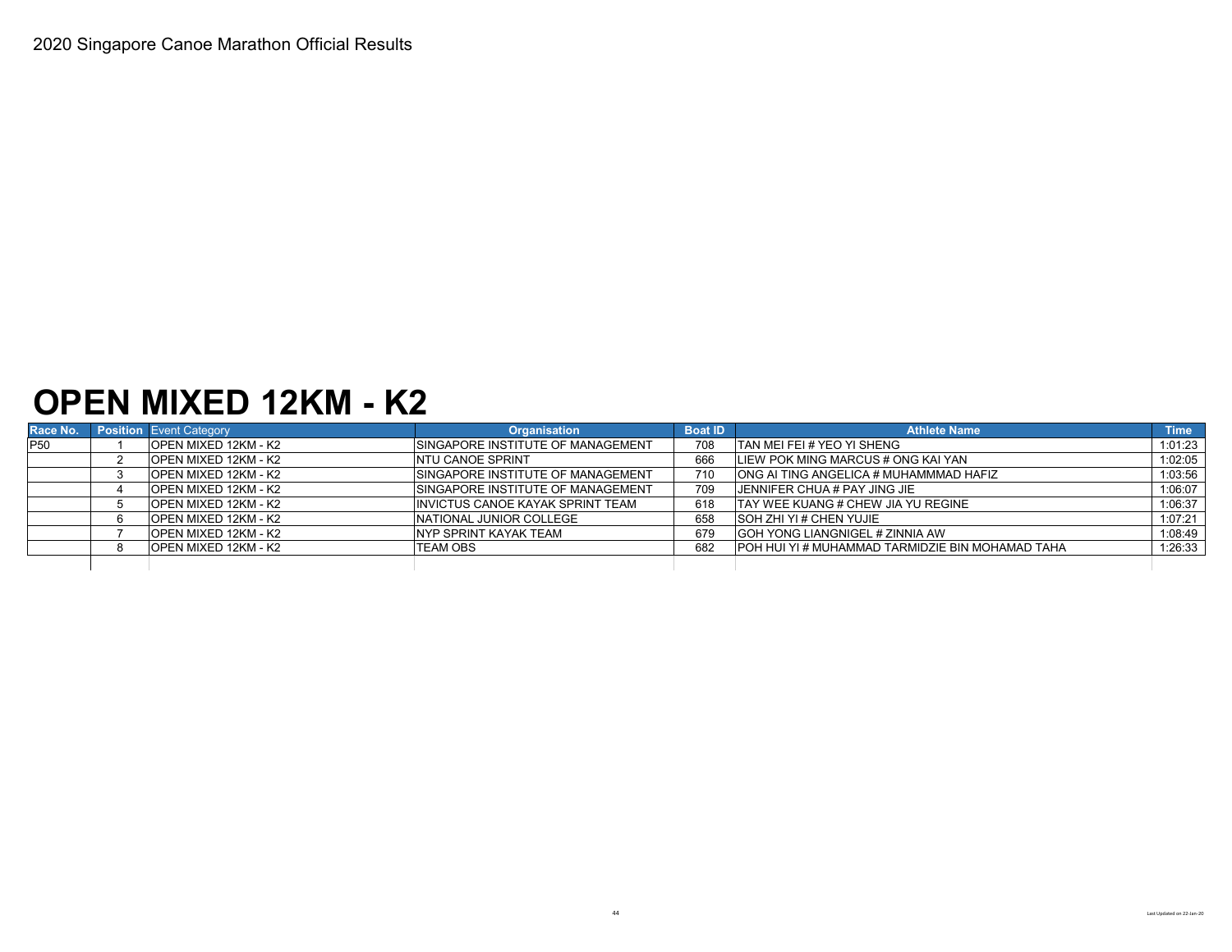#### **OPEN MIXED 12KM - K2**

| Race No.        | <b>Position</b> Event Category | <b>Organisation</b>                       | <b>Boat ID</b> | <b>Athlete Name</b>                              | <b>Time</b> |
|-----------------|--------------------------------|-------------------------------------------|----------------|--------------------------------------------------|-------------|
| P <sub>50</sub> | <b>OPEN MIXED 12KM - K2</b>    | <b>ISINGAPORE INSTITUTE OF MANAGEMENT</b> | 708            | <b>TAN MEI FEI # YEO YI SHENG</b>                | 1:01:23     |
|                 | OPEN MIXED 12KM - K2           | <b>NTU CANOE SPRINT</b>                   | 666            | LIEW POK MING MARCUS # ONG KAI YAN               | 1:02:05     |
|                 | OPEN MIXED 12KM - K2           | <b>ISINGAPORE INSTITUTE OF MANAGEMENT</b> | 710            | ONG AI TING ANGELICA # MUHAMMMAD HAFIZ           | 1:03:56     |
|                 | OPEN MIXED 12KM - K2           | <b>ISINGAPORE INSTITUTE OF MANAGEMENT</b> | 709            | <b>UENNIFER CHUA # PAY JING JIE</b>              | 1:06:07     |
|                 | OPEN MIXED 12KM - K2           | <b>IINVICTUS CANOE KAYAK SPRINT TEAM</b>  | 618            | <b>ITAY WEE KUANG # CHEW JIA YU REGINE</b>       | 1:06:37     |
|                 | <b>OPEN MIXED 12KM - K2</b>    | NATIONAL JUNIOR COLLEGE                   | 658            | <b>SOH ZHI YI # CHEN YUJIE</b>                   | 1:07:21     |
|                 | OPEN MIXED 12KM - K2           | <b>NYP SPRINT KAYAK TEAM</b>              | 679            | <b>GOH YONG LIANGNIGEL # ZINNIA AW</b>           | 1:08:49     |
|                 | OPEN MIXED 12KM - K2           | ITEAM OBS                                 | 682            | POH HUI YI # MUHAMMAD TARMIDZIE BIN MOHAMAD TAHA | 1:26:33     |
|                 |                                |                                           |                |                                                  |             |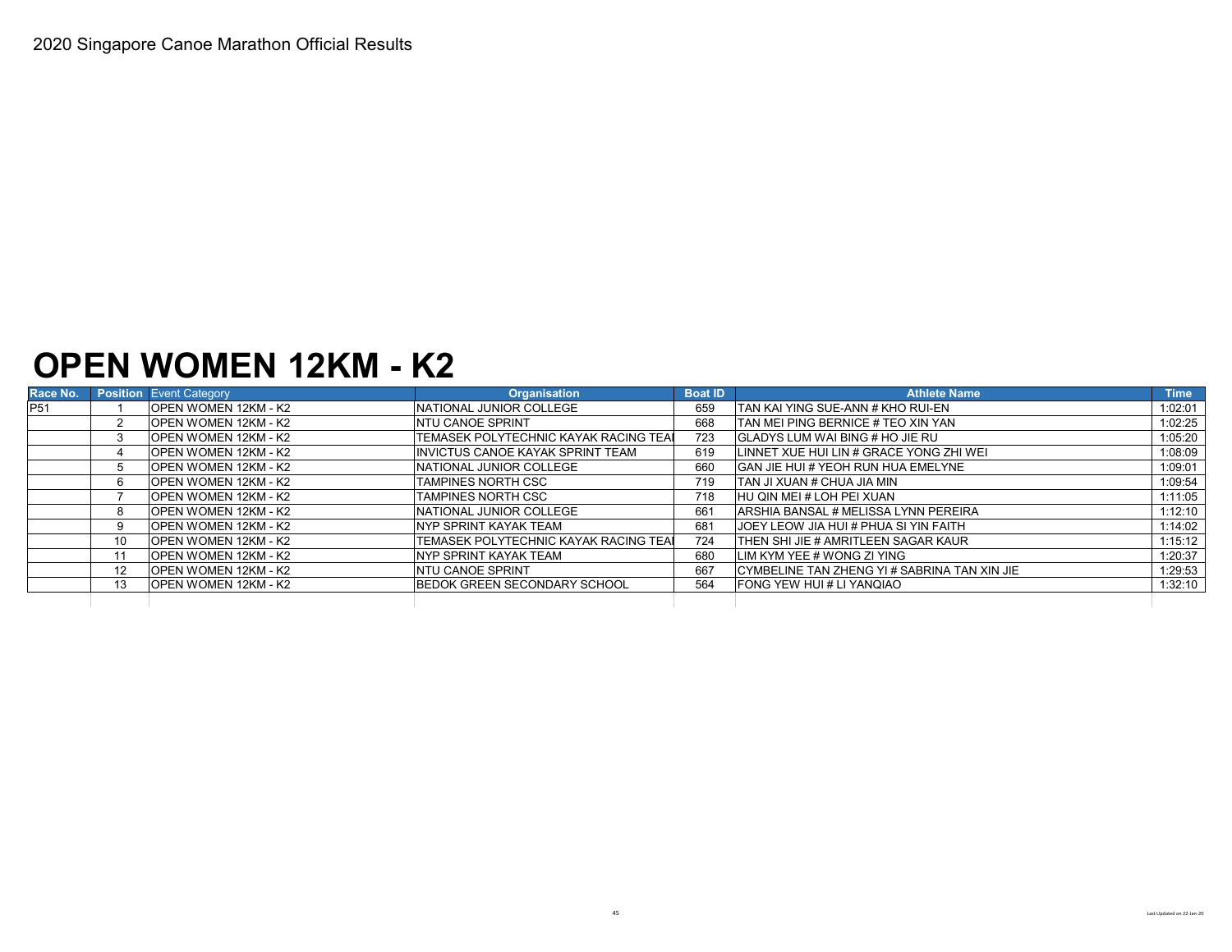### **OPEN WOMEN 12KM - K2**

| Race No.        |                   | <b>Position</b> Event Category | <b>Organisation</b>                           | <b>Boat ID</b> | <b>Athlete Name</b>                           | <b>Time</b> |
|-----------------|-------------------|--------------------------------|-----------------------------------------------|----------------|-----------------------------------------------|-------------|
| P <sub>51</sub> |                   | OPEN WOMEN 12KM - K2           | <b>INATIONAL JUNIOR COLLEGE</b>               | 659            | <b>ITAN KAI YING SUE-ANN # KHO RUI-EN</b>     | 1:02:01     |
|                 |                   | <b>OPEN WOMEN 12KM - K2</b>    | <b>NTU CANOE SPRINT</b>                       | 668            | <b>ITAN MEI PING BERNICE # TEO XIN YAN</b>    | 1:02:25     |
|                 |                   | <b>OPEN WOMEN 12KM - K2</b>    | <b>ITEMASEK POLYTECHNIC KAYAK RACING TEAL</b> | 723            | <b>GLADYS LUM WAI BING # HO JIE RU</b>        | 1:05:20     |
|                 |                   | OPEN WOMEN 12KM - K2           | IINVICTUS CANOE KAYAK SPRINT TEAM             | 619            | LINNET XUE HUI LIN # GRACE YONG ZHI WEI       | 1:08:09     |
|                 |                   | <b>OPEN WOMEN 12KM - K2</b>    | <b>INATIONAL JUNIOR COLLEGE</b>               | 660            | <b>GAN JIE HUI # YEOH RUN HUA EMELYNE</b>     | 1:09:01     |
|                 |                   | <b>OPEN WOMEN 12KM - K2</b>    | TAMPINES NORTH CSC                            | 719            | <b>ITAN JI XUAN # CHUA JIA MIN</b>            | 1:09:54     |
|                 |                   | OPEN WOMEN 12KM - K2           | TAMPINES NORTH CSC                            | 718            | HU OIN MEI # LOH PEI XUAN                     | 1:11:05     |
|                 | 8                 | OPEN WOMEN 12KM - K2           | <b>INATIONAL JUNIOR COLLEGE</b>               | 661            | <b>ARSHIA BANSAL # MELISSA LYNN PEREIRA</b>   | 1:12:10     |
|                 |                   | <b>OPEN WOMEN 12KM - K2</b>    | NYP SPRINT KAYAK TEAM                         | 681            | <b>JJOEY LEOW JIA HUI # PHUA SI YIN FAITH</b> | 1:14:02     |
|                 | 10 <sup>1</sup>   | <b>OPEN WOMEN 12KM - K2</b>    | TEMASEK POLYTECHNIC KAYAK RACING TEAL         | 724            | <b>ITHEN SHI JIE # AMRITLEEN SAGAR KAUR</b>   | 1:15:12     |
|                 |                   | IOPEN WOMEN 12KM - K2          | <b>INYP SPRINT KAYAK TEAM</b>                 | 680            | LIM KYM YEE # WONG ZI YING                    | 1:20:37     |
|                 | $12 \overline{ }$ | <b>OPEN WOMEN 12KM - K2</b>    | <b>NTU CANOE SPRINT</b>                       | 667            | CYMBELINE TAN ZHENG YI # SABRINA TAN XIN JIE  | 1:29:53     |
|                 | 13                | <b>OPEN WOMEN 12KM - K2</b>    | <b>BEDOK GREEN SECONDARY SCHOOL</b>           | 564            | FONG YEW HUI # LI YANQIAO                     | 1:32:10     |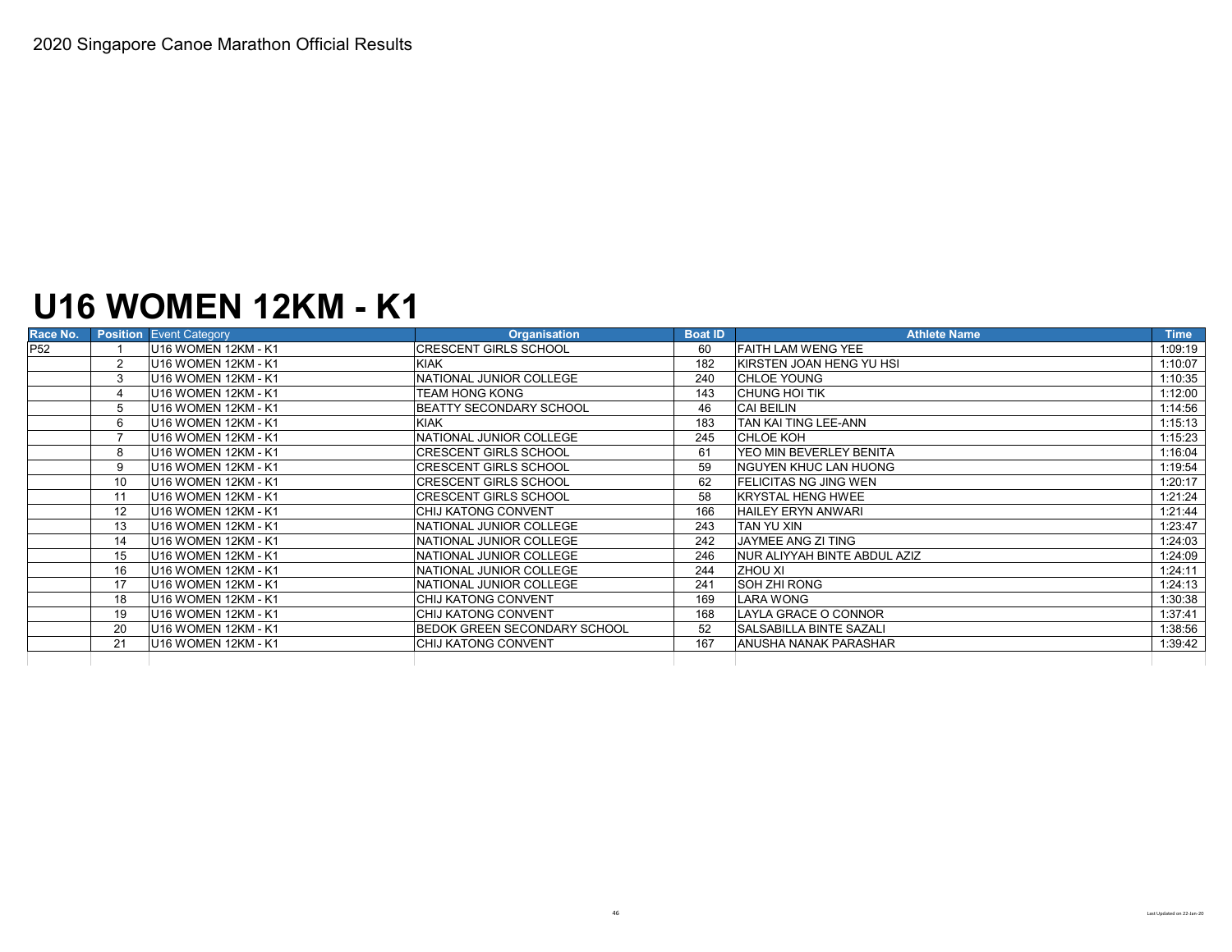## **U16 WOMEN 12KM - K1**

| Race No.        |                   | <b>Position Event Category</b>              | <b>Organisation</b>                 | <b>Boat ID</b> | <b>Athlete Name</b>             | <b>Time</b> |
|-----------------|-------------------|---------------------------------------------|-------------------------------------|----------------|---------------------------------|-------------|
| P <sub>52</sub> |                   | U16 WOMEN 12KM - K1                         | <b>CRESCENT GIRLS SCHOOL</b>        | 60             | <b>FAITH LAM WENG YEE</b>       | 1:09:19     |
|                 | $\overline{2}$    | U16 WOMEN 12KM - K1                         | <b>KIAK</b>                         | 182            | KIRSTEN JOAN HENG YU HSI        | 1:10:07     |
|                 |                   | U16 WOMEN 12KM - K1                         | NATIONAL JUNIOR COLLEGE             | 240            | <b>CHLOE YOUNG</b>              | 1:10:35     |
|                 | 4                 | U16 WOMEN 12KM - K1                         | TEAM HONG KONG                      | 143            | CHUNG HOI TIK                   | 1:12:00     |
|                 | 5                 | U16 WOMEN 12KM - K1                         | BEATTY SECONDARY SCHOOL             | 46             | <b>CAI BEILIN</b>               | 1:14:56     |
|                 | 6                 | U <sub>16</sub> WOMEN 12KM - K <sub>1</sub> | <b>KIAK</b>                         | 183            | <b>TAN KAI TING LEE-ANN</b>     | 1:15:13     |
|                 |                   | U <sub>16</sub> WOMEN 12KM - K <sub>1</sub> | NATIONAL JUNIOR COLLEGE             | 245            | <b>CHLOE KOH</b>                | 1:15:23     |
|                 | 8                 | U16 WOMEN 12KM - K1                         | <b>CRESCENT GIRLS SCHOOL</b>        | 61             | <b>IYEO MIN BEVERLEY BENITA</b> | 1:16:04     |
|                 | 9                 | U16 WOMEN 12KM - K1                         | <b>CRESCENT GIRLS SCHOOL</b>        | 59             | <b>INGUYEN KHUC LAN HUONG</b>   | 1:19:54     |
|                 | 10                | U16 WOMEN 12KM - K1                         | <b>CRESCENT GIRLS SCHOOL</b>        | 62             | <b>IFELICITAS NG JING WEN</b>   | 1:20:17     |
|                 | 11                | U16 WOMEN 12KM - K1                         | <b>CRESCENT GIRLS SCHOOL</b>        | 58             | <b>IKRYSTAL HENG HWEE</b>       | 1:21:24     |
|                 | $12 \overline{ }$ | U16 WOMEN 12KM - K1                         | CHIJ KATONG CONVENT                 | 166            | <b>HAILEY ERYN ANWARI</b>       | 1:21:44     |
|                 | 13                | U16 WOMEN 12KM - K1                         | NATIONAL JUNIOR COLLEGE             | 243            | <b>TAN YU XIN</b>               | 1:23:47     |
|                 | 14                | U16 WOMEN 12KM - K1                         | NATIONAL JUNIOR COLLEGE             | 242            | <b>JAYMEE ANG ZI TING</b>       | 1:24:03     |
|                 | 15                | U16 WOMEN 12KM - K1                         | NATIONAL JUNIOR COLLEGE             | 246            | NUR ALIYYAH BINTE ABDUL AZIZ    | 1:24:09     |
|                 | 16                | U16 WOMEN 12KM - K1                         | NATIONAL JUNIOR COLLEGE             | 244            | <b>ZHOU XI</b>                  | 1:24:11     |
|                 | 17                | U16 WOMEN 12KM - K1                         | NATIONAL JUNIOR COLLEGE             | 241            | SOH ZHI RONG                    | 1:24:13     |
|                 | 18                | U16 WOMEN 12KM - K1                         | CHIJ KATONG CONVENT                 | 169            | LARA WONG                       | 1:30:38     |
|                 | 19                | U16 WOMEN 12KM - K1                         | CHIJ KATONG CONVENT                 | 168            | LAYLA GRACE O CONNOR            | 1:37:41     |
|                 | 20                | U16 WOMEN 12KM - K1                         | <b>BEDOK GREEN SECONDARY SCHOOL</b> | 52             | <b>SALSABILLA BINTE SAZALI</b>  | 1:38:56     |
|                 | 21                | U16 WOMEN 12KM - K1                         | <b>CHIJ KATONG CONVENT</b>          | 167            | <b>ANUSHA NANAK PARASHAR</b>    | 1:39:42     |
|                 |                   |                                             |                                     |                |                                 |             |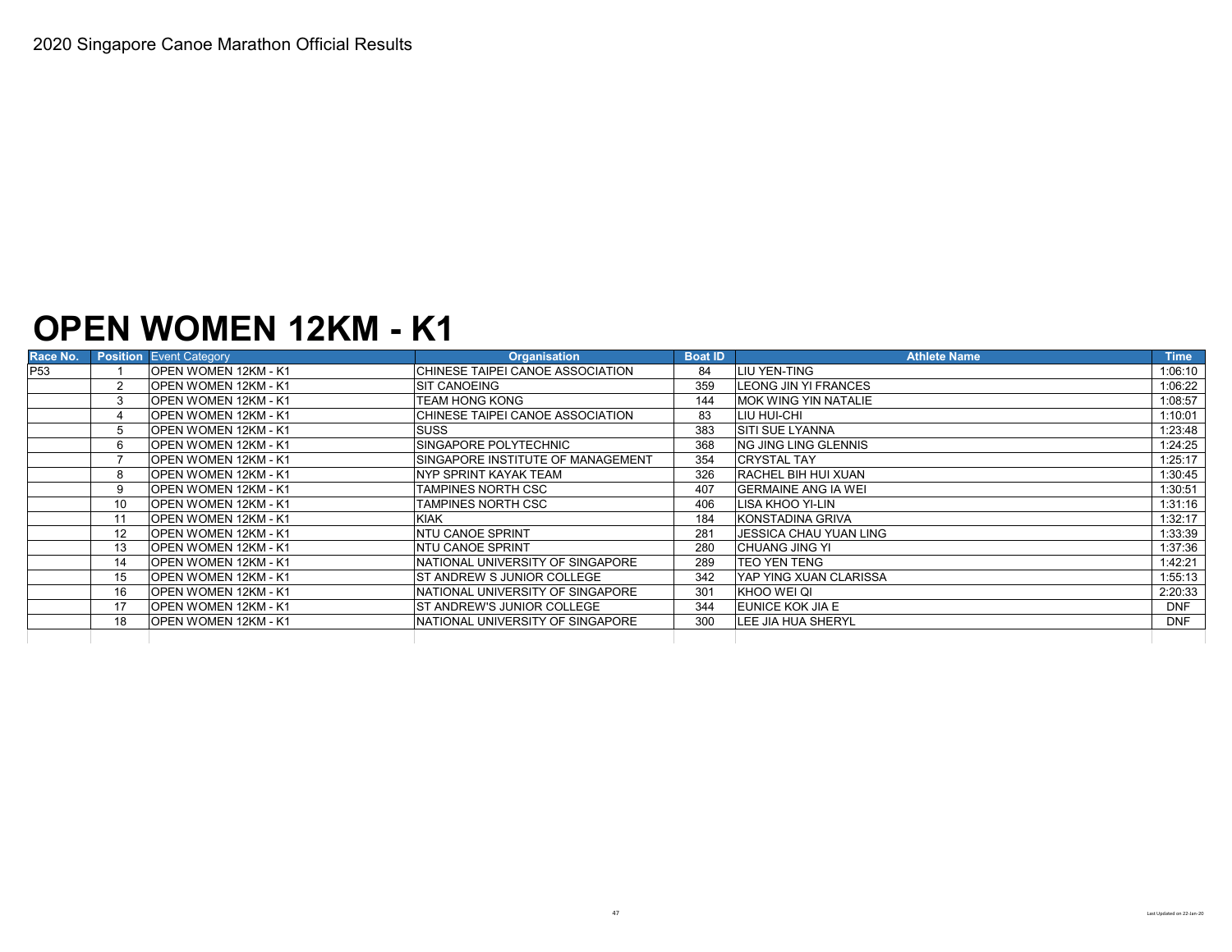#### **OPEN WOMEN 12KM - K1**

| Race No.        |    | <b>Position</b> Event Category | <b>Organisation</b>               | <b>Boat ID</b> | <b>Athlete Name</b>            | <b>Time</b> |
|-----------------|----|--------------------------------|-----------------------------------|----------------|--------------------------------|-------------|
| P <sub>53</sub> |    | <b>OPEN WOMEN 12KM - K1</b>    | CHINESE TAIPEI CANOE ASSOCIATION  | 84             | LIU YEN-TING                   | 1:06:10     |
|                 |    | OPEN WOMEN 12KM - K1           | <b>SIT CANOEING</b>               | 359            | <b>LEONG JIN YI FRANCES</b>    | 1:06:22     |
|                 | 3  | OPEN WOMEN 12KM - K1           | TEAM HONG KONG                    | 144            | <b>IMOK WING YIN NATALIE</b>   | 1:08:57     |
|                 |    | <b>OPEN WOMEN 12KM - K1</b>    | CHINESE TAIPEI CANOE ASSOCIATION  | 83             | LIU HUI-CHI                    | 1:10:01     |
|                 |    | OPEN WOMEN 12KM - K1           | <b>SUSS</b>                       | 383            | <b>SITI SUE LYANNA</b>         | 1:23:48     |
|                 | 6  | OPEN WOMEN 12KM - K1           | SINGAPORE POLYTECHNIC             | 368            | ING JING LING GLENNIS          | 1:24:25     |
|                 |    | OPEN WOMEN 12KM - K1           | SINGAPORE INSTITUTE OF MANAGEMENT | 354            | <b>CRYSTAL TAY</b>             | 1:25:17     |
|                 |    | OPEN WOMEN 12KM - K1           | INYP SPRINT KAYAK TEAM            | 326            | <b>RACHEL BIH HUI XUAN</b>     | 1:30:45     |
|                 | 9  | <b>OPEN WOMEN 12KM - K1</b>    | TAMPINES NORTH CSC                | 407            | <b>IGERMAINE ANG IA WEI</b>    | 1:30:51     |
|                 | 10 | OPEN WOMEN 12KM - K1           | <b>TAMPINES NORTH CSC</b>         | 406            | LISA KHOO YI-LIN               | 1:31:16     |
|                 |    | OPEN WOMEN 12KM - K1           | <b>KIAK</b>                       | 184            | <b>KONSTADINA GRIVA</b>        | 1:32:17     |
|                 | 12 | <b>OPEN WOMEN 12KM - K1</b>    | <b>NTU CANOE SPRINT</b>           | 281            | IJESSICA CHAU YUAN LING        | 1:33:39     |
|                 | 13 | OPEN WOMEN 12KM - K1           | <b>NTU CANOE SPRINT</b>           | 280            | <b>CHUANG JING YI</b>          | 1:37:36     |
|                 | 14 | OPEN WOMEN 12KM - K1           | NATIONAL UNIVERSITY OF SINGAPORE  | 289            | <b>TEO YEN TENG</b>            | 1:42:21     |
|                 | 15 | <b>OPEN WOMEN 12KM - K1</b>    | ST ANDREW S JUNIOR COLLEGE        | 342            | <b>IYAP YING XUAN CLARISSA</b> | 1:55:13     |
|                 | 16 | OPEN WOMEN 12KM - K1           | NATIONAL UNIVERSITY OF SINGAPORE  | 301            | KHOO WEI QI                    | 2:20:33     |
|                 | 17 | OPEN WOMEN 12KM - K1           | ST ANDREW'S JUNIOR COLLEGE        | 344            | <b>EUNICE KOK JIA E</b>        | <b>DNF</b>  |
|                 | 18 | OPEN WOMEN 12KM - K1           | NATIONAL UNIVERSITY OF SINGAPORE  | 300            | <b>LEE JIA HUA SHERYL</b>      | <b>DNF</b>  |
|                 |    |                                |                                   |                |                                |             |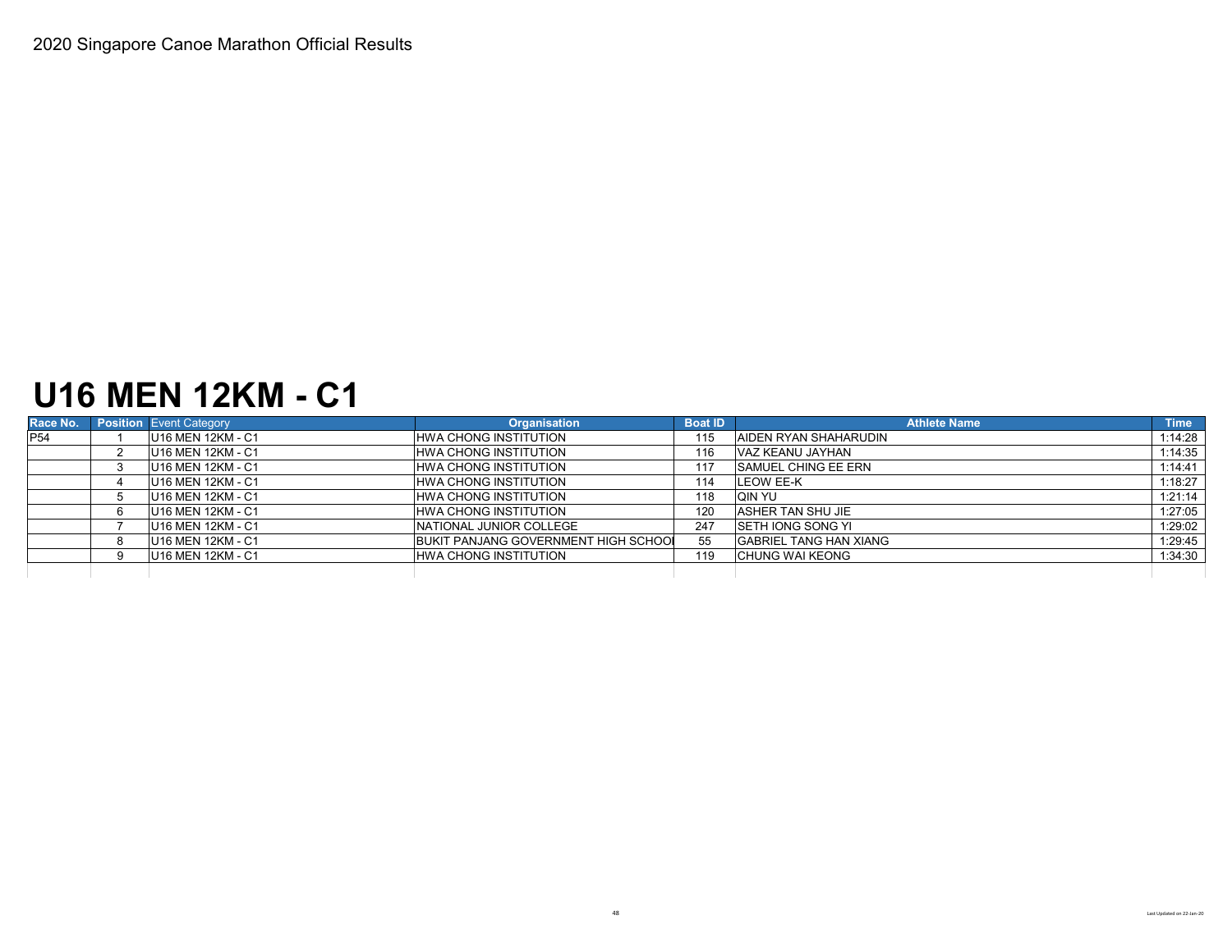### **U16 MEN 12KM - C1**

| Race No.   | <b>Position</b> Event Category | <b>Organisation</b>                  | <b>Boat ID</b> | <b>Athlete Name</b>           | <b>Time</b> |
|------------|--------------------------------|--------------------------------------|----------------|-------------------------------|-------------|
| <b>P54</b> | U16 MEN 12KM - C1              | <b>HWA CHONG INSTITUTION</b>         | 115            | <b>AIDEN RYAN SHAHARUDIN</b>  | 1:14:28     |
|            | U16 MEN 12KM - C1              | <b>HWA CHONG INSTITUTION</b>         | 116            | VAZ KEANU JAYHAN              | 1:14:35     |
|            | U16 MEN 12KM - C1              | HWA CHONG INSTITUTION                | 117            | <b>ISAMUEL CHING EE ERN</b>   | 1:14:41     |
|            | U16 MEN 12KM - C1              | <b>HWA CHONG INSTITUTION</b>         | 114            | <b>LEOW EE-K</b>              | 1:18:27     |
|            | U16 MEN 12KM - C1              | HWA CHONG INSTITUTION                | 118            | IQIN YU                       | 1:21:14     |
|            | U16 MEN 12KM - C1              | <b>HWA CHONG INSTITUTION</b>         | 120            | <b>ASHER TAN SHU JIE</b>      | 1:27:05     |
|            | U16 MEN 12KM - C1              | NATIONAL JUNIOR COLLEGE              | 247            | <b>ISETH IONG SONG YI</b>     | 1:29:02     |
|            | U16 MEN 12KM - C1              | BUKIT PANJANG GOVERNMENT HIGH SCHOOL | 55             | <b>GABRIEL TANG HAN XIANG</b> | 1:29:45     |
|            | U16 MEN 12KM - C1              | <b>HWA CHONG INSTITUTION</b>         | 119            | <b>CHUNG WAI KEONG</b>        | 1:34:30     |
|            |                                |                                      |                |                               |             |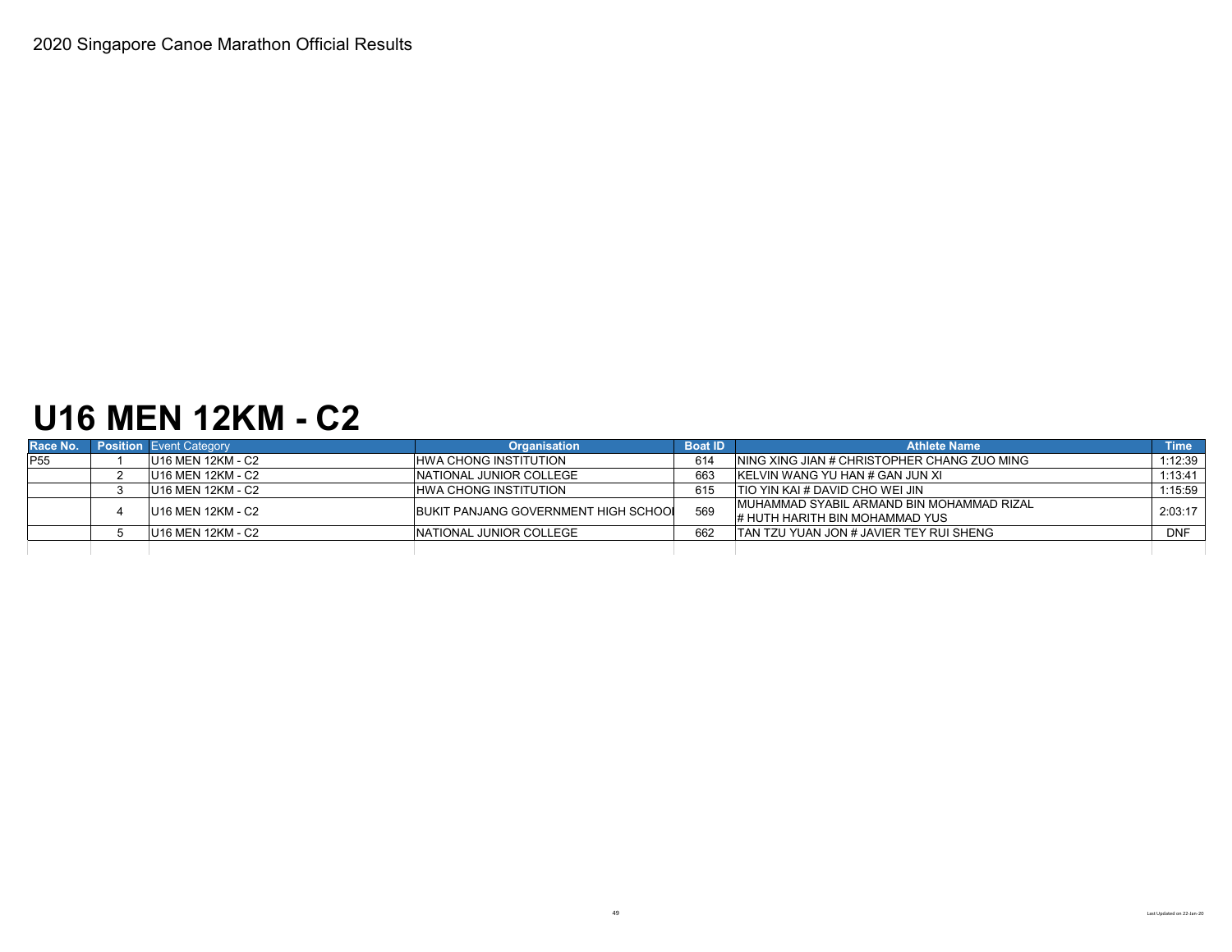# **U16 MEN 12KM - C2**

| Race No.        | <b>Position</b> Event Category | <b>Organisation</b>                  | <b>Boat ID</b> | <b>Athlete Name</b>                                                          | <b>Time</b> |
|-----------------|--------------------------------|--------------------------------------|----------------|------------------------------------------------------------------------------|-------------|
| P <sub>55</sub> | U16 MEN 12KM - C2              | <b>HWA CHONG INSTITUTION</b>         | 614            | NING XING JIAN # CHRISTOPHER CHANG ZUO MING                                  | 1:12:39     |
|                 | U16 MEN 12KM - C2              | NATIONAL JUNIOR COLLEGE              | 663            | <b>IKELVIN WANG YU HAN # GAN JUN XI</b>                                      | 1:13:41     |
|                 | U16 MEN 12KM - C2              | <b>HWA CHONG INSTITUTION</b>         | 615            | ITIO YIN KAI # DAVID CHO WEI JIN                                             | 1:15:59     |
|                 | U16 MEN 12KM - C2              | BUKIT PANJANG GOVERNMENT HIGH SCHOOL | 569            | IMUHAMMAD SYABIL ARMAND BIN MOHAMMAD RIZAL<br># HUTH HARITH BIN MOHAMMAD YUS | 2:03:17     |
|                 | U16 MEN 12KM - C2              | INATIONAL JUNIOR COLLEGE             | 662            | <b>TAN TZU YUAN JON # JAVIER TEY RUI SHENG</b>                               | <b>DNF</b>  |
|                 |                                |                                      |                |                                                                              |             |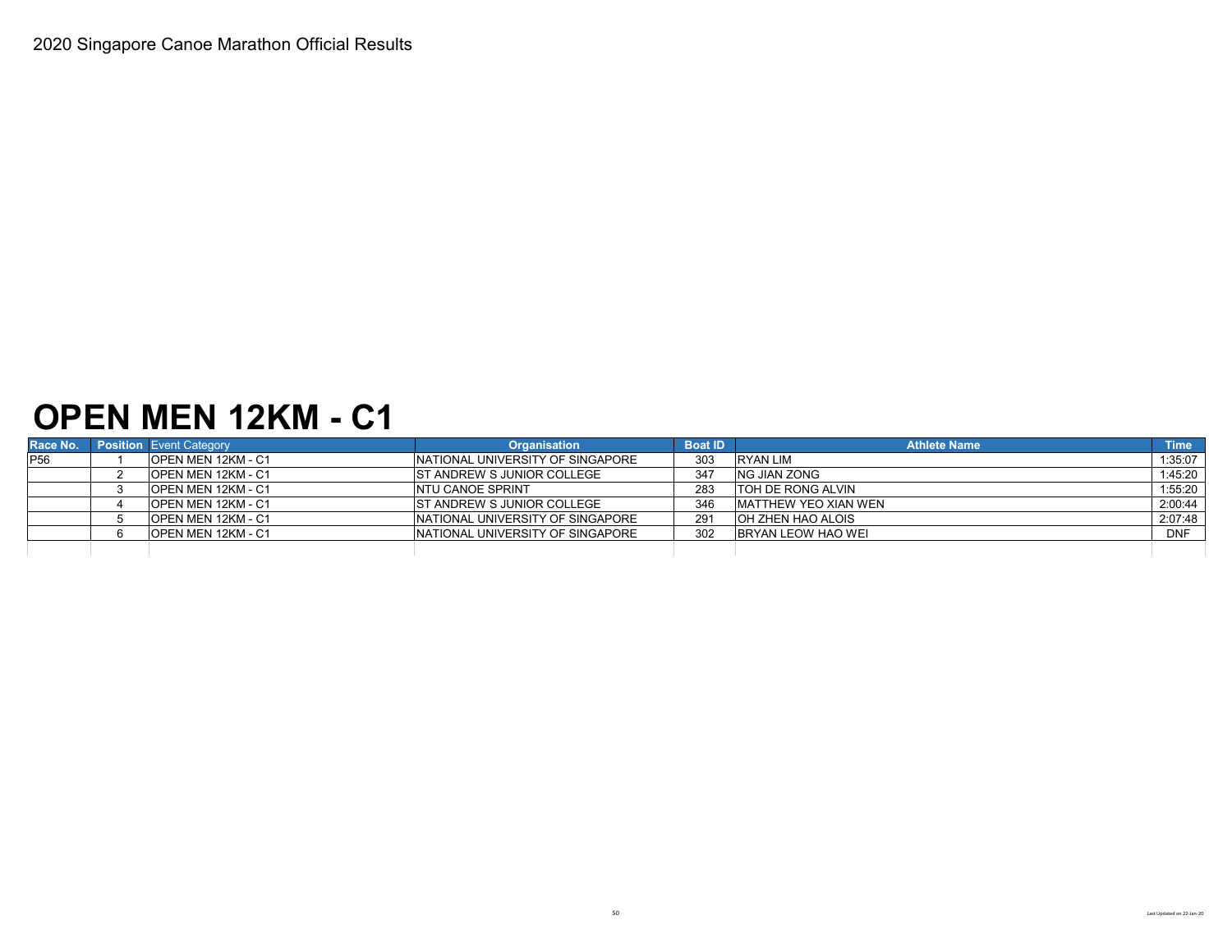### **OPEN MEN 12KM - C1**

| Race No.        | <b>Position Event Category</b> | <b>Organisation</b>               | <b>Boat ID</b> | <b>Athlete Name</b>          | <b>Time</b> |
|-----------------|--------------------------------|-----------------------------------|----------------|------------------------------|-------------|
| P <sub>56</sub> | <b>OPEN MEN 12KM - C1</b>      | INATIONAL UNIVERSITY OF SINGAPORE | 303            | RYAN LIM                     | 1:35:07     |
|                 | <b>OPEN MEN 12KM - C1</b>      | <b>ST ANDREW S JUNIOR COLLEGE</b> | 347            | <b>NG JIAN ZONG</b>          | 1:45:20     |
|                 | <b>OPEN MEN 12KM - C1</b>      | <b>INTU CANOE SPRINT</b>          | 283            | <b>ITOH DE RONG ALVIN</b>    | 1:55:20     |
|                 | <b>OPEN MEN 12KM - C1</b>      | <b>ST ANDREW S JUNIOR COLLEGE</b> | 346            | <b>IMATTHEW YEO XIAN WEN</b> | 2:00:44     |
|                 | <b>OPEN MEN 12KM - C1</b>      | NATIONAL UNIVERSITY OF SINGAPORE  | 291            | OH ZHEN HAO ALOIS            | 2:07:48     |
|                 | <b>OPEN MEN 12KM - C1</b>      | NATIONAL UNIVERSITY OF SINGAPORE  | 302            | <b>BRYAN LEOW HAO WEI</b>    | <b>DNF</b>  |
|                 |                                |                                   |                |                              |             |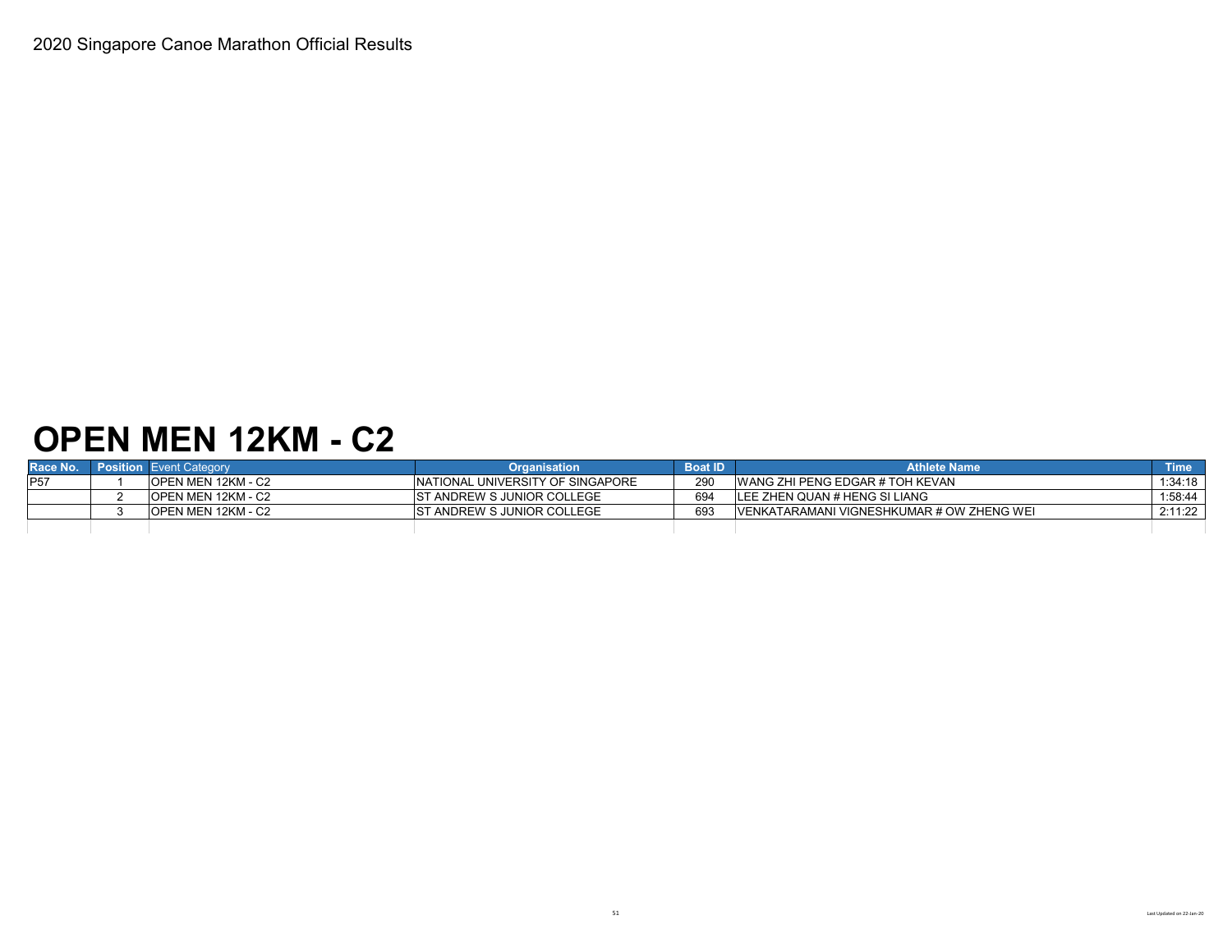## **OPEN MEN 12KM - C2**

| Race No. | <b>Position</b> Event Category | <b>Organisation</b>                | <b>Boat ID</b> | <b>Athlete Name</b>                        | <b>Time</b> |
|----------|--------------------------------|------------------------------------|----------------|--------------------------------------------|-------------|
|          | <b>IOPEN MEN 12KM - C2</b>     | INATIONAL UNIVERSITY OF SINGAPORE  | 290            | WANG ZHI PENG EDGAR # TOH KEVAN            | 1:34:18     |
|          | IOPEN MEN 12KM - C2            | <b>IST ANDREW S JUNIOR COLLEGE</b> | 694            | LEE ZHEN QUAN # HENG SI LIANG              | 1:58:44     |
|          | <b>IOPEN MEN 12KM - C2</b>     | IST ANDREW S JUNIOR COLLEGE        | 693            | IVENKATARAMANI VIGNESHKUMAR # OW ZHENG WEI | 2:11:22     |
|          |                                |                                    |                |                                            |             |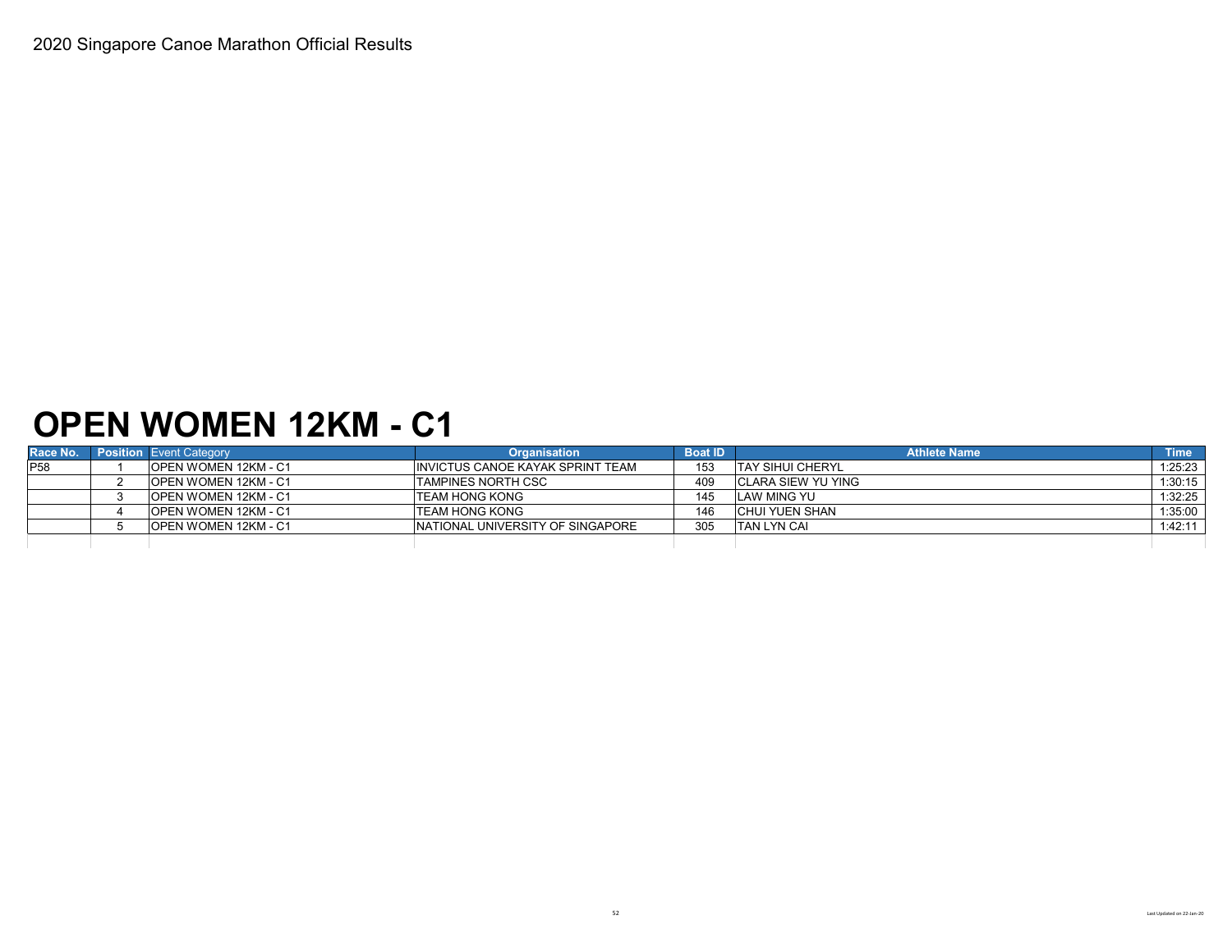### **OPEN WOMEN 12KM - C1**

| Race No.   | Position Event Category | <b>Organisation</b>               | <b>Boat ID</b> | <b>Athlete Name</b>      | <b>Time</b> |
|------------|-------------------------|-----------------------------------|----------------|--------------------------|-------------|
| <b>P58</b> | IOPEN WOMEN 12KM - C1   | INVICTUS CANOE KAYAK SPRINT TEAM  | 153            | <b>ITAY SIHUI CHERYL</b> | 1:25:23     |
|            | OPEN WOMEN 12KM - C1    | <b>ITAMPINES NORTH CSC</b>        | 409            | ICLARA SIEW YU YING      | 1:30:15     |
|            | OPEN WOMEN 12KM - C1    | ITEAM HONG KONG                   | 145            | <b>LAW MING YU</b>       | 1:32:25     |
|            | OPEN WOMEN 12KM - C1    | <b>ITEAM HONG KONG</b>            | 146            | ICHUI YUEN SHAN          | 1:35:00     |
|            | OPEN WOMEN 12KM - C1    | INATIONAL UNIVERSITY OF SINGAPORE | 305            | <b>TAN LYN CAI</b>       | 1:42:11     |
|            |                         |                                   |                |                          |             |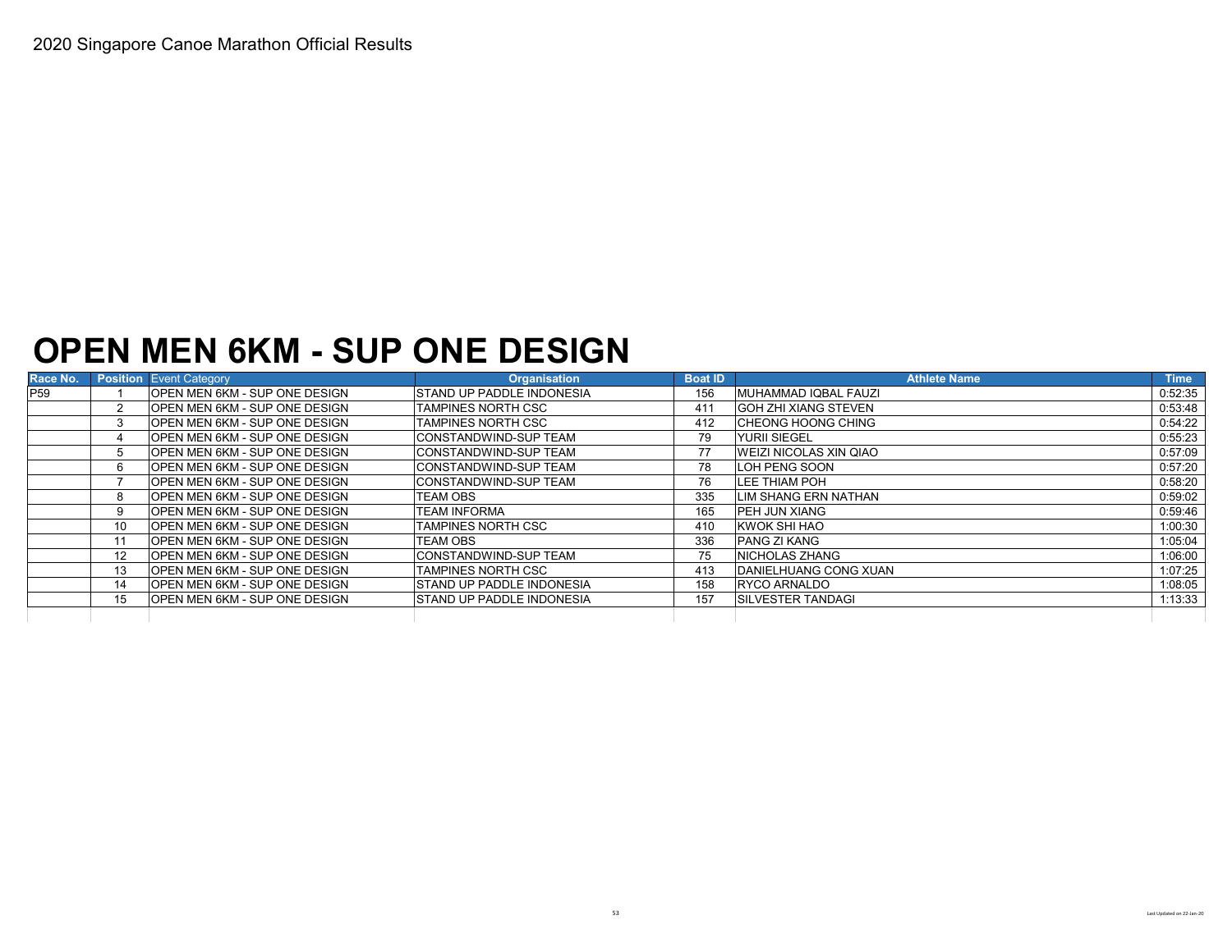### **OPEN MEN 6KM - SUP ONE DESIGN**

| Race No.        |    | <b>Position Event Category</b>        | <b>Organisation</b>               | <b>Boat ID</b> | <b>Athlete Name</b>           | <b>Time</b> |
|-----------------|----|---------------------------------------|-----------------------------------|----------------|-------------------------------|-------------|
| P <sub>59</sub> |    | <b>OPEN MEN 6KM - SUP ONE DESIGN</b>  | <b>ISTAND UP PADDLE INDONESIA</b> | 156            | MUHAMMAD IQBAL FAUZI          | 0:52:35     |
|                 |    | <b>OPEN MEN 6KM - SUP ONE DESIGN</b>  | <b>TAMPINES NORTH CSC</b>         | 411            | <b>GOH ZHI XIANG STEVEN</b>   | 0:53:48     |
|                 |    | <b>OPEN MEN 6KM - SUP ONE DESIGN</b>  | <b>TAMPINES NORTH CSC</b>         | 412            | <b>CHEONG HOONG CHING</b>     | 0:54:22     |
|                 |    | <b>OPEN MEN 6KM - SUP ONE DESIGN</b>  | <b>CONSTANDWIND-SUP TEAM</b>      | 79             | <b>YURII SIEGEL</b>           | 0:55:23     |
|                 |    | OPEN MEN 6KM - SUP ONE DESIGN         | <b>CONSTANDWIND-SUP TEAM</b>      | 77             | <b>WEIZI NICOLAS XIN QIAO</b> | 0:57:09     |
|                 | 6  | OPEN MEN 6KM - SUP ONE DESIGN         | <b>CONSTANDWIND-SUP TEAM</b>      | 78             | LOH PENG SOON                 | 0:57:20     |
|                 |    | OPEN MEN 6KM - SUP ONE DESIGN         | CONSTANDWIND-SUP TEAM             | 76             | LEE THIAM POH                 | 0:58:20     |
|                 | 8  | <b>OPEN MEN 6KM - SUP ONE DESIGN</b>  | <b>TEAM OBS</b>                   | 335            | LIM SHANG ERN NATHAN          | 0:59:02     |
|                 | 9  | OPEN MEN 6KM - SUP ONE DESIGN         | <b>TEAM INFORMA</b>               | 165            | <b>IPEH JUN XIANG</b>         | 0:59:46     |
|                 | 10 | OPEN MEN 6KM - SUP ONE DESIGN         | <b>TAMPINES NORTH CSC</b>         | 410            | <b>KWOK SHI HAO</b>           | 1:00:30     |
|                 | 11 | OPEN MEN 6KM - SUP ONE DESIGN         | <b>TEAM OBS</b>                   | 336            | <b>PANG ZI KANG</b>           | 1:05:04     |
|                 | 12 | <b>IOPEN MEN 6KM - SUP ONE DESIGN</b> | <b>ICONSTANDWIND-SUP TEAM</b>     | 75             | <b>INICHOLAS ZHANG</b>        | 1:06:00     |
|                 | 13 | <b>OPEN MEN 6KM - SUP ONE DESIGN</b>  | <b>TAMPINES NORTH CSC</b>         | 413            | <b>DANIELHUANG CONG XUAN</b>  | 1:07:25     |
|                 | 14 | <b>OPEN MEN 6KM - SUP ONE DESIGN</b>  | <b>ISTAND UP PADDLE INDONESIA</b> | 158            | <b>RYCO ARNALDO</b>           | 1:08:05     |
|                 | 15 | OPEN MEN 6KM - SUP ONE DESIGN         | <b>STAND UP PADDLE INDONESIA</b>  | 157            | <b>ISILVESTER TANDAGI</b>     | 1:13:33     |
|                 |    |                                       |                                   |                |                               |             |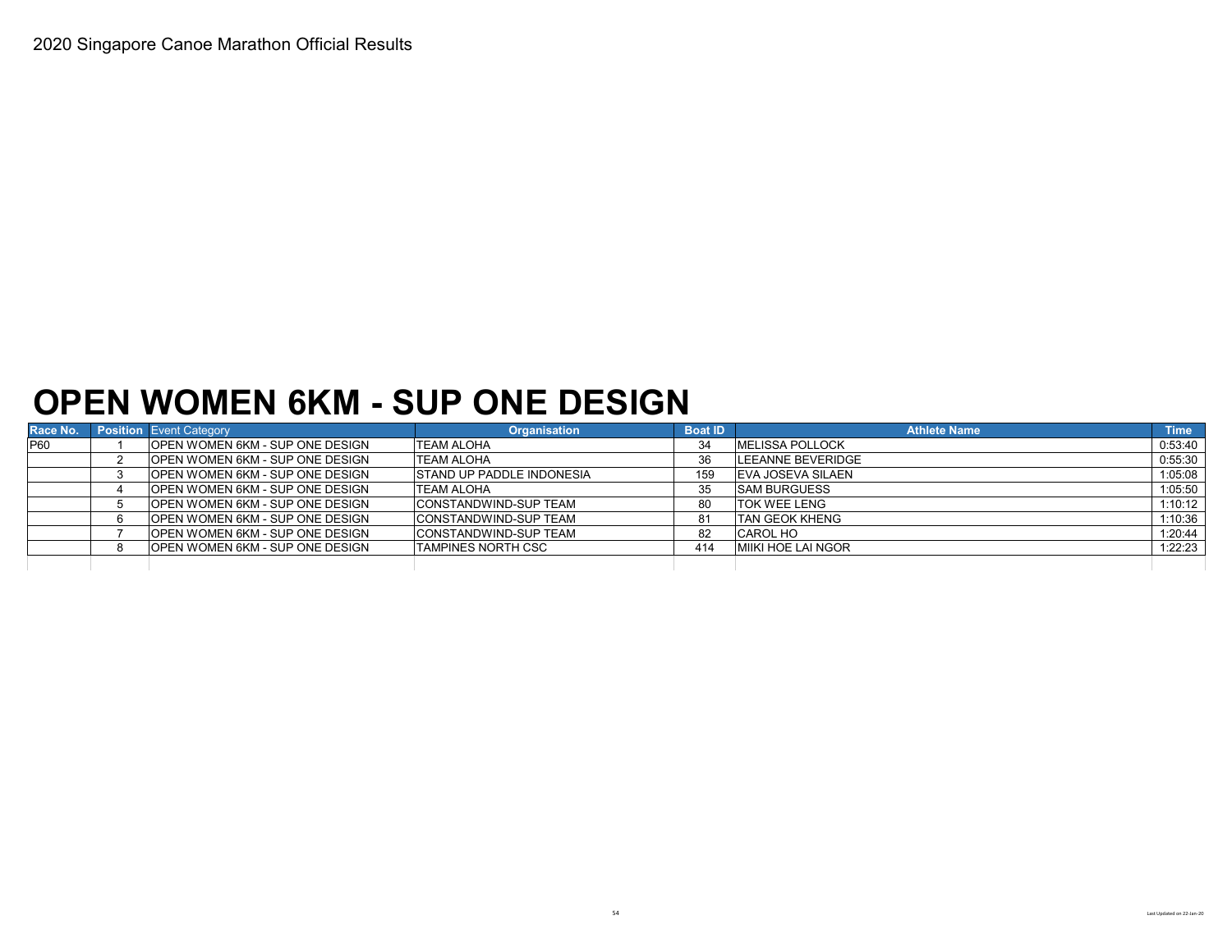### **OPEN WOMEN 6KM - SUP ONE DESIGN**

| Race No.   | <b>Position</b> Event Category          | <b>Organisation</b>              | <b>Boat ID</b> | <b>Athlete Name</b>      | <b>Time</b> |
|------------|-----------------------------------------|----------------------------------|----------------|--------------------------|-------------|
| <b>P60</b> | <b>OPEN WOMEN 6KM - SUP ONE DESIGN</b>  | <b>TEAM ALOHA</b>                | 34             | <b>MELISSA POLLOCK</b>   | 0:53:40     |
|            | <b>OPEN WOMEN 6KM - SUP ONE DESIGN</b>  | <b>TEAM ALOHA</b>                | 36             | <b>LEEANNE BEVERIDGE</b> | 0:55:30     |
|            | <b>IOPEN WOMEN 6KM - SUP ONE DESIGN</b> | <b>STAND UP PADDLE INDONESIA</b> | 159            | EVA JOSEVA SILAEN        | 1:05:08     |
|            | <b>IOPEN WOMEN 6KM - SUP ONE DESIGN</b> | <b>ITEAM ALOHA</b>               | 35             | <b>SAM BURGUESS</b>      | 1:05:50     |
|            | <b>IOPEN WOMEN 6KM - SUP ONE DESIGN</b> | <b>CONSTANDWIND-SUP TEAM</b>     | 80             | <b>TOK WEE LENG</b>      | 1:10:12     |
|            | <b>IOPEN WOMEN 6KM - SUP ONE DESIGN</b> | <b>CONSTANDWIND-SUP TEAM</b>     | 81             | <b>TAN GEOK KHENG</b>    | 1:10:36     |
|            | <b>OPEN WOMEN 6KM - SUP ONE DESIGN</b>  | <b>CONSTANDWIND-SUP TEAM</b>     | 82             | <b>CAROL HO</b>          | 1:20:44     |
|            | <b>IOPEN WOMEN 6KM - SUP ONE DESIGN</b> | <b>TAMPINES NORTH CSC</b>        | 414            | MIIKI HOE LAI NGOR       | 1:22:23     |
|            |                                         |                                  |                |                          |             |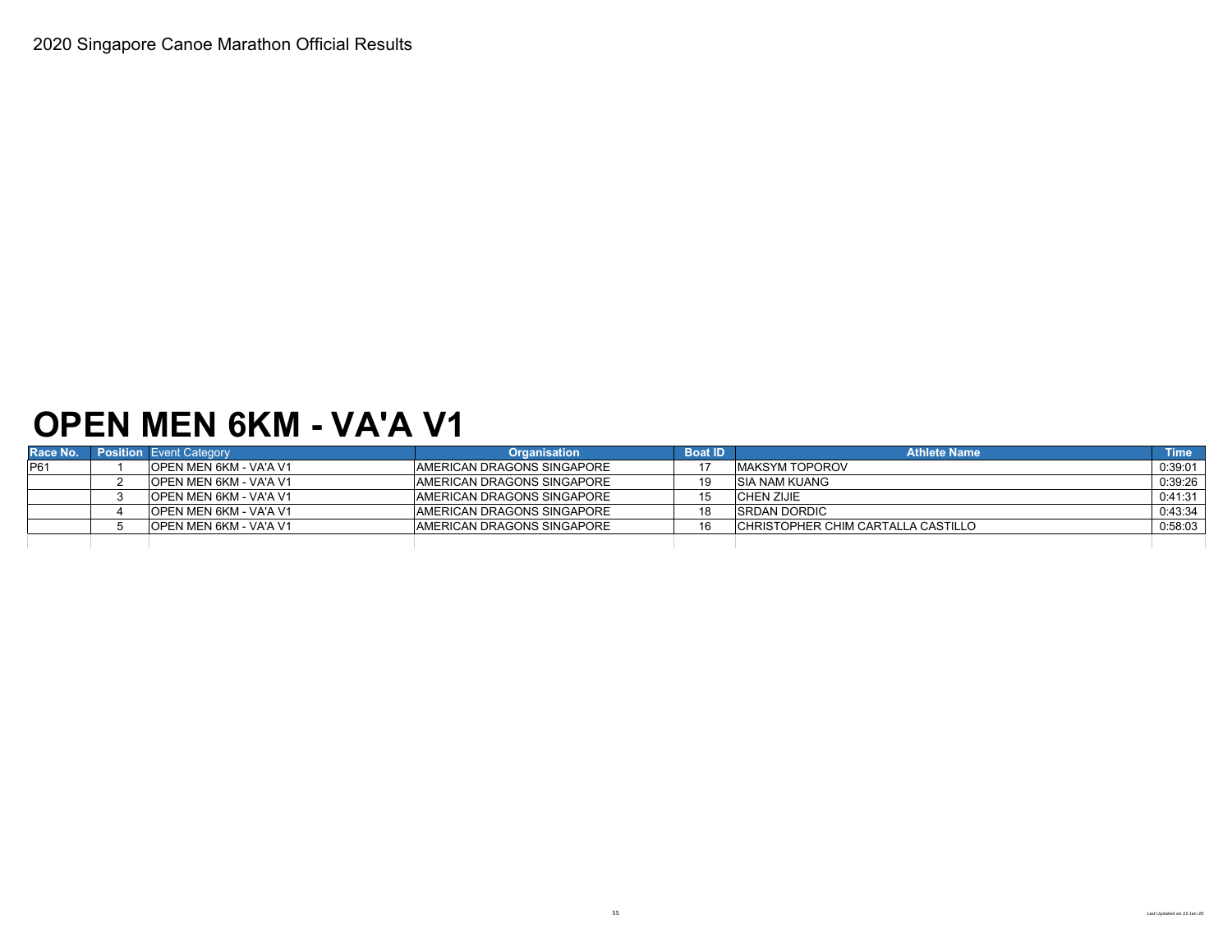### **OPEN MEN 6KM - VA'A V1**

|     | <b>Race No.</b> Position Event Category | <b>Organisation</b>                | <b>Boat ID</b> | <b>Athlete Name</b>                 | <b>Time</b> |
|-----|-----------------------------------------|------------------------------------|----------------|-------------------------------------|-------------|
| P61 | <b>IOPEN MEN 6KM - VA'A V1</b>          | <b>AMERICAN DRAGONS SINGAPORE</b>  |                | <b>IMAKSYM TOPOROV</b>              | 0:39:01     |
|     | <b>IOPEN MEN 6KM - VA'A V1</b>          | <b>IAMERICAN DRAGONS SINGAPORE</b> | 19             | <b>ISIA NAM KUANG</b>               | 0:39:26     |
|     | IOPEN MEN 6KM - VA'A V1                 | <b>IAMERICAN DRAGONS SINGAPORE</b> | 15             | CHEN ZIJIE                          | 0:41:31     |
|     | OPEN MEN 6KM - VA'A V1                  | <b>IAMERICAN DRAGONS SINGAPORE</b> | 18             | <b>ISRDAN DORDIC</b>                | 0:43:34     |
|     | <b>IOPEN MEN 6KM - VA'A V1</b>          | <b>AMERICAN DRAGONS SINGAPORE</b>  | 16             | ICHRISTOPHER CHIM CARTALLA CASTILLO | 0:58:03     |
|     |                                         |                                    |                |                                     |             |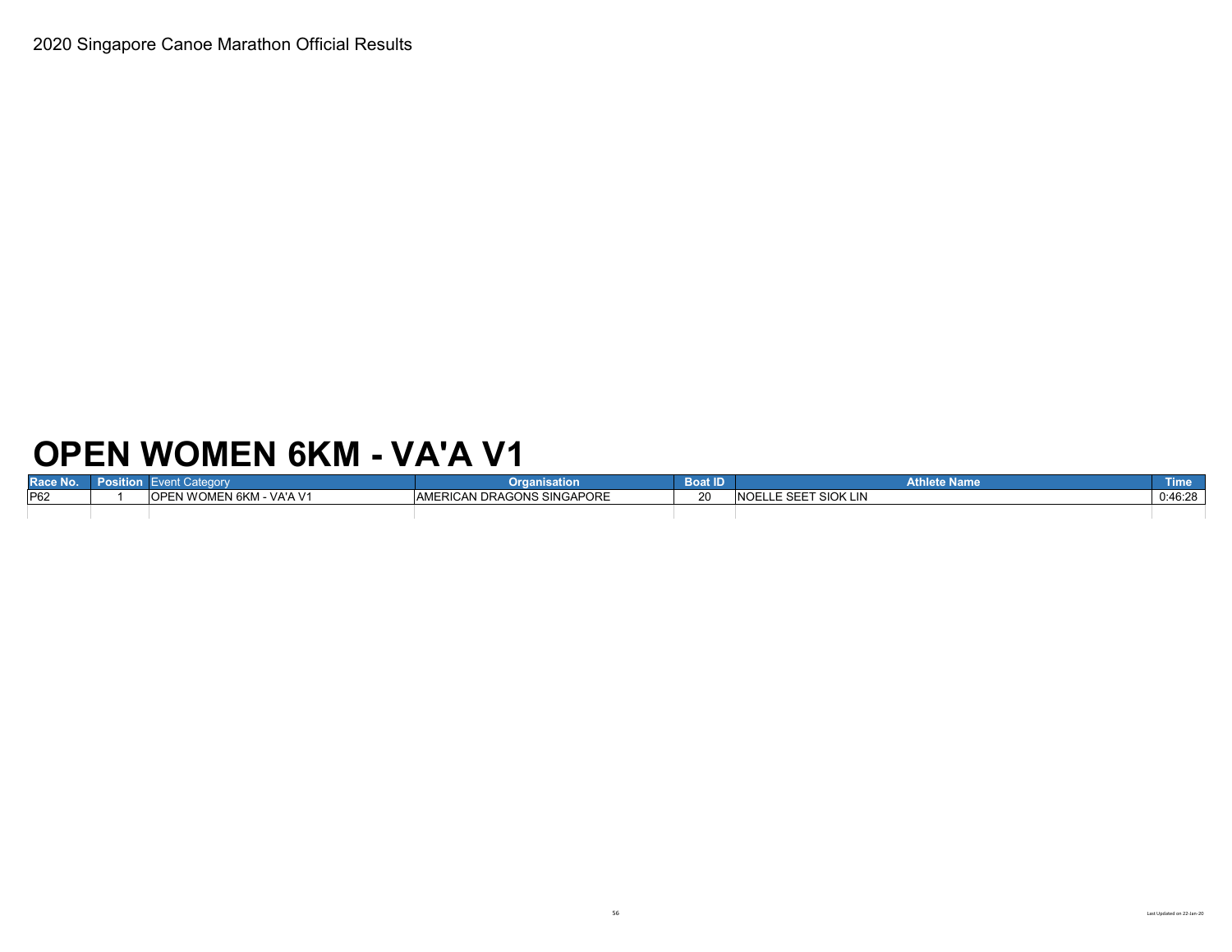# **OPEN WOMEN 6KM - VA'A V1**

| Race No.        | rosition |                                           | Organisation                      | <b>Boat ID</b> | <b>Athlete Name</b>              | Time    |
|-----------------|----------|-------------------------------------------|-----------------------------------|----------------|----------------------------------|---------|
| P <sub>62</sub> |          | EN WOMEN 6KM - VA'A V1<br>$\cap$ n $\cap$ | <b>AMERICAN DRAGONS SINGAPORE</b> |                | LLE SEET SIOK LIN<br><b>NOEL</b> | 0:46:28 |
|                 |          |                                           |                                   |                |                                  |         |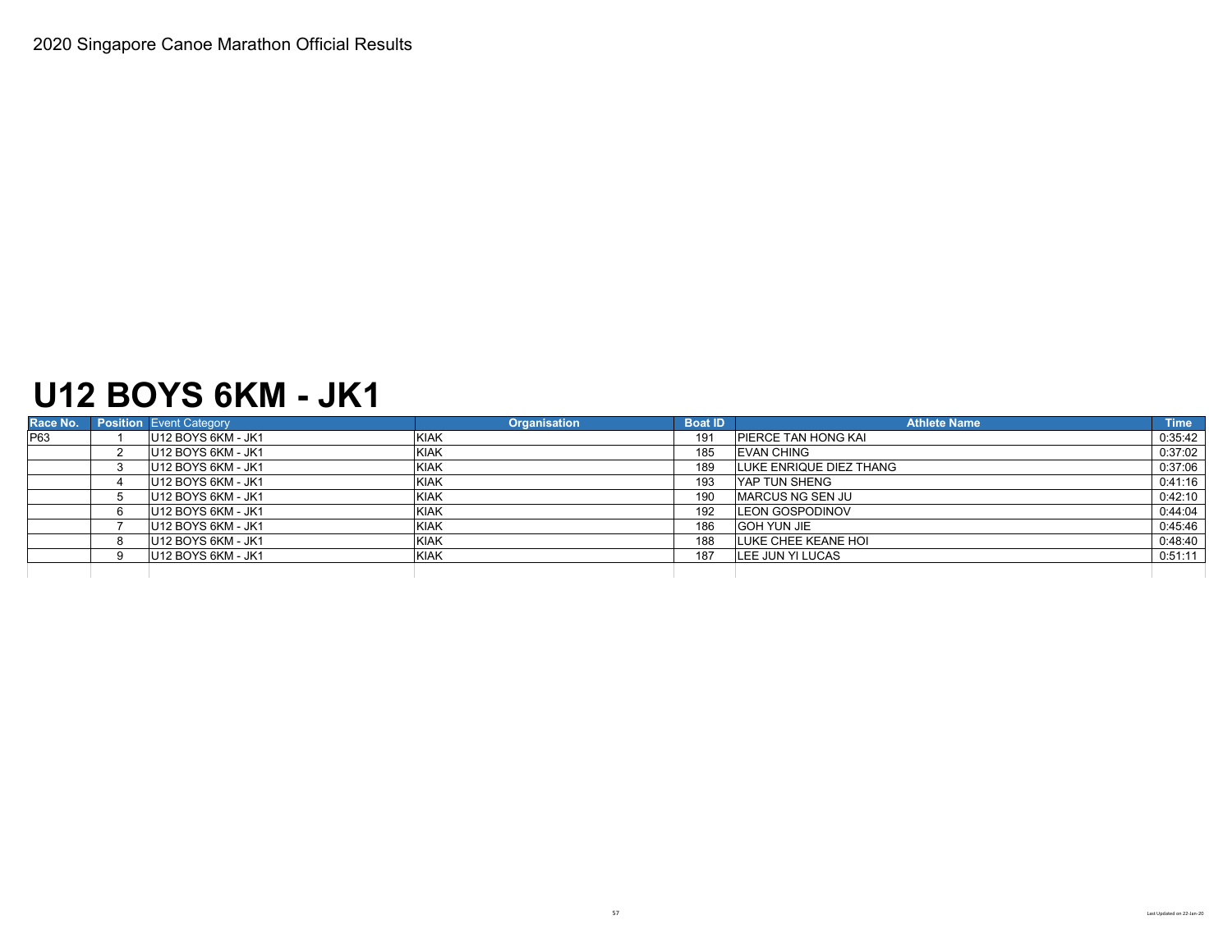### **U12 BOYS 6KM - JK1**

| Race No. | <b>Position</b> Event Category | <b>Organisation</b> | <b>Boat ID</b> | <b>Athlete Name</b>        | <b>Time</b> |
|----------|--------------------------------|---------------------|----------------|----------------------------|-------------|
| P63      | U12 BOYS 6KM - JK1             | <b>KIAK</b>         | 191            | <b>PIERCE TAN HONG KAI</b> | 0:35:42     |
|          | U12 BOYS 6KM - JK1             | <b>KIAK</b>         | 185            | <b>IEVAN CHING</b>         | 0:37:02     |
|          | U12 BOYS 6KM - JK1             | <b>KIAK</b>         | 189            | LUKE ENRIQUE DIEZ THANG    | 0:37:06     |
|          | U12 BOYS 6KM - JK1             | <b>KIAK</b>         | 193            | <b>IYAP TUN SHENG</b>      | 0:41:16     |
|          | U12 BOYS 6KM - JK1             | <b>KIAK</b>         | 190            | <b>MARCUS NG SEN JU</b>    | 0:42:10     |
|          | U12 BOYS 6KM - JK1             | <b>KIAK</b>         | 192            | <b>LEON GOSPODINOV</b>     | 0:44:04     |
|          | U12 BOYS 6KM - JK1             | <b>KIAK</b>         | 186            | <b>GOH YUN JIE</b>         | 0:45:46     |
|          | U12 BOYS 6KM - JK1             | <b>KIAK</b>         | 188            | LUKE CHEE KEANE HOI        | 0:48:40     |
|          | U12 BOYS 6KM - JK1             | <b>KIAK</b>         | 187            | LEE JUN YI LUCAS           | 0:51:11     |
|          |                                |                     |                |                            |             |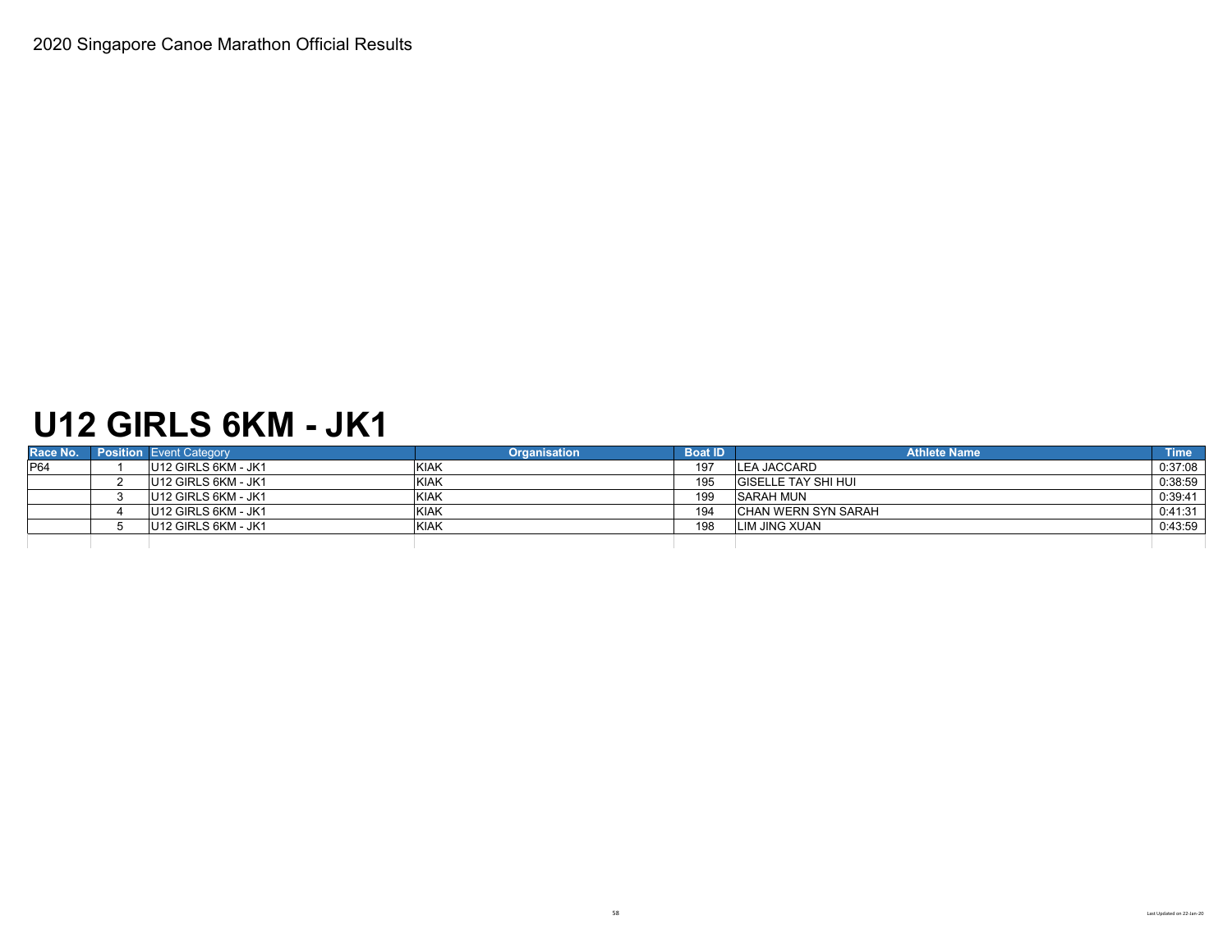### **U12 GIRLS 6KM - JK1**

| Race No.    | <b>Position</b> Event Category  | <b>Organisation</b> | <b>Boat ID</b> | <b>Athlete Name</b>        | Time    |
|-------------|---------------------------------|---------------------|----------------|----------------------------|---------|
| <b>IP64</b> | U12 GIRLS 6KM - JK1             | KIAK                | 197            | <b>LEA JACCARD</b>         | 0:37:08 |
|             | U <sub>12</sub> GIRLS 6KM - JK1 | KIAK                | 195            | <b>GISELLE TAY SHI HUI</b> | 0:38:59 |
|             | U12 GIRLS 6KM - JK1             | <b>KIAK</b>         | 199            | <b>SARAH MUN</b>           | 0:39:41 |
|             | U12 GIRLS 6KM - JK1             | <b>KIAK</b>         | 194            | CHAN WERN SYN SARAH        | 0:41:31 |
|             | U12 GIRLS 6KM - JK1             | KIAK                | 198            | <b>ILIM JING XUAN</b>      | 0:43:59 |
|             |                                 |                     |                |                            |         |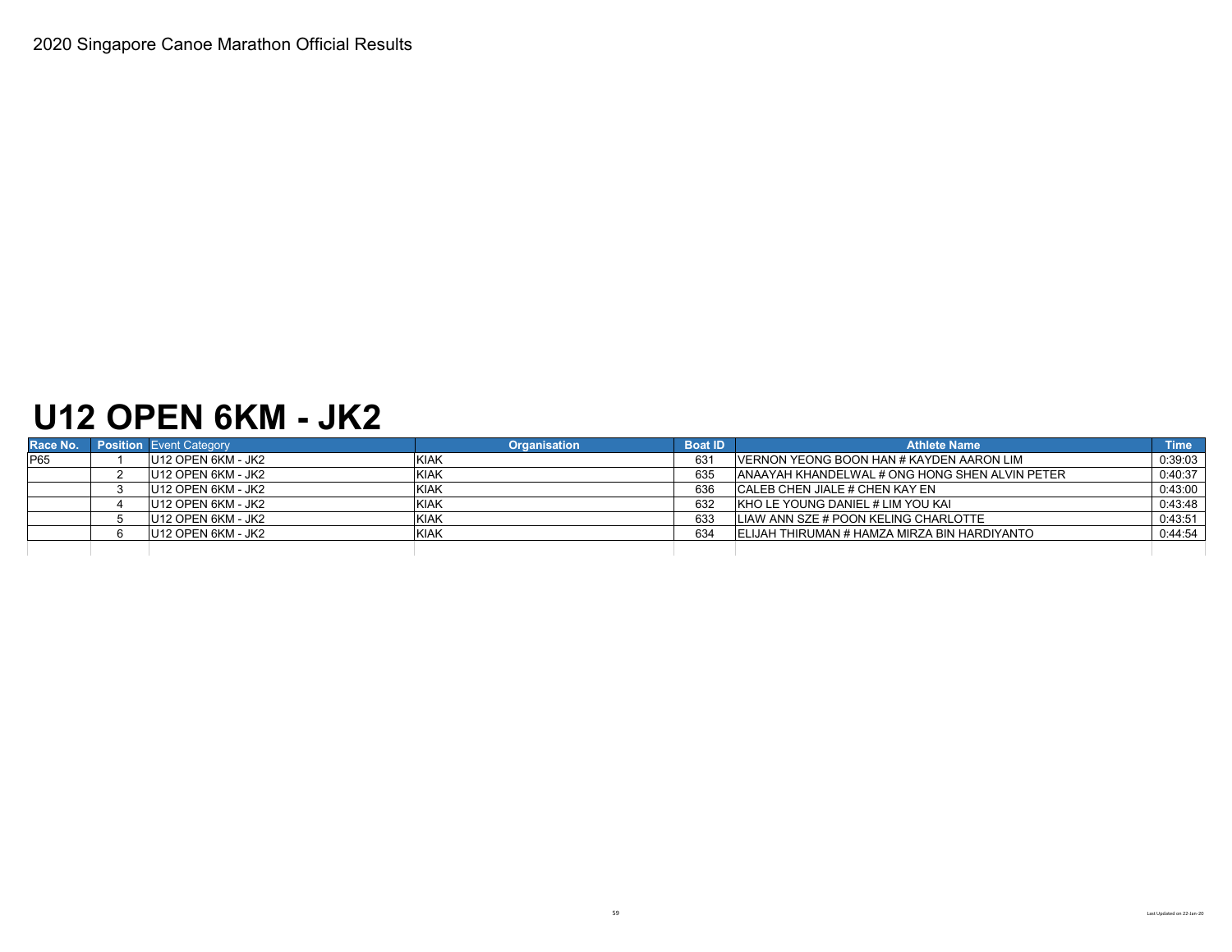### **U12 OPEN 6KM - JK2**

| Race No. | <b>Position</b> Event Category | <b>Organisation</b> | <b>Boat ID</b> | <b>Athlete Name</b>                                    | <b>Time</b> |
|----------|--------------------------------|---------------------|----------------|--------------------------------------------------------|-------------|
| P65      | U12 OPEN 6KM - JK2             | <b>KIAK</b>         | 631            | <b>IVERNON YEONG BOON HAN # KAYDEN AARON LIM</b>       | 0:39:03     |
|          | U12 OPEN 6KM - JK2             | <b>KIAK</b>         | 635            | <b>JANAAYAH KHANDELWAL # ONG HONG SHEN ALVIN PETER</b> | 0:40:37     |
|          | U12 OPEN 6KM - JK2             | <b>KIAK</b>         | 636            | ICALEB CHEN JIALE # CHEN KAY EN                        | 0:43:00     |
|          | U12 OPEN 6KM - JK2             | <b>KIAK</b>         | 632            | KHO LE YOUNG DANIEL # LIM YOU KAI                      | 0:43:48     |
|          | U12 OPEN 6KM - JK2             | <b>KIAK</b>         | 633            | LIAW ANN SZE # POON KELING CHARLOTTE                   | 0:43:51     |
|          | U12 OPEN 6KM - JK2             | <b>KIAK</b>         | 634            | IELIJAH THIRUMAN # HAMZA MIRZA BIN HARDIYANTO          | 0:44:54     |
|          |                                |                     |                |                                                        |             |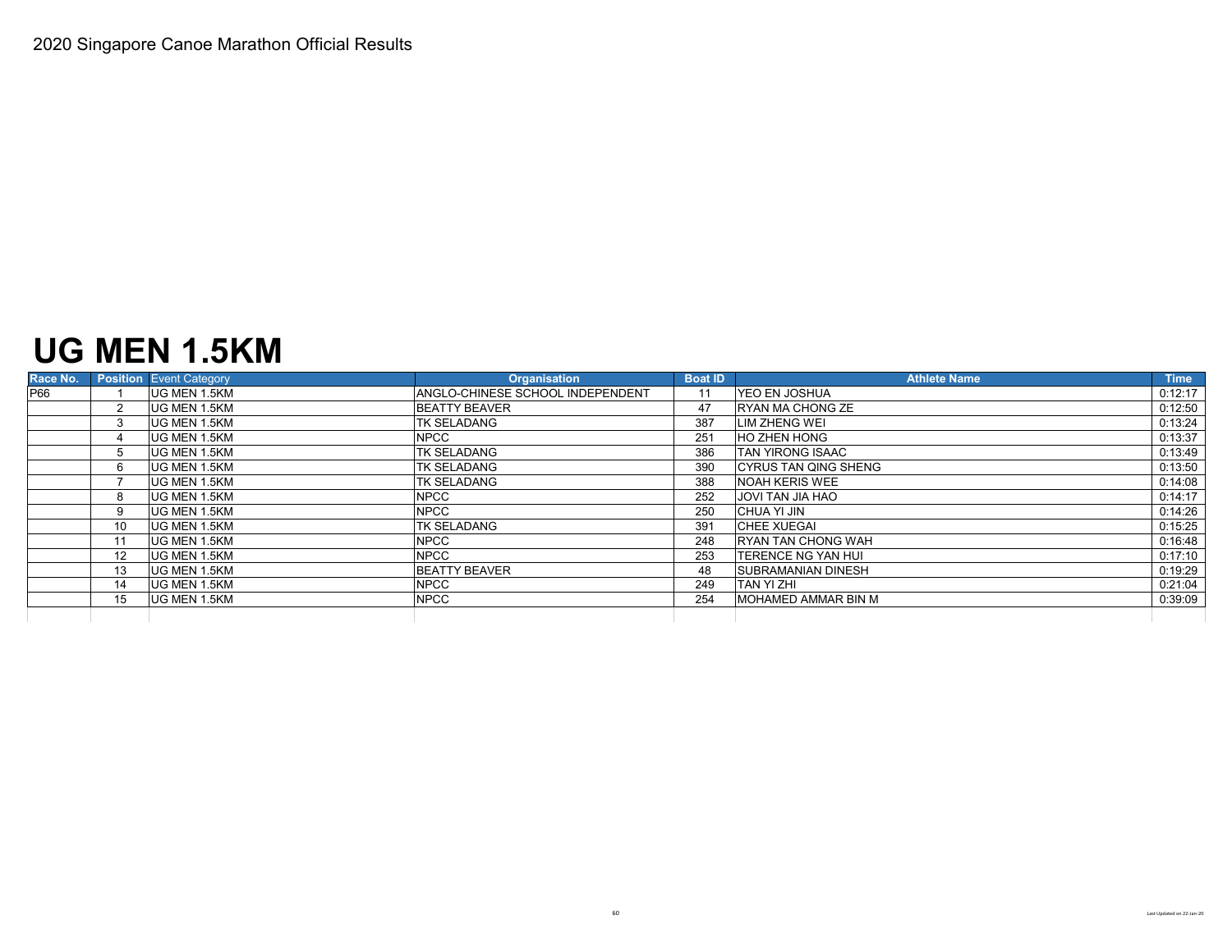### **UG MEN 1.5KM**

| Race No. |                   | <b>Position</b> Event Category | <b>Organisation</b>              | <b>Boat ID</b> | <b>Athlete Name</b>         | <b>Time</b> |
|----------|-------------------|--------------------------------|----------------------------------|----------------|-----------------------------|-------------|
| P66      |                   | UG MEN 1.5KM                   | ANGLO-CHINESE SCHOOL INDEPENDENT |                | <b>IYEO EN JOSHUA</b>       | 0:12:17     |
|          |                   | <b>UG MEN 1.5KM</b>            | <b>BEATTY BEAVER</b>             | 47             | <b>IRYAN MA CHONG ZE</b>    | 0:12:50     |
|          |                   | <b>UG MEN 1.5KM</b>            | <b>TK SELADANG</b>               | 387            | <b>LIM ZHENG WEI</b>        | 0:13:24     |
|          |                   | UG MEN 1.5KM                   | <b>NPCC</b>                      | 251            | <b>HO ZHEN HONG</b>         | 0:13:37     |
|          | $5^{\circ}$       | UG MEN 1.5KM                   | <b>TK SELADANG</b>               | 386            | <b>TAN YIRONG ISAAC</b>     | 0:13:49     |
|          | 6.                | <b>UG MEN 1.5KM</b>            | <b>TK SELADANG</b>               | 390            | <b>CYRUS TAN QING SHENG</b> | 0:13:50     |
|          |                   | UG MEN 1.5KM                   | <b>TK SELADANG</b>               | 388            | <b>NOAH KERIS WEE</b>       | 0:14:08     |
|          | 8                 | <b>UG MEN 1.5KM</b>            | <b>NPCC</b>                      | 252            | <b>JOVI TAN JIA HAO</b>     | 0:14:17     |
|          | 9                 | UG MEN 1.5KM                   | <b>NPCC</b>                      | 250            | CHUA YI JIN                 | 0:14:26     |
|          | 10                | <b>UG MEN 1.5KM</b>            | <b>TK SELADANG</b>               | 391            | <b>CHEE XUEGAI</b>          | 0:15:25     |
|          |                   | UG MEN 1.5KM                   | <b>NPCC</b>                      | 248            | <b>RYAN TAN CHONG WAH</b>   | 0:16:48     |
|          | $12 \overline{ }$ | <b>UG MEN 1.5KM</b>            | <b>NPCC</b>                      | 253            | <b>ITERENCE NG YAN HUI</b>  | 0:17:10     |
|          | 13                | <b>UG MEN 1.5KM</b>            | <b>BEATTY BEAVER</b>             | 48             | <b>SUBRAMANIAN DINESH</b>   | 0:19:29     |
|          | 14                | UG MEN 1.5KM                   | <b>NPCC</b>                      | 249            | <b>TAN YI ZHI</b>           | 0:21:04     |
|          | 15                | <b>UG MEN 1.5KM</b>            | <b>NPCC</b>                      | 254            | <b>MOHAMED AMMAR BIN M</b>  | 0:39:09     |
|          |                   |                                |                                  |                |                             |             |